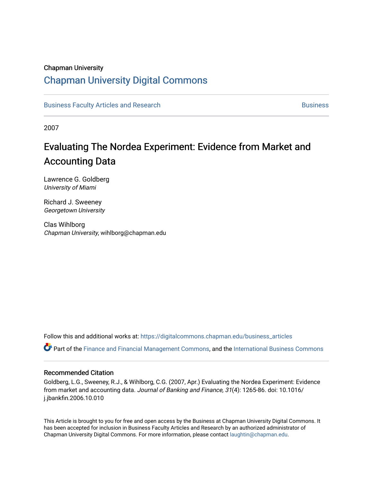### Chapman University

## [Chapman University Digital Commons](https://digitalcommons.chapman.edu/)

[Business Faculty Articles and Research](https://digitalcommons.chapman.edu/business_articles) [Business](https://digitalcommons.chapman.edu/business) **Business** Business

2007

# Evaluating The Nordea Experiment: Evidence from Market and Accounting Data

Lawrence G. Goldberg University of Miami

Richard J. Sweeney Georgetown University

Clas Wihlborg Chapman University, wihlborg@chapman.edu

Follow this and additional works at: [https://digitalcommons.chapman.edu/business\\_articles](https://digitalcommons.chapman.edu/business_articles?utm_source=digitalcommons.chapman.edu%2Fbusiness_articles%2F47&utm_medium=PDF&utm_campaign=PDFCoverPages) 

Part of the [Finance and Financial Management Commons,](http://network.bepress.com/hgg/discipline/631?utm_source=digitalcommons.chapman.edu%2Fbusiness_articles%2F47&utm_medium=PDF&utm_campaign=PDFCoverPages) and the [International Business Commons](http://network.bepress.com/hgg/discipline/634?utm_source=digitalcommons.chapman.edu%2Fbusiness_articles%2F47&utm_medium=PDF&utm_campaign=PDFCoverPages)

#### Recommended Citation

Goldberg, L.G., Sweeney, R.J., & Wihlborg, C.G. (2007, Apr.) Evaluating the Nordea Experiment: Evidence from market and accounting data. Journal of Banking and Finance, 31(4): 1265-86. doi: 10.1016/ j.jbankfin.2006.10.010

This Article is brought to you for free and open access by the Business at Chapman University Digital Commons. It has been accepted for inclusion in Business Faculty Articles and Research by an authorized administrator of Chapman University Digital Commons. For more information, please contact [laughtin@chapman.edu](mailto:laughtin@chapman.edu).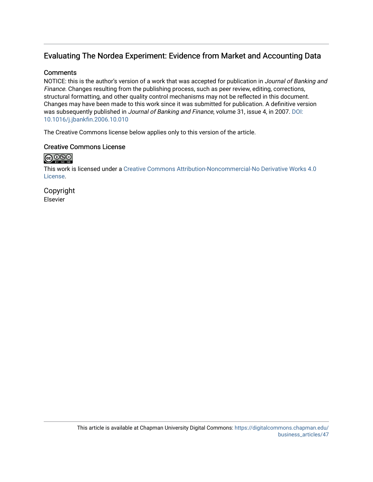## Evaluating The Nordea Experiment: Evidence from Market and Accounting Data

### **Comments**

NOTICE: this is the author's version of a work that was accepted for publication in Journal of Banking and Finance. Changes resulting from the publishing process, such as peer review, editing, corrections, structural formatting, and other quality control mechanisms may not be reflected in this document. Changes may have been made to this work since it was submitted for publication. A definitive version was subsequently published in Journal of Banking and Finance, volume 31, issue 4, in 2007. DOI: [10.1016/j.jbankfin.2006.10.010](http://dx.doi.org/10.1016/j.jbankfin.2006.10.010) 

The Creative Commons license below applies only to this version of the article.

### Creative Commons License

## $\bigcirc$  000

This work is licensed under a [Creative Commons Attribution-Noncommercial-No Derivative Works 4.0](https://creativecommons.org/licenses/by-nc-nd/4.0/) [License](https://creativecommons.org/licenses/by-nc-nd/4.0/).

Copyright Elsevier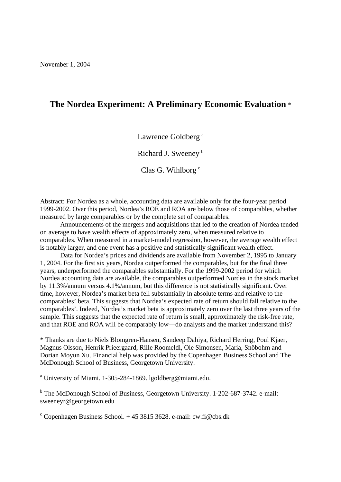## **The Nordea Experiment: A Preliminary Economic Evaluation** \*

Lawrence Goldberg<sup>a</sup>

Richard J. Sweeney b

Clas G. Wihlborg  $c$ 

Abstract: For Nordea as a whole, accounting data are available only for the four-year period 1999-2002. Over this period, Nordea's ROE and ROA are below those of comparables, whether measured by large comparables or by the complete set of comparables.

Announcements of the mergers and acquisitions that led to the creation of Nordea tended on average to have wealth effects of approximately zero, when measured relative to comparables. When measured in a market-model regression, however, the average wealth effect is notably larger, and one event has a positive and statistically significant wealth effect.

Data for Nordea's prices and dividends are available from November 2, 1995 to January 1, 2004. For the first six years, Nordea outperformed the comparables, but for the final three years, underperformed the comparables substantially. For the 1999-2002 period for which Nordea accounting data are available, the comparables outperformed Nordea in the stock market by 11.3%/annum versus 4.1%/annum, but this difference is not statistically significant. Over time, however, Nordea's market beta fell substantially in absolute terms and relative to the comparables' beta. This suggests that Nordea's expected rate of return should fall relative to the comparables'. Indeed, Nordea's market beta is approximately zero over the last three years of the sample. This suggests that the expected rate of return is small, approximately the risk-free rate, and that ROE and ROA will be comparably low—do analysts and the market understand this?

\* Thanks are due to Niels Blomgren-Hansen, Sandeep Dahiya, Richard Herring, Poul Kjaer, Magnus Olsson, Henrik Prieergaard, Rille Roomeldi, Ole Simonsen, Maria, Snöbohm and Dorian Moyun Xu. Financial help was provided by the Copenhagen Business School and The McDonough School of Business, Georgetown University.

<sup>a</sup> University of Miami. 1-305-284-1869. lgoldberg@miami.edu.

<sup>b</sup> The McDonough School of Business, Georgetown University. 1-202-687-3742. e-mail: sweeneyr@georgetown.edu

<sup>c</sup> Copenhagen Business School. + 45 3815 3628. e-mail: cw.fi@cbs.dk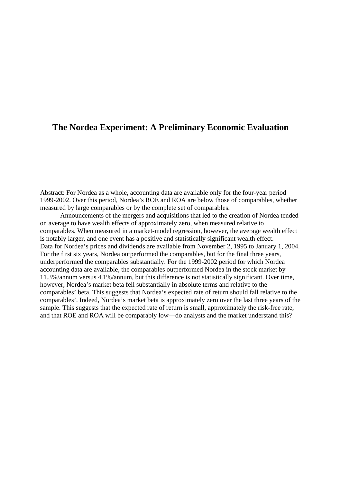## **The Nordea Experiment: A Preliminary Economic Evaluation**

Abstract: For Nordea as a whole, accounting data are available only for the four-year period 1999-2002. Over this period, Nordea's ROE and ROA are below those of comparables, whether measured by large comparables or by the complete set of comparables.

Announcements of the mergers and acquisitions that led to the creation of Nordea tended on average to have wealth effects of approximately zero, when measured relative to comparables. When measured in a market-model regression, however, the average wealth effect is notably larger, and one event has a positive and statistically significant wealth effect. Data for Nordea's prices and dividends are available from November 2, 1995 to January 1, 2004. For the first six years, Nordea outperformed the comparables, but for the final three years, underperformed the comparables substantially. For the 1999-2002 period for which Nordea accounting data are available, the comparables outperformed Nordea in the stock market by 11.3%/annum versus 4.1%/annum, but this difference is not statistically significant. Over time, however, Nordea's market beta fell substantially in absolute terms and relative to the comparables' beta. This suggests that Nordea's expected rate of return should fall relative to the comparables'. Indeed, Nordea's market beta is approximately zero over the last three years of the sample. This suggests that the expected rate of return is small, approximately the risk-free rate, and that ROE and ROA will be comparably low—do analysts and the market understand this?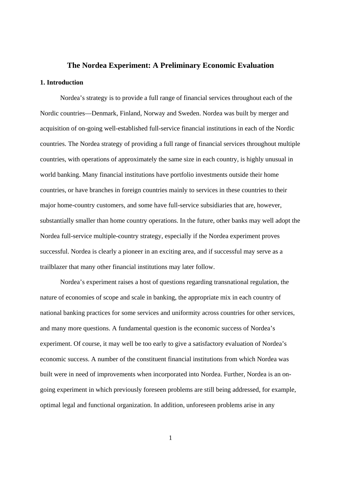# **The Nordea Experiment: A Preliminary Economic Evaluation 1. Introduction**

 Nordea's strategy is to provide a full range of financial services throughout each of the Nordic countries—Denmark, Finland, Norway and Sweden. Nordea was built by merger and acquisition of on-going well-established full-service financial institutions in each of the Nordic countries. The Nordea strategy of providing a full range of financial services throughout multiple countries, with operations of approximately the same size in each country, is highly unusual in world banking. Many financial institutions have portfolio investments outside their home countries, or have branches in foreign countries mainly to services in these countries to their major home-country customers, and some have full-service subsidiaries that are, however, substantially smaller than home country operations. In the future, other banks may well adopt the Nordea full-service multiple-country strategy, especially if the Nordea experiment proves successful. Nordea is clearly a pioneer in an exciting area, and if successful may serve as a trailblazer that many other financial institutions may later follow.

 Nordea's experiment raises a host of questions regarding transnational regulation, the nature of economies of scope and scale in banking, the appropriate mix in each country of national banking practices for some services and uniformity across countries for other services, and many more questions. A fundamental question is the economic success of Nordea's experiment. Of course, it may well be too early to give a satisfactory evaluation of Nordea's economic success. A number of the constituent financial institutions from which Nordea was built were in need of improvements when incorporated into Nordea. Further, Nordea is an ongoing experiment in which previously foreseen problems are still being addressed, for example, optimal legal and functional organization. In addition, unforeseen problems arise in any

1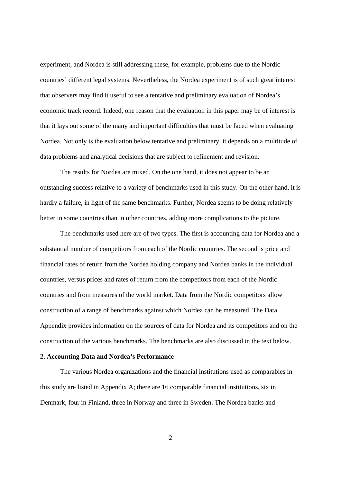experiment, and Nordea is still addressing these, for example, problems due to the Nordic countries' different legal systems. Nevertheless, the Nordea experiment is of such great interest that observers may find it useful to see a tentative and preliminary evaluation of Nordea's economic track record. Indeed, one reason that the evaluation in this paper may be of interest is that it lays out some of the many and important difficulties that must be faced when evaluating Nordea. Not only is the evaluation below tentative and preliminary, it depends on a multitude of data problems and analytical decisions that are subject to refinement and revision.

 The results for Nordea are mixed. On the one hand, it does not appear to be an outstanding success relative to a variety of benchmarks used in this study. On the other hand, it is hardly a failure, in light of the same benchmarks. Further, Nordea seems to be doing relatively better in some countries than in other countries, adding more complications to the picture.

The benchmarks used here are of two types. The first is accounting data for Nordea and a substantial number of competitors from each of the Nordic countries. The second is price and financial rates of return from the Nordea holding company and Nordea banks in the individual countries, versus prices and rates of return from the competitors from each of the Nordic countries and from measures of the world market. Data from the Nordic competitors allow construction of a range of benchmarks against which Nordea can be measured. The Data Appendix provides information on the sources of data for Nordea and its competitors and on the construction of the various benchmarks. The benchmarks are also discussed in the text below.

#### **2. Accounting Data and Nordea's Performance**

 The various Nordea organizations and the financial institutions used as comparables in this study are listed in Appendix A; there are 16 comparable financial institutions, six in Denmark, four in Finland, three in Norway and three in Sweden. The Nordea banks and

2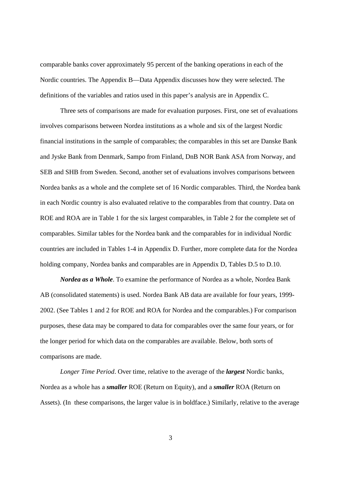comparable banks cover approximately 95 percent of the banking operations in each of the Nordic countries. The Appendix B—Data Appendix discusses how they were selected. The definitions of the variables and ratios used in this paper's analysis are in Appendix C.

 Three sets of comparisons are made for evaluation purposes. First, one set of evaluations involves comparisons between Nordea institutions as a whole and six of the largest Nordic financial institutions in the sample of comparables; the comparables in this set are Danske Bank and Jyske Bank from Denmark, Sampo from Finland, DnB NOR Bank ASA from Norway, and SEB and SHB from Sweden. Second, another set of evaluations involves comparisons between Nordea banks as a whole and the complete set of 16 Nordic comparables. Third, the Nordea bank in each Nordic country is also evaluated relative to the comparables from that country. Data on ROE and ROA are in Table 1 for the six largest comparables, in Table 2 for the complete set of comparables. Similar tables for the Nordea bank and the comparables for in individual Nordic countries are included in Tables 1-4 in Appendix D. Further, more complete data for the Nordea holding company, Nordea banks and comparables are in Appendix D, Tables D.5 to D.10.

*Nordea as a Whole*. To examine the performance of Nordea as a whole, Nordea Bank AB (consolidated statements) is used. Nordea Bank AB data are available for four years, 1999- 2002. (See Tables 1 and 2 for ROE and ROA for Nordea and the comparables.) For comparison purposes, these data may be compared to data for comparables over the same four years, or for the longer period for which data on the comparables are available. Below, both sorts of comparisons are made.

*Longer Time Period*. Over time, relative to the average of the *largest* Nordic banks, Nordea as a whole has a *smaller* ROE (Return on Equity), and a *smaller* ROA (Return on Assets). (In these comparisons, the larger value is in boldface.) Similarly, relative to the average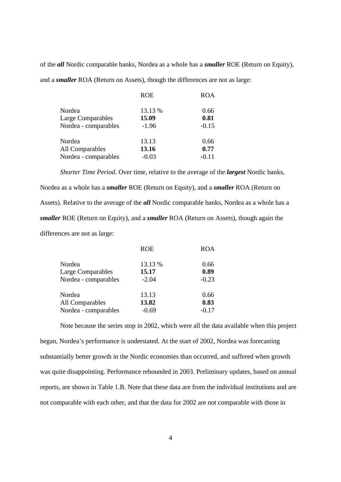of the *all* Nordic comparable banks, Nordea as a whole has a *smaller* ROE (Return on Equity), and a *smaller* ROA (Return on Assets), though the differences are not as large:

| <b>ROA</b> | <b>ROE</b> |                      |
|------------|------------|----------------------|
| 0.66       | 13.13 %    | Nordea               |
| 0.81       | 15.09      | Large Comparables    |
| $-0.15$    | $-1.96$    | Nordea - comparables |
| 0.66       | 13.13      | Nordea               |
| 0.77       | 13.16      | All Comparables      |
| $-0.11$    | $-0.03$    | Nordea - comparables |
|            |            |                      |

*Shorter Time Period*. Over time, relative to the average of the *largest* Nordic banks, Nordea as a whole has a *smaller* ROE (Return on Equity), and a *smaller* ROA (Return on Assets). Relative to the average of the *all* Nordic comparable banks, Nordea as a whole has a *smaller* ROE (Return on Equity), and a *smaller* ROA (Return on Assets), though again the differences are not as large:

|                      | <b>ROE</b> | ROA     |
|----------------------|------------|---------|
| Nordea               | 13.13 %    | 0.66    |
| Large Comparables    | 15.17      | 0.89    |
| Nordea - comparables | $-2.04$    | $-0.23$ |
| Nordea               | 13.13      | 0.66    |
| All Comparables      | 13.82      | 0.83    |
| Nordea - comparables | $-0.69$    | $-0.17$ |
|                      |            |         |

Note because the series stop in 2002, which were all the data available when this project began, Nordea's performance is understated. At the start of 2002, Nordea was forecasting substantially better growth in the Nordic economies than occurred, and suffered when growth was quite disappointing. Performance rebounded in 2003. Preliminary updates, based on annual reports, are shown in Table 1.B. Note that these data are from the individual institutions and are not comparable with each other, and that the data for 2002 are not comparable with those in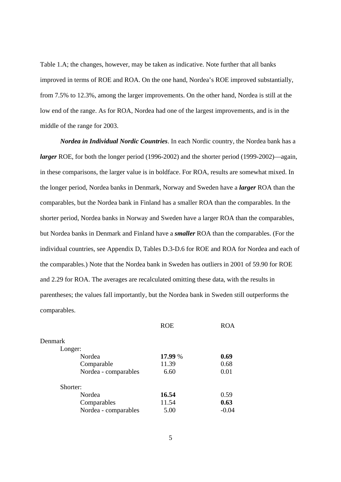Table 1.A; the changes, however, may be taken as indicative. Note further that all banks improved in terms of ROE and ROA. On the one hand, Nordea's ROE improved substantially, from 7.5% to 12.3%, among the larger improvements. On the other hand, Nordea is still at the low end of the range. As for ROA, Nordea had one of the largest improvements, and is in the middle of the range for 2003.

*Nordea in Individual Nordic Countries*. In each Nordic country, the Nordea bank has a *larger* ROE, for both the longer period (1996-2002) and the shorter period (1999-2002)—again, in these comparisons, the larger value is in boldface. For ROA, results are somewhat mixed. In the longer period, Nordea banks in Denmark, Norway and Sweden have a *larger* ROA than the comparables, but the Nordea bank in Finland has a smaller ROA than the comparables. In the shorter period, Nordea banks in Norway and Sweden have a larger ROA than the comparables, but Nordea banks in Denmark and Finland have a *smaller* ROA than the comparables. (For the individual countries, see Appendix D, Tables D.3-D.6 for ROE and ROA for Nordea and each of the comparables.) Note that the Nordea bank in Sweden has outliers in 2001 of 59.90 for ROE and 2.29 for ROA. The averages are recalculated omitting these data, with the results in parentheses; the values fall importantly, but the Nordea bank in Sweden still outperforms the comparables.

|                      | <b>ROE</b> | <b>ROA</b> |
|----------------------|------------|------------|
| Denmark              |            |            |
| Longer:              |            |            |
| Nordea               | 17.99 %    | 0.69       |
| Comparable           | 11.39      | 0.68       |
| Nordea - comparables | 6.60       | 0.01       |
| Shorter:             |            |            |
| Nordea               | 16.54      | 0.59       |
| Comparables          | 11.54      | 0.63       |
| Nordea - comparables | 5.00       | $-0.04$    |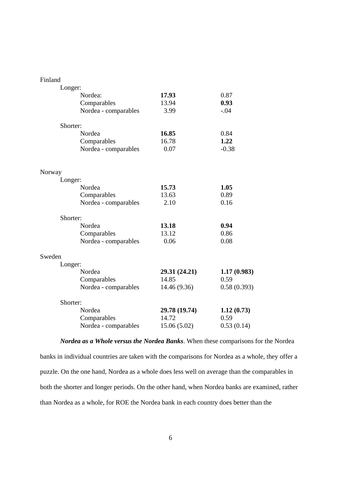| Finland |                      |               |             |
|---------|----------------------|---------------|-------------|
|         | Longer:              |               |             |
|         | Nordea:              | 17.93         | 0.87        |
|         | Comparables          | 13.94         | 0.93        |
|         | Nordea - comparables | 3.99          | $-.04$      |
|         | Shorter:             |               |             |
|         | Nordea               | 16.85         | 0.84        |
|         | Comparables          | 16.78         | 1.22        |
|         | Nordea - comparables | 0.07          | $-0.38$     |
| Norway  |                      |               |             |
|         | Longer:              |               |             |
|         | Nordea               | 15.73         | 1.05        |
|         | Comparables          | 13.63         | 0.89        |
|         | Nordea - comparables | 2.10          | 0.16        |
|         | Shorter:             |               |             |
|         | Nordea               | 13.18         | 0.94        |
|         | Comparables          | 13.12         | 0.86        |
|         | Nordea - comparables | 0.06          | 0.08        |
| Sweden  |                      |               |             |
|         | Longer:              |               |             |
|         | Nordea               | 29.31 (24.21) | 1.17(0.983) |
|         | Comparables          | 14.85         | 0.59        |
|         | Nordea - comparables | 14.46 (9.36)  | 0.58(0.393) |
|         | Shorter:             |               |             |
|         | Nordea               | 29.78 (19.74) | 1.12(0.73)  |
|         | Comparables          | 14.72         | 0.59        |
|         | Nordea - comparables | 15.06 (5.02)  | 0.53(0.14)  |

*Nordea as a Whole versus the Nordea Banks*. When these comparisons for the Nordea banks in individual countries are taken with the comparisons for Nordea as a whole, they offer a puzzle. On the one hand, Nordea as a whole does less well on average than the comparables in both the shorter and longer periods. On the other hand, when Nordea banks are examined, rather than Nordea as a whole, for ROE the Nordea bank in each country does better than the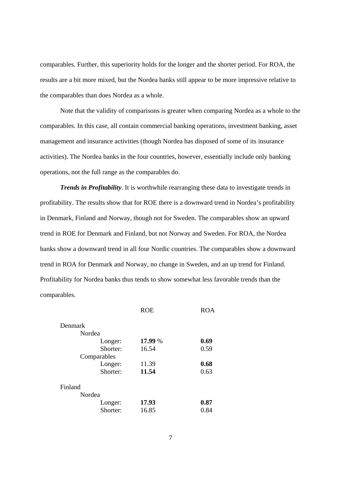comparables. Further, this superiority holds for the longer and the shorter period. For ROA, the results are a bit more mixed, but the Nordea banks still appear to be more impressive relative to the comparables than does Nordea as a whole.

 Note that the validity of comparisons is greater when comparing Nordea as a whole to the comparables. In this case, all contain commercial banking operations, investment banking, asset management and insurance activities (though Nordea has disposed of some of its insurance activities). The Nordea banks in the four countries, however, essentially include only banking operations, not the full range as the comparables do.

*Trends in Profitability*. It is worthwhile rearranging these data to investigate trends in profitability. The results show that for ROE there is a downward trend in Nordea's profitability in Denmark, Finland and Norway, though not for Sweden. The comparables show an upward trend in ROE for Denmark and Finland, but not Norway and Sweden. For ROA, the Nordea banks show a downward trend in all four Nordic countries. The comparables show a downward trend in ROA for Denmark and Norway, no change in Sweden, and an up trend for Finland. Profitability for Nordea banks thus tends to show somewhat less favorable trends than the comparables.

|         |             | <b>ROE</b> | <b>ROA</b> |
|---------|-------------|------------|------------|
| Denmark |             |            |            |
|         | Nordea      |            |            |
|         | Longer:     | 17.99 %    | 0.69       |
|         | Shorter:    | 16.54      | 0.59       |
|         | Comparables |            |            |
|         | Longer:     | 11.39      | 0.68       |
|         | Shorter:    | 11.54      | 0.63       |
| Finland |             |            |            |
|         | Nordea      |            |            |
|         | Longer:     | 17.93      | 0.87       |
|         | Shorter:    | 16.85      | 0.84       |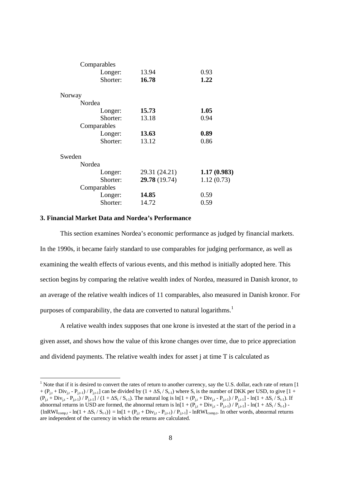| Comparables |               |             |
|-------------|---------------|-------------|
| Longer:     | 13.94         | 0.93        |
| Shorter:    | 16.78         | 1.22        |
| Norway      |               |             |
| Nordea      |               |             |
| Longer:     | 15.73         | 1.05        |
| Shorter:    | 13.18         | 0.94        |
| Comparables |               |             |
| Longer:     | 13.63         | 0.89        |
| Shorter:    | 13.12         | 0.86        |
| Sweden      |               |             |
| Nordea      |               |             |
| Longer:     | 29.31 (24.21) | 1.17(0.983) |
| Shorter:    | 29.78 (19.74) | 1.12(0.73)  |
| Comparables |               |             |
| Longer:     | 14.85         | 0.59        |
| Shorter:    | 14.72         | 0.59        |

#### **3. Financial Market Data and Nordea's Performance**

-

 This section examines Nordea's economic performance as judged by financial markets. In the 1990s, it became fairly standard to use comparables for judging performance, as well as examining the wealth effects of various events, and this method is initially adopted here. This section begins by comparing the relative wealth index of Nordea, measured in Danish kronor, to an average of the relative wealth indices of 11 comparables, also measured in Danish kronor. For purposes of comparability, the data are converted to natural logarithms.<sup>1</sup>

 A relative wealth index supposes that one krone is invested at the start of the period in a given asset, and shows how the value of this krone changes over time, due to price appreciation and dividend payments. The relative wealth index for asset j at time T is calculated as

<sup>&</sup>lt;sup>1</sup> Note that if it is desired to convert the rates of return to another currency, say the U.S. dollar, each rate of return  $[1]$  $+(P_{i,t} + Div_{i,t} - P_{i,t-1})/P_{i,t-1}$  can be divided by  $(1 + \Delta S_t / S_{t-1})$  where  $S_t$  is the number of DKK per USD, to give [1 +  $(P_{i,t} + Div_{i,t} - P_{i,t-1}) / P_{i,t-1} / (1 + \Delta S_t / S_{t-1})$ . The natural log is ln[1 +  $(P_{i,t} + Div_{i,t} - P_{i,t-1}) / P_{i,t-1}$ ] - ln(1 +  $\Delta S_t / S_{t-1}$ ). If abnormal returns in USD are formed, the abnormal return is ln[1 +  $(P_{j,t} + Div_{j,t} - P_{j,t-1})$  /  $P_{j,t-1}$ ] - ln(1 +  $\Delta S_t$  /  $S_{t-1}$ ) - ${\ln}RWI_{\text{comp,t}} - ln(1 + \Delta S_t / S_{t-1}) = ln[1 + (P_{i,t} + Div_{i,t} - P_{i,t-1}) / P_{i,t-1}] - lnRWI_{\text{comp,t}}$ . In other words, abnormal returns are independent of the currency in which the returns are calculated.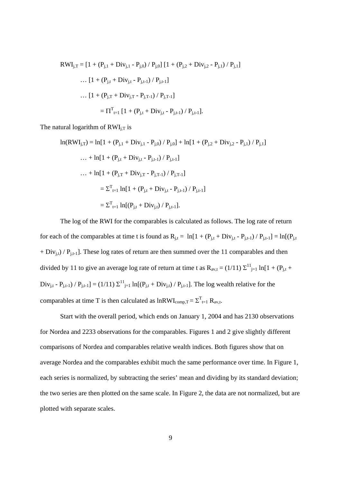$$
RWI_{j,T} = [1 + (P_{j,1} + Div_{j,1} - P_{j,0}) / P_{j,0}] [1 + (P_{j,2} + Div_{j,2} - P_{j,1}) / P_{j,1}]
$$
  
... 
$$
[1 + (P_{j,t} + Div_{j,t} - P_{j,t-1}) / P_{j,t-1}]
$$
  
... 
$$
[1 + (P_{j,T} + Div_{j,T} - P_{j,T-1}) / P_{j,T-1}]
$$
  

$$
= \Pi^{T}_{t=1} [1 + (P_{j,t} + Div_{j,t} - P_{j,t-1}) / P_{j,t-1}].
$$

The natural logarithm of  $RWI_{j,T}$  is

$$
\ln(RWI_{j,T}) = \ln[1 + (P_{j,1} + Div_{j,1} - P_{j,0}) / P_{j,0}] + \ln[1 + (P_{j,2} + Div_{j,2} - P_{j,1}) / P_{j,1}]
$$
  
... +  $\ln[1 + (P_{j,t} + Div_{j,t} - P_{j,t-1}) / P_{j,t-1}]$   
... +  $\ln[1 + (P_{j,T} + Div_{j,T} - P_{j,T-1}) / P_{j,T-1}]$   

$$
= \Sigma^{T}_{t=1} \ln[1 + (P_{j,t} + Div_{j,t} - P_{j,t-1}) / P_{j,t-1}]
$$
  

$$
= \Sigma^{T}_{t=1} \ln[(P_{j,t} + Div_{j,t}) / P_{j,t-1}].
$$

The log of the RWI for the comparables is calculated as follows. The log rate of return for each of the comparables at time t is found as  $R_{j,t} = \ln[1 + (P_{j,t} + Div_{j,t} - P_{j,t-1}) / P_{j,t-1}] = \ln[(P_{j,t} + Dir_{j,t} - P_{j,t-1}) / P_{j,t-1}]$  $+ Div_{j,t})$  /  $P_{j,t-1}$ ]. These log rates of return are then summed over the 11 comparables and then divided by 11 to give an average log rate of return at time t as  $R_{av,t} = (1/11) \sum_{j=1}^{11} ln[1 + (P_{j,t} + P_{j,t}])$  $Div_{j,t} - P_{j,t-1}$  /  $P_{j,t-1}$  = (1/11)  $\Sigma^{11}$ <sub>j=1</sub> ln[( $P_{j,t}$  + Div<sub>j,t</sub>) /  $P_{j,t-1}$ ]. The log wealth relative for the comparables at time T is then calculated as  $lnRWI_{comp,T} = \sum_{t=1}^{T} R_{av,t}$ .

Start with the overall period, which ends on January 1, 2004 and has 2130 observations for Nordea and 2233 observations for the comparables. Figures 1 and 2 give slightly different comparisons of Nordea and comparables relative wealth indices. Both figures show that on average Nordea and the comparables exhibit much the same performance over time. In Figure 1, each series is normalized, by subtracting the series' mean and dividing by its standard deviation; the two series are then plotted on the same scale. In Figure 2, the data are not normalized, but are plotted with separate scales.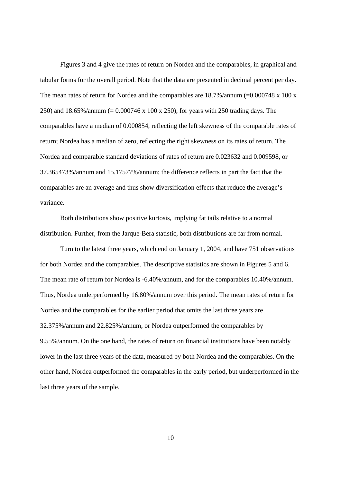Figures 3 and 4 give the rates of return on Nordea and the comparables, in graphical and tabular forms for the overall period. Note that the data are presented in decimal percent per day. The mean rates of return for Nordea and the comparables are  $18.7\%$ /annum (=0.000748 x 100 x 250) and 18.65%/annum (= 0.000746 x 100 x 250), for years with 250 trading days. The comparables have a median of 0.000854, reflecting the left skewness of the comparable rates of return; Nordea has a median of zero, reflecting the right skewness on its rates of return. The Nordea and comparable standard deviations of rates of return are 0.023632 and 0.009598, or 37.365473%/annum and 15.17577%/annum; the difference reflects in part the fact that the comparables are an average and thus show diversification effects that reduce the average's variance.

 Both distributions show positive kurtosis, implying fat tails relative to a normal distribution. Further, from the Jarque-Bera statistic, both distributions are far from normal.

 Turn to the latest three years, which end on January 1, 2004, and have 751 observations for both Nordea and the comparables. The descriptive statistics are shown in Figures 5 and 6. The mean rate of return for Nordea is -6.40%/annum, and for the comparables 10.40%/annum. Thus, Nordea underperformed by 16.80%/annum over this period. The mean rates of return for Nordea and the comparables for the earlier period that omits the last three years are 32.375%/annum and 22.825%/annum, or Nordea outperformed the comparables by 9.55%/annum. On the one hand, the rates of return on financial institutions have been notably lower in the last three years of the data, measured by both Nordea and the comparables. On the other hand, Nordea outperformed the comparables in the early period, but underperformed in the last three years of the sample.

10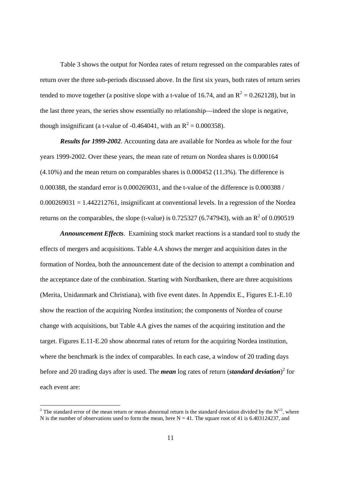Table 3 shows the output for Nordea rates of return regressed on the comparables rates of return over the three sub-periods discussed above. In the first six years, both rates of return series tended to move together (a positive slope with a t-value of 16.74, and an  $R^2 = 0.262128$ ), but in the last three years, the series show essentially no relationship—indeed the slope is negative, though insignificant (a t-value of -0.464041, with an  $R^2 = 0.000358$ ).

*Results for 1999-2002*. Accounting data are available for Nordea as whole for the four years 1999-2002. Over these years, the mean rate of return on Nordea shares is 0.000164 (4.10%) and the mean return on comparables shares is 0.000452 (11.3%). The difference is 0.000388, the standard error is 0.000269031, and the t-value of the difference is 0.000388 /  $0.000269031 = 1.442212761$ , insignificant at conventional levels. In a regression of the Nordea returns on the comparables, the slope (t-value) is 0.725327 (6.747943), with an  $R^2$  of 0.090519

*Announcement Effects*. Examining stock market reactions is a standard tool to study the effects of mergers and acquisitions. Table 4.A shows the merger and acquisition dates in the formation of Nordea, both the announcement date of the decision to attempt a combination and the acceptance date of the combination. Starting with Nordbanken, there are three acquisitions (Merita, Unidanmark and Christiana), with five event dates. In Appendix E., Figures E.1-E.10 show the reaction of the acquiring Nordea institution; the components of Nordea of course change with acquisitions, but Table 4.A gives the names of the acquiring institution and the target. Figures E.11-E.20 show abnormal rates of return for the acquiring Nordea institution, where the benchmark is the index of comparables. In each case, a window of 20 trading days before and 20 trading days after is used. The *mean* log rates of return (*standard deviation*)<sup>2</sup> for each event are:

-

<sup>&</sup>lt;sup>2</sup> The standard error of the mean return or mean abnormal return is the standard deviation divided by the  $N^{1/2}$ , where N is the number of observations used to form the mean, here  $N = 41$ . The square root of 41 is 6.403124237, and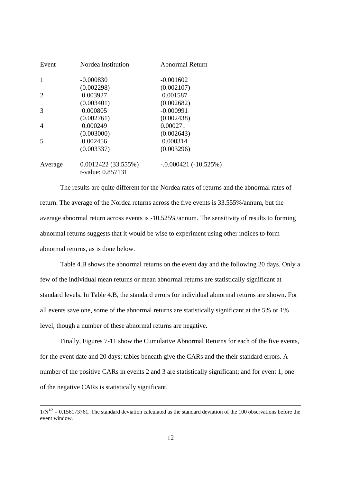| Event                       | Nordea Institution                      | Abnormal Return        |
|-----------------------------|-----------------------------------------|------------------------|
|                             | $-0.000830$                             | $-0.001602$            |
|                             | (0.002298)                              | (0.002107)             |
| $\mathcal{D}_{\mathcal{L}}$ | 0.003927                                | 0.001587               |
|                             | (0.003401)                              | (0.002682)             |
| 3                           | 0.000805                                | $-0.000991$            |
|                             | (0.002761)                              | (0.002438)             |
| 4                           | 0.000249                                | 0.000271               |
|                             | (0.003000)                              | (0.002643)             |
|                             | 0.002456                                | 0.000314               |
|                             | (0.003337)                              | (0.003296)             |
| Average                     | 0.0012422(33.555%)<br>t-value: 0.857131 | $-.0.000421(-10.525%)$ |

 The results are quite different for the Nordea rates of returns and the abnormal rates of return. The average of the Nordea returns across the five events is 33.555%/annum, but the average abnormal return across events is -10.525%/annum. The sensitivity of results to forming abnormal returns suggests that it would be wise to experiment using other indices to form abnormal returns, as is done below.

 Table 4.B shows the abnormal returns on the event day and the following 20 days. Only a few of the individual mean returns or mean abnormal returns are statistically significant at standard levels. In Table 4.B, the standard errors for individual abnormal returns are shown. For all events save one, some of the abnormal returns are statistically significant at the 5% or 1% level, though a number of these abnormal returns are negative.

 Finally, Figures 7-11 show the Cumulative Abnormal Returns for each of the five events, for the event date and 20 days; tables beneath give the CARs and the their standard errors. A number of the positive CARs in events 2 and 3 are statistically significant; and for event 1, one of the negative CARs is statistically significant.

 $1/N^{1/2} = 0.156173761$ . The standard deviation calculated as the standard deviation of the 100 observations before the event window.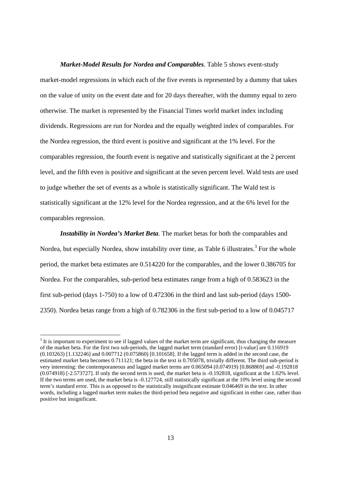*Market-Model Results for Nordea and Comparables*. Table 5 shows event-study market-model regressions in which each of the five events is represented by a dummy that takes on the value of unity on the event date and for 20 days thereafter, with the dummy equal to zero otherwise. The market is represented by the Financial Times world market index including dividends. Regressions are run for Nordea and the equally weighted index of comparables. For the Nordea regression, the third event is positive and significant at the 1% level. For the comparables regression, the fourth event is negative and statistically significant at the 2 percent level, and the fifth even is positive and significant at the seven percent level. Wald tests are used to judge whether the set of events as a whole is statistically significant. The Wald test is statistically significant at the 12% level for the Nordea regression, and at the 6% level for the comparables regression.

*Instability in Nordea's Market Beta*. The market betas for both the comparables and Nordea, but especially Nordea, show instability over time, as Table 6 illustrates.<sup>3</sup> For the whole period, the market beta estimates are 0.514220 for the comparables, and the lower 0.386705 for Nordea. For the comparables, sub-period beta estimates range from a high of 0.583623 in the first sub-period (days 1-750) to a low of 0.472306 in the third and last sub-period (days 1500- 2350). Nordea betas range from a high of 0.782306 in the first sub-period to a low of 0.045717

-

 $3$  It is important to experiment to see if lagged values of the market term are significant, thus changing the measure of the market beta. For the first two sub-periods, the lagged market term (standard error) [t-value] are 0.116919 (0.103263) [1.132246] and 0.007712 (0.075860) [0.101658]. If the lagged term is added in the second case, the estimated market beta becomes 0.711121; the beta in the text is 0.705078, trivially different. The third sub-period is very interesting: the contemporaneous and lagged market terms are 0.065094 (0.074919) [0.868869] and -0.192818 (0.074918) [-2.573727]. If only the second term is used, the market beta is -0.192818, significant at the 1.02% level. If the two terms are used, the market beta is -0.127724, still statistically significant at the 10% level using the second term's standard error. This is as opposed to the statistically insignificant estimate 0.046469 in the text. In other words, including a lagged market term makes the third-period beta negative and significant in either case, rather than positive but insignificant.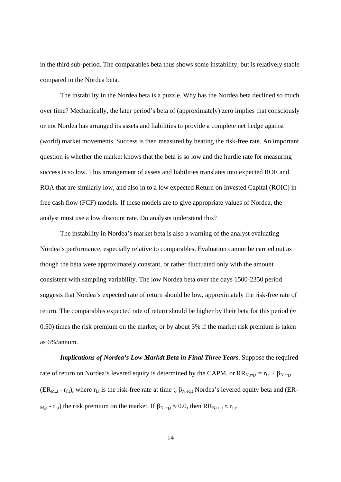in the third sub-period. The comparables beta thus shows some instability, but is relatively stable compared to the Nordea beta.

 The instability in the Nordea beta is a puzzle. Why has the Nordea beta declined so much over time? Mechanically, the later period's beta of (approximately) zero implies that consciously or not Nordea has arranged its assets and liabilities to provide a complete net hedge against (world) market movements. Success is then measured by beating the risk-free rate. An important question is whether the market knows that the beta is so low and the hurdle rate for measuring success is so low. This arrangement of assets and liabilities translates into expected ROE and ROA that are similarly low, and also in to a low expected Return on Invested Capital (ROIC) in free cash flow (FCF) models. If these models are to give appropriate values of Nordea, the analyst must use a low discount rate. Do analysts understand this?

The instability in Nordea's market beta is also a warning of the analyst evaluating Nordea's performance, especially relative to comparables. Evaluation cannot be carried out as though the beta were approximately constant, or rather fluctuated only with the amount consistent with sampling variability. The low Nordea beta over the days 1500-2350 period suggests that Nordea's expected rate of return should be low, approximately the risk-free rate of return. The comparables expected rate of return should be higher by their beta for this period ( $\approx$ 0.50) times the risk premium on the market, or by about 3% if the market risk premium is taken as 6%/annum.

*Implications of Nordea's Low Markdt Beta in Final Three Years*. Suppose the required rate of return on Nordea's levered equity is determined by the CAPM, or  $RR_{N,eq,t} = r_{f,t} + \beta_{N,eq,t}$ (ER<sub>M,,t</sub> - r<sub>f,t</sub>), where r<sub>f,t</sub> is the risk-free rate at time t,  $\beta_{N,eq,t}$  Nordea's levered equity beta and (ER- $_{M,t}$  -  $_{r}$ <sub>f,t</sub>) the risk premium on the market. If  $\beta_{N,eq,t} \approx 0.0$ , then  $RR_{N,eq,t} \approx r_{f,t}$ .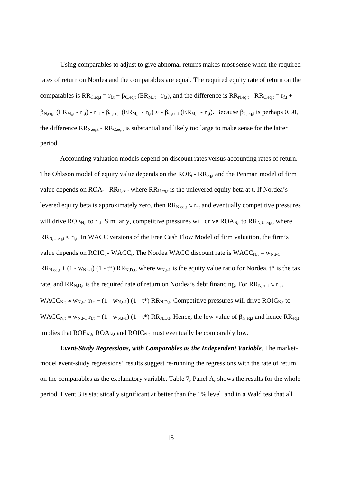Using comparables to adjust to give abnomal returns makes most sense when the required rates of return on Nordea and the comparables are equal. The required equity rate of return on the comparables is  $RR_{C,eq,t} = r_{f,t} + \beta_{C,eq,t}$  (ER<sub>M,t</sub> -  $r_{f,t}$ ), and the difference is  $RR_{N,eq,t}$  -  $RR_{C,eq,t} = r_{f,t} +$  $\beta_{N,eq,t}$  (ER<sub>M,,t</sub> - r<sub>f,t</sub>) - r<sub>f,t</sub> -  $\beta_{C,eq,t}$  (ER<sub>M,,t</sub> - r<sub>f,t</sub>) ≈ -  $\beta_{C,eq,t}$  (ER<sub>M,,t</sub> - r<sub>f,t</sub>). Because  $\beta_{C,eq,t}$  is perhaps 0.50, the difference  $RR_{N,eq,t}$  -  $RR_{C,eq,t}$  is substantial and likely too large to make sense for the latter period.

Accounting valuation models depend on discount rates versus accounting rates of return. The Ohlsson model of equity value depends on the  $ROE_t$  -  $RR_{eq,t}$  and the Penman model of firm value depends on  $ROA_t$  -  $RR_{U,eq,t}$  where  $RR_{U,eq,t}$  is the unlevered equity beta at t. If Nordea's levered equity beta is approximately zero, then  $RR_{N,eq,t} \approx r_{ft}$  and eventually competitive pressures will drive  $ROE_{N,t}$  to  $r_{f,t}$ . Similarly, competitive pressures will drive  $ROA_{N,t}$  to  $RR_{N,U,eq,t}$ , where  $RR_{N,U,eq,t} \approx r_{f,t}$ . In WACC versions of the Free Cash Flow Model of firm valuation, the firm's value depends on  $\text{ROIC}_t$  - WACC<sub>t</sub>. The Nordea WACC discount rate is  $\text{WACC}_{N,t} = w_{N,t-1}$  $RR_{N,eq,t}$  + (1 - w<sub>N,t-1</sub>) (1 - t\*)  $RR_{N,D,t}$ , where  $w_{N,t-1}$  is the equity value ratio for Nordea, t\* is the tax rate, and  $RR_{N,D,t}$  is the required rate of return on Nordea's debt financing. For  $RR_{N,eq,t} \approx r_{f,t}$ , WACC<sub>N,t</sub>  $\approx$  w<sub>N,t-1</sub> r<sub>f,t</sub> + (1 - w<sub>N,t-1</sub>) (1 - t\*) RR<sub>N,D,t</sub>. Competitive pressures will drive ROIC<sub>N,t</sub> to  $WACC_{N,t} \approx w_{N,t-1} r_{f,t} + (1 - w_{N,t-1}) (1 - t^*) RR_{N,t}$ . Hence, the low value of  $\beta_{N,eq,t}$  and hence  $RR_{eq,t}$ implies that  $ROE_{N,t}$ ,  $ROA_{N,t}$  and  $ROIC_{N,t}$  must eventually be comparably low.

*Event-Study Regressions, with Comparables as the Independent Variable*. The marketmodel event-study regressions' results suggest re-running the regressions with the rate of return on the comparables as the explanatory variable. Table 7, Panel A, shows the results for the whole period. Event 3 is statistically significant at better than the 1% level, and in a Wald test that all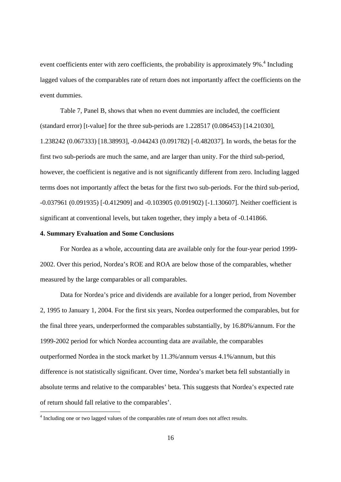event coefficients enter with zero coefficients, the probability is approximately  $9\%$ <sup>4</sup>. Including lagged values of the comparables rate of return does not importantly affect the coefficients on the event dummies.

Table 7, Panel B, shows that when no event dummies are included, the coefficient (standard error) [t-value] for the three sub-periods are 1.228517 (0.086453) [14.21030], 1.238242 (0.067333) [18.38993], -0.044243 (0.091782) [-0.482037]. In words, the betas for the first two sub-periods are much the same, and are larger than unity. For the third sub-period, however, the coefficient is negative and is not significantly different from zero. Including lagged terms does not importantly affect the betas for the first two sub-periods. For the third sub-period, -0.037961 (0.091935) [-0.412909] and -0.103905 (0.091902) [-1.130607]. Neither coefficient is significant at conventional levels, but taken together, they imply a beta of -0.141866.

#### **4. Summary Evaluation and Some Conclusions**

-

 For Nordea as a whole, accounting data are available only for the four-year period 1999- 2002. Over this period, Nordea's ROE and ROA are below those of the comparables, whether measured by the large comparables or all comparables.

Data for Nordea's price and dividends are available for a longer period, from November 2, 1995 to January 1, 2004. For the first six years, Nordea outperformed the comparables, but for the final three years, underperformed the comparables substantially, by 16.80%/annum. For the 1999-2002 period for which Nordea accounting data are available, the comparables outperformed Nordea in the stock market by 11.3%/annum versus 4.1%/annum, but this difference is not statistically significant. Over time, Nordea's market beta fell substantially in absolute terms and relative to the comparables' beta. This suggests that Nordea's expected rate of return should fall relative to the comparables'.

<sup>&</sup>lt;sup>4</sup> Including one or two lagged values of the comparables rate of return does not affect results.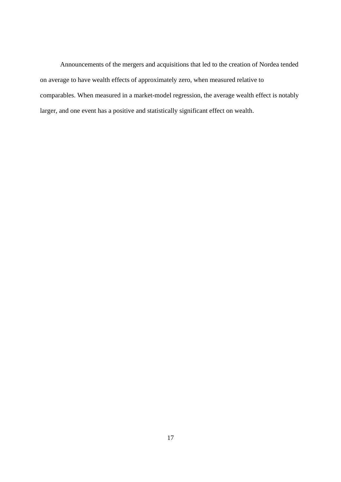Announcements of the mergers and acquisitions that led to the creation of Nordea tended on average to have wealth effects of approximately zero, when measured relative to comparables. When measured in a market-model regression, the average wealth effect is notably larger, and one event has a positive and statistically significant effect on wealth.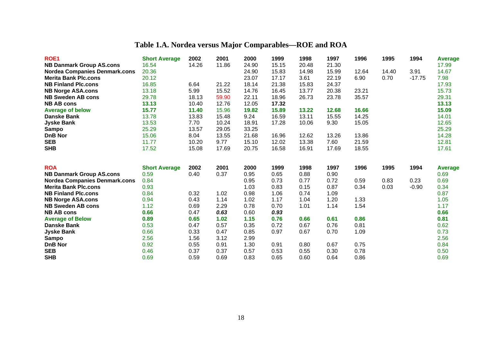# **Table 1.A. Nordea versus Major Comparables—ROE and ROA**

| <b>ROE1</b>                          | <b>Short Average</b> | 2002         | 2001         | 2000         | 1999         | 1998         | 1997         | 1996         | 1995  | 1994     | <b>Average</b> |
|--------------------------------------|----------------------|--------------|--------------|--------------|--------------|--------------|--------------|--------------|-------|----------|----------------|
| <b>NB Danmark Group AS.cons</b>      | 16.54                | 14.26        | 11.86        | 24.90        | 15.15        | 20.48        | 21.30        |              |       |          | 17.99          |
| <b>Nordea Companies Denmark.cons</b> | 20.36                |              |              | 24.90        | 15.83        | 14.98        | 15.99        | 12.64        | 14.40 | 3.91     | 14.67          |
| <b>Merita Bank Plc.cons</b>          | 20.12                |              |              | 23.07        | 17.17        | 3.61         | 22.19        | 6.90         | 0.70  | $-17.75$ | 7.98           |
| <b>NB Finland Plc.cons</b>           | 16.85                | 6.64         | 21.22        | 18.14        | 21.38        | 15.83        | 24.37        |              |       |          | 17.93          |
| <b>NB Norge ASA.cons</b>             | 13.18                | 5.99         | 15.52        | 14.76        | 16.45        | 13.77        | 20.38        | 23.21        |       |          | 15.73          |
| <b>NB Sweden AB cons</b>             | 29.78                | 18.13        | 59.90        | 22.11        | 18.96        | 26.73        | 23.78        | 35.57        |       |          | 29.31          |
| <b>NB AB cons</b>                    | 13.13                | 10.40        | 12.76        | 12.05        | 17.32        |              |              |              |       |          | 13.13          |
| <b>Average of below</b>              | 15.77                | 11.40        | 15.96        | 19.82        | 15.89        | 13.22        | 12.68        | 16.66        |       |          | 15.09          |
| <b>Danske Bank</b>                   | 13.78                | 13.83        | 15.48        | 9.24         | 16.59        | 13.11        | 15.55        | 14.25        |       |          | 14.01          |
| <b>Jyske Bank</b>                    | 13.53                | 7.70         | 10.24        | 18.91        | 17.28        | 10.06        | 9.30         | 15.05        |       |          | 12.65          |
| <b>Sampo</b>                         | 25.29                | 13.57        | 29.05        | 33.25        |              |              |              |              |       |          | 25.29          |
| <b>DnB Nor</b>                       | 15.06                | 8.04         | 13.55        | 21.68        | 16.96        | 12.62        | 13.26        | 13.86        |       |          | 14.28          |
| <b>SEB</b>                           | 11.77                | 10.20        | 9.77         | 15.10        | 12.02        | 13.38        | 7.60         | 21.59        |       |          | 12.81          |
| <b>SHB</b>                           | 17.52                | 15.08        | 17.69        | 20.75        | 16.58        | 16.91        | 17.69        | 18.55        |       |          | 17.61          |
|                                      |                      |              |              |              |              |              |              |              |       |          |                |
| <b>ROA</b>                           |                      |              | 2001         | 2000         | 1999         | 1998         | 1997         |              |       |          |                |
|                                      | <b>Short Average</b> | 2002         |              |              |              |              |              | 1996         | 1995  | 1994     | <b>Average</b> |
|                                      |                      |              |              |              |              |              |              |              |       |          |                |
| <b>NB Danmark Group AS.cons</b>      | 0.59                 | 0.40         | 0.37         | 0.95         | 0.65         | 0.88         | 0.90         |              |       |          | 0.69           |
| <b>Nordea Companies Denmark.cons</b> | 0.84                 |              |              | 0.95         | 0.73         | 0.77         | 0.72         | 0.59         | 0.83  | 0.23     | 0.69           |
| <b>Merita Bank Plc.cons</b>          | 0.93                 |              |              | 1.03         | 0.83         | 0.15         | 0.87         | 0.34         | 0.03  | $-0.90$  | 0.34           |
| <b>NB Finland Plc.cons</b>           | 0.84                 | 0.32         | 1.02         | 0.98         | 1.06         | 0.74         | 1.09         |              |       |          | 0.87           |
| <b>NB Norge ASA.cons</b>             | 0.94                 | 0.43         | 1.14         | 1.02         | 1.17         | 1.04         | 1.20         | 1.33         |       |          | 1.05           |
| <b>NB Sweden AB cons</b>             | 1.12                 | 0.69         | 2.29         | 0.78         | 0.70         | 1.01         | 1.14         | 1.54         |       |          | 1.17           |
| <b>NB AB cons</b>                    | 0.66                 | 0.47         | 0.63         | 0.60         | 0.93         |              |              |              |       |          | 0.66           |
| <b>Average of Below</b>              | 0.89                 | 0.65         | 1.02         | 1.15         | 0.76         | 0.66         | 0.61         | 0.86         |       |          | 0.81           |
| <b>Danske Bank</b>                   | 0.53                 | 0.47         | 0.57         | 0.35         | 0.72         | 0.67         | 0.76         | 0.81         |       |          | 0.62           |
| <b>Jyske Bank</b>                    | 0.66                 | 0.33         | 0.47         | 0.85         | 0.97         | 0.67         | 0.70         | 1.09         |       |          | 0.73           |
| <b>Sampo</b>                         | 2.56                 | 1.56         | 3.12         | 2.99         |              |              |              |              |       |          | 2.56           |
| <b>DnB Nor</b><br><b>SEB</b>         | 0.92<br>0.46         | 0.55<br>0.37 | 0.91<br>0.37 | 1.30<br>0.57 | 0.91<br>0.53 | 0.80<br>0.55 | 0.67<br>0.30 | 0.75<br>0.78 |       |          | 0.84<br>0.50   |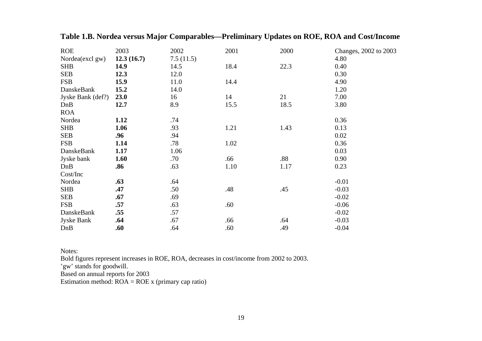| <b>ROE</b>        | 2003       | 2002      | 2001 | 2000 | Changes, 2002 to 2003 |
|-------------------|------------|-----------|------|------|-----------------------|
| Nordea(excl gw)   | 12.3(16.7) | 7.5(11.5) |      |      | 4.80                  |
| <b>SHB</b>        | 14.9       | 14.5      | 18.4 | 22.3 | 0.40                  |
| <b>SEB</b>        | 12.3       | 12.0      |      |      | 0.30                  |
| <b>FSB</b>        | 15.9       | 11.0      | 14.4 |      | 4.90                  |
| DanskeBank        | 15.2       | 14.0      |      |      | 1.20                  |
| Jyske Bank (def?) | 23.0       | 16        | 14   | 21   | 7.00                  |
| DnB               | 12.7       | 8.9       | 15.5 | 18.5 | 3.80                  |
| <b>ROA</b>        |            |           |      |      |                       |
| Nordea            | 1.12       | .74       |      |      | 0.36                  |
| <b>SHB</b>        | 1.06       | .93       | 1.21 | 1.43 | 0.13                  |
| <b>SEB</b>        | .96        | .94       |      |      | 0.02                  |
| <b>FSB</b>        | 1.14       | .78       | 1.02 |      | 0.36                  |
| DanskeBank        | 1.17       | 1.06      |      |      | 0.03                  |
| Jyske bank        | 1.60       | .70       | .66  | .88  | 0.90                  |
| DnB               | .86        | .63       | 1.10 | 1.17 | 0.23                  |
| Cost/Inc          |            |           |      |      |                       |
| Nordea            | .63        | .64       |      |      | $-0.01$               |
| <b>SHB</b>        | .47        | .50       | .48  | .45  | $-0.03$               |
| <b>SEB</b>        | .67        | .69       |      |      | $-0.02$               |
| <b>FSB</b>        | .57        | .63       | .60  |      | $-0.06$               |
| DanskeBank        | .55        | .57       |      |      | $-0.02$               |
| <b>Jyske Bank</b> | .64        | .67       | .66  | .64  | $-0.03$               |
| DnB               | .60        | .64       | .60  | .49  | $-0.04$               |

**Table 1.B. Nordea versus Major Comparables—Preliminary Updates on ROE, ROA and Cost/Income**

Notes:

Bold figures represent increases in ROE, ROA, decreases in cost/income from 2002 to 2003.

'gw' stands for goodwill.

Based on annual reports for 2003

Estimation method:  $ROA = ROE$  x (primary cap ratio)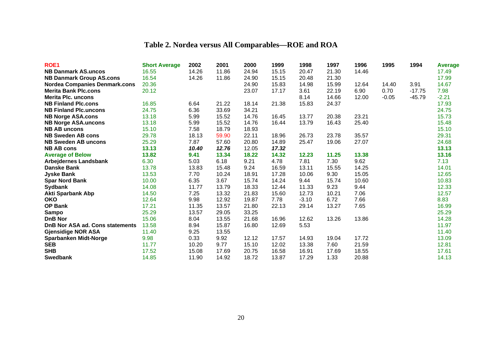# **Table 2. Nordea versus All Comparables—ROE and ROA**

| ROE <sub>1</sub>                     | <b>Short Average</b> | 2002  | 2001  | 2000  | 1999  | 1998    | 1997  | 1996  | 1995    | 1994     | <b>Average</b> |
|--------------------------------------|----------------------|-------|-------|-------|-------|---------|-------|-------|---------|----------|----------------|
| <b>NB Danmark AS.uncos</b>           | 16.55                | 14.26 | 11.86 | 24.94 | 15.15 | 20.47   | 21.30 | 14.46 |         |          | 17.49          |
| <b>NB Danmark Group AS.cons</b>      | 16.54                | 14.26 | 11.86 | 24.90 | 15.15 | 20.48   | 21.30 |       |         |          | 17.99          |
| <b>Nordea Companies Denmark.cons</b> | 20.36                |       |       | 24.90 | 15.83 | 14.98   | 15.99 | 12.64 | 14.40   | 3.91     | 14.67          |
| <b>Merita Bank Plc.cons</b>          | 20.12                |       |       | 23.07 | 17.17 | 3.61    | 22.19 | 6.90  | 0.70    | $-17.75$ | 7.98           |
| <b>Merita Plc. uncons</b>            |                      |       |       |       |       | 8.14    | 14.66 | 12.00 | $-0.05$ | $-45.79$ | $-2.21$        |
| <b>NB Finland Plc.cons</b>           | 16.85                | 6.64  | 21.22 | 18.14 | 21.38 | 15.83   | 24.37 |       |         |          | 17.93          |
| <b>NB Finland Plc.uncons</b>         | 24.75                | 6.36  | 33.69 | 34.21 |       |         |       |       |         |          | 24.75          |
| <b>NB Norge ASA.cons</b>             | 13.18                | 5.99  | 15.52 | 14.76 | 16.45 | 13.77   | 20.38 | 23.21 |         |          | 15.73          |
| <b>NB Norge ASA.uncons</b>           | 13.18                | 5.99  | 15.52 | 14.76 | 16.44 | 13.79   | 16.43 | 25.40 |         |          | 15.48          |
| <b>NB AB uncons</b>                  | 15.10                | 7.58  | 18.79 | 18.93 |       |         |       |       |         |          | 15.10          |
| <b>NB Sweden AB cons</b>             | 29.78                | 18.13 | 59.90 | 22.11 | 18.96 | 26.73   | 23.78 | 35.57 |         |          | 29.31          |
| <b>NB Sweden AB uncons</b>           | 25.29                | 7.87  | 57.60 | 20.80 | 14.89 | 25.47   | 19.06 | 27.07 |         |          | 24.68          |
| <b>NB AB cons</b>                    | 13.13                | 10.40 | 12.76 | 12.05 | 17.32 |         |       |       |         |          | 13.13          |
| <b>Average of Below</b>              | 13.82                | 9.41  | 13.34 | 18.22 | 14.32 | 12.23   | 11.25 | 13.38 |         |          | 13.16          |
| <b>Arbejdernes Landsbank</b>         | 6.30                 | 5.03  | 6.18  | 9.21  | 4.78  | 7.81    | 7.30  | 9.62  |         |          | 7.13           |
| <b>Danske Bank</b>                   | 13.78                | 13.83 | 15.48 | 9.24  | 16.59 | 13.11   | 15.55 | 14.25 |         |          | 14.01          |
| <b>Jyske Bank</b>                    | 13.53                | 7.70  | 10.24 | 18.91 | 17.28 | 10.06   | 9.30  | 15.05 |         |          | 12.65          |
| <b>Spar Nord Bank</b>                | 10.00                | 6.35  | 3.67  | 15.74 | 14.24 | 9.44    | 15.74 | 10.60 |         |          | 10.83          |
| <b>Sydbank</b>                       | 14.08                | 11.77 | 13.79 | 18.33 | 12.44 | 11.33   | 9.23  | 9.44  |         |          | 12.33          |
| <b>Akti Sparbank Abp</b>             | 14.50                | 7.25  | 13.32 | 21.83 | 15.60 | 12.73   | 10.21 | 7.06  |         |          | 12.57          |
| <b>OKO</b>                           | 12.64                | 9.98  | 12.92 | 19.87 | 7.78  | $-3.10$ | 6.72  | 7.66  |         |          | 8.83           |
| <b>OP Bank</b>                       | 17.21                | 11.35 | 13.57 | 21.80 | 22.13 | 29.14   | 13.27 | 7.65  |         |          | 16.99          |
| <b>Sampo</b>                         | 25.29                | 13.57 | 29.05 | 33.25 |       |         |       |       |         |          | 25.29          |
| <b>DnB Nor</b>                       | 15.06                | 8.04  | 13.55 | 21.68 | 16.96 | 12.62   | 13.26 | 13.86 |         |          | 14.28          |
| DnB Nor ASA ad. Cons statements      | 13.58                | 8.94  | 15.87 | 16.80 | 12.69 | 5.53    |       |       |         |          | 11.97          |
| <b>Gjensidige NOR ASA</b>            | 11.40                | 9.25  | 13.55 |       |       |         |       |       |         |          | 11.40          |
| <b>Sparbanken Midt-Norge</b>         | 9.98                 | 0.33  | 9.92  | 12.12 | 17.57 | 14.93   | 19.04 | 17.72 |         |          | 13.09          |
| <b>SEB</b>                           | 11.77                | 10.20 | 9.77  | 15.10 | 12.02 | 13.38   | 7.60  | 21.59 |         |          | 12.81          |
| <b>SHB</b>                           | 17.52                | 15.08 | 17.69 | 20.75 | 16.58 | 16.91   | 17.69 | 18.55 |         |          | 17.61          |
| <b>Swedbank</b>                      | 14.85                | 11.90 | 14.92 | 18.72 | 13.87 | 17.29   | 1.33  | 20.88 |         |          | 14.13          |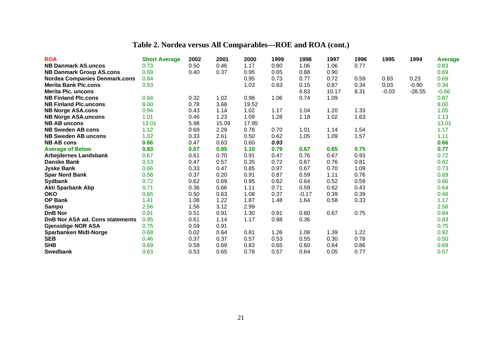# **Table 2. Nordea versus All Comparables—ROE and ROA (cont.)**

| <b>ROA</b>                             | <b>Short Average</b> | 2002 | 2001  | 2000  | 1999 | 1998    | 1997  | 1996 | 1995    | 1994     | <b>Average</b> |
|----------------------------------------|----------------------|------|-------|-------|------|---------|-------|------|---------|----------|----------------|
| <b>NB Danmark AS.uncos</b>             | 0.73                 | 0.50 | 0.46  | 1.17  | 0.80 | 1.06    | 1.06  | 0.77 |         |          | 0.83           |
| <b>NB Danmark Group AS.cons</b>        | 0.59                 | 0.40 | 0.37  | 0.95  | 0.65 | 0.88    | 0.90  |      |         |          | 0.69           |
| <b>Nordea Companies Denmark.cons</b>   | 0.84                 |      |       | 0.95  | 0.73 | 0.77    | 0.72  | 0.59 | 0.83    | 0.23     | 0.69           |
| <b>Merita Bank Plc.cons</b>            | 0.93                 |      |       | 1.03  | 0.83 | 0.15    | 0.87  | 0.34 | 0.03    | $-0.90$  | 0.34           |
| <b>Merita Plc. uncons</b>              |                      |      |       |       |      | 6.83    | 10.17 | 8.31 | $-0.03$ | $-28.55$ | $-0.66$        |
| <b>NB Finland Plc.cons</b>             | 0.84                 | 0.32 | 1.02  | 0.98  | 1.06 | 0.74    | 1.09  |      |         |          | 0.87           |
| <b>NB Finland Plc.uncons</b>           | 8.00                 | 0.78 | 3.68  | 19.52 |      |         |       |      |         |          | 8.00           |
| <b>NB Norge ASA.cons</b>               | 0.94                 | 0.43 | 1.14  | 1.02  | 1.17 | 1.04    | 1.20  | 1.33 |         |          | 1.05           |
| <b>NB Norge ASA.uncons</b>             | 1.01                 | 0.46 | 1.23  | 1.09  | 1.28 | 1.18    | 1.02  | 1.63 |         |          | 1.13           |
| <b>NB AB uncons</b>                    | 13.01                | 5.98 | 15.09 | 17.95 |      |         |       |      |         |          | 13.01          |
| <b>NB Sweden AB cons</b>               | 1.12                 | 0.69 | 2.29  | 0.78  | 0.70 | 1.01    | 1.14  | 1.54 |         |          | 1.17           |
| <b>NB Sweden AB uncons</b>             | 1.02                 | 0.33 | 2.61  | 0.50  | 0.62 | 1.05    | 1.09  | 1.57 |         |          | 1.11           |
| <b>NB AB cons</b>                      | 0.66                 | 0.47 | 0.63  | 0.60  | 0.93 |         |       |      |         |          | 0.66           |
| <b>Average of Below</b>                | 0.83                 | 0.57 | 0.85  | 1.10  | 0.79 | 0.67    | 0.65  | 0.75 |         |          | 0.77           |
| <b>Arbejdernes Landsbank</b>           | 0.67                 | 0.61 | 0.70  | 0.91  | 0.47 | 0.76    | 0.67  | 0.93 |         |          | 0.72           |
| <b>Danske Bank</b>                     | 0.53                 | 0.47 | 0.57  | 0.35  | 0.72 | 0.67    | 0.76  | 0.81 |         |          | 0.62           |
| <b>Jyske Bank</b>                      | 0.66                 | 0.33 | 0.47  | 0.85  | 0.97 | 0.67    | 0.70  | 1.09 |         |          | 0.73           |
| <b>Spar Nord Bank</b>                  | 0.58                 | 0.37 | 0.20  | 0.91  | 0.87 | 0.59    | 1.11  | 0.76 |         |          | 0.69           |
| <b>Sydbank</b>                         | 0.72                 | 0.62 | 0.69  | 0.95  | 0.62 | 0.64    | 0.52  | 0.59 |         |          | 0.66           |
| <b>Akti Sparbank Abp</b>               | 0.71                 | 0.36 | 0.66  | 1.11  | 0.71 | 0.59    | 0.62  | 0.43 |         |          | 0.64           |
| <b>OKO</b>                             | 0.65                 | 0.50 | 0.63  | 1.08  | 0.37 | $-0.17$ | 0.39  | 0.39 |         |          | 0.46           |
| <b>OP Bank</b>                         | 1.41                 | 1.08 | 1.22  | 1.87  | 1.48 | 1.64    | 0.58  | 0.33 |         |          | 1.17           |
| Sampo                                  | 2.56                 | 1.56 | 3.12  | 2.99  |      |         |       |      |         |          | 2.56           |
| <b>DnB Nor</b>                         | 0.91                 | 0.51 | 0.91  | 1.30  | 0.91 | 0.80    | 0.67  | 0.75 |         |          | 0.84           |
| <b>DnB Nor ASA ad. Cons statements</b> | 0.95                 | 0.61 | 1.14  | 1.17  | 0.88 | 0.36    |       |      |         |          | 0.83           |
| <b>Gjensidige NOR ASA</b>              | 0.75                 | 0.59 | 0.91  |       |      |         |       |      |         |          | 0.75           |
| <b>Sparbanken Midt-Norge</b>           | 0.68                 | 0.02 | 0.64  | 0.81  | 1.26 | 1.08    | 1.39  | 1.22 |         |          | 0.92           |
| <b>SEB</b>                             | 0.46                 | 0.37 | 0.37  | 0.57  | 0.53 | 0.55    | 0.30  | 0.78 |         |          | 0.50           |
| <b>SHB</b>                             | 0.69                 | 0.59 | 0.69  | 0.83  | 0.65 | 0.60    | 0.64  | 0.86 |         |          | 0.69           |
| <b>Swedbank</b>                        | 0.63                 | 0.53 | 0.65  | 0.78  | 0.57 | 0.64    | 0.05  | 0.77 |         |          | 0.57           |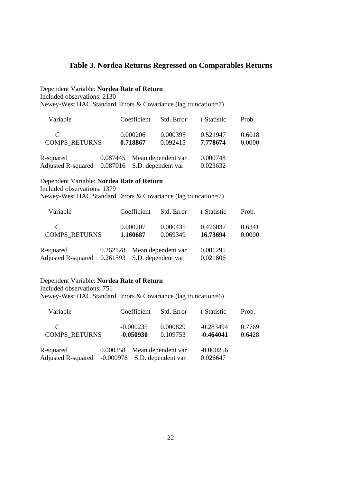## **Table 3. Nordea Returns Regressed on Comparables Returns**

Dependent Variable: **Nordea Rate of Return**

Included observations: 2130

Newey-West HAC Standard Errors & Covariance (lag truncation=7)

| Variable                                                    | Coefficient          | Std. Error                  | t-Statistic          | Prob.            |
|-------------------------------------------------------------|----------------------|-----------------------------|----------------------|------------------|
| C<br><b>COMPS RETURNS</b>                                   | 0.000206<br>0.718867 | 0.000395<br>0.092415        | 0.521947<br>7.778674 | 0.6018<br>0.0000 |
| R-squared<br>Adjusted R-squared 0.087016 S.D. dependent var |                      | 0.087445 Mean dependent var | 0.000748<br>0.023632 |                  |

## Dependent Variable: **Nordea Rate of Return** Included observations: 1379

Newey-West HAC Standard Errors & Covariance (lag truncation=7)

| Variable                                                    | Coefficient          | Std. Error                  | t-Statistic          | Prob.            |
|-------------------------------------------------------------|----------------------|-----------------------------|----------------------|------------------|
| C<br><b>COMPS RETURNS</b>                                   | 0.000207<br>1.160687 | 0.000435<br>0.069349        | 0.476037<br>16.73694 | 0.6341<br>0.0000 |
| R-squared<br>Adjusted R-squared 0.261593 S.D. dependent var |                      | 0.262128 Mean dependent var | 0.001295<br>0.021806 |                  |

### Dependent Variable: **Nordea Rate of Return**

Included observations: 751

Newey-West HAC Standard Errors & Covariance (lag truncation=6)

| Variable                                                     |                             | Coefficient                | Std. Error           | t-Statistic                | Prob.            |
|--------------------------------------------------------------|-----------------------------|----------------------------|----------------------|----------------------------|------------------|
| C<br><b>COMPS RETURNS</b>                                    |                             | $-0.000235$<br>$-0.050930$ | 0.000829<br>0.109753 | $-0.283494$<br>$-0.464041$ | 0.7769<br>0.6428 |
| R-squared<br>Adjusted R-squared -0.000976 S.D. dependent var | 0.000358 Mean dependent var |                            |                      | $-0.000256$<br>0.026647    |                  |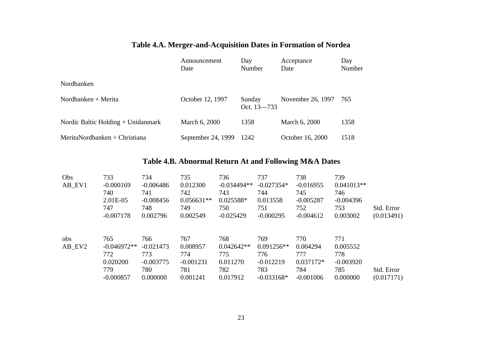|                                      | Announcement<br>Date | Day<br>Number             | Acceptance<br>Date | Day<br>Number |
|--------------------------------------|----------------------|---------------------------|--------------------|---------------|
| Nordbanken                           |                      |                           |                    |               |
| Nordbanken + Merita                  | October 12, 1997     | Sunday<br>Oct. $13 - 733$ | November 26, 1997  | 765           |
| Nordic Baltic Holding $+$ Unidanmark | March 6, 2000        | 1358                      | March 6, 2000      | 1358          |
| MeritaNordbanken + Christiana        | September 24, 1999   | 1242                      | October 16, 2000   | 1518          |

## **Table 4.A. Merger-and-Acquisition Dates in Formation of Nordea**

## **Table 4.B. Abnormal Return At and Following M&A Dates**

| Obs    | 733           | 734         | 735          | 736           | 737          | 738         | 739          |            |
|--------|---------------|-------------|--------------|---------------|--------------|-------------|--------------|------------|
| AB_EV1 | $-0.000169$   | $-0.006486$ | 0.012300     | $-0.034494**$ | $-0.027354*$ | $-0.016955$ | $0.041013**$ |            |
|        | 740           | 741         | 742          | 743           | 744          | 745         | 746          |            |
|        | 2.01E-05      | $-0.008456$ | $0.056631**$ | $0.025588*$   | 0.013558     | $-0.005287$ | $-0.004396$  |            |
|        | 747           | 748         | 749          | 750           | 751          | 752         | 753          | Std. Error |
|        | $-0.007178$   | 0.002796    | 0.002549     | $-0.025429$   | $-0.000295$  | $-0.004612$ | 0.003002     | (0.013491) |
| obs    | 765           | 766         | 767          | 768           | 769          | 770         | 771          |            |
| AB EV2 | $-0.046972**$ | $-0.021473$ | 0.008957     | $0.042642**$  | $0.091256**$ | 0.004294    | 0.005552     |            |
|        | 772           | 773         | 774          | 775           | 776          | 777         | 778          |            |
|        | 0.020200      | $-0.003775$ | $-0.001231$  | 0.011270      | $-0.012219$  | $0.037172*$ | $-0.003920$  |            |
|        | 779           | 780         | 781          | 782           | 783          | 784         | 785          | Std. Error |
|        | $-0.000857$   | 0.000000    | 0.001241     | 0.017912      | $-0.033168*$ | $-0.001006$ | 0.000000     | (0.017171) |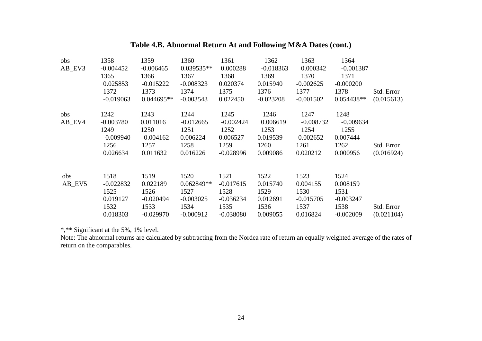## **Table 4.B. Abnormal Return At and Following M&A Dates (cont.)**

| obs    | 1358        | 1359         | 1360         | 1361        | 1362        | 1363        | 1364         |            |
|--------|-------------|--------------|--------------|-------------|-------------|-------------|--------------|------------|
| AB_EV3 | $-0.004452$ | $-0.006465$  | $0.039535**$ | 0.000288    | $-0.018363$ | 0.000342    | $-0.001387$  |            |
|        | 1365        | 1366         | 1367         | 1368        | 1369        | 1370        | 1371         |            |
|        | 0.025853    | $-0.015222$  | $-0.008323$  | 0.020374    | 0.015940    | $-0.002625$ | $-0.000200$  |            |
|        | 1372        | 1373         | 1374         | 1375        | 1376        | 1377        | 1378         | Std. Error |
|        | $-0.019063$ | $0.044695**$ | $-0.003543$  | 0.022450    | $-0.023208$ | $-0.001502$ | $0.054438**$ | (0.015613) |
| obs    | 1242        | 1243         | 1244         | 1245        | 1246        | 1247        | 1248         |            |
| AB_EV4 | $-0.003780$ | 0.011016     | $-0.012665$  | $-0.002424$ | 0.006619    | $-0.008732$ | $-0.009634$  |            |
|        | 1249        | 1250         | 1251         | 1252        | 1253        | 1254        | 1255         |            |
|        | $-0.009940$ | $-0.004162$  | 0.006224     | 0.006527    | 0.019539    | $-0.002652$ | 0.007444     |            |
|        | 1256        | 1257         | 1258         | 1259        | 1260        | 1261        | 1262         | Std. Error |
|        | 0.026634    | 0.011632     | 0.016226     | $-0.028996$ | 0.009086    | 0.020212    | 0.000956     | (0.016924) |
|        |             |              | 1520         |             |             |             |              |            |
| obs    | 1518        | 1519         |              | 1521        | 1522        | 1523        | 1524         |            |
| AB_EV5 | $-0.022832$ | 0.022189     | $0.062849**$ | $-0.017615$ | 0.015740    | 0.004155    | 0.008159     |            |
|        | 1525        | 1526         | 1527         | 1528        | 1529        | 1530        | 1531         |            |
|        | 0.019127    | $-0.020494$  | $-0.003025$  | $-0.036234$ | 0.012691    | $-0.015705$ | $-0.003247$  |            |
|        | 1532        | 1533         | 1534         | 1535        | 1536        | 1537        | 1538         | Std. Error |
|        | 0.018303    | $-0.029970$  | $-0.000912$  | $-0.038080$ | 0.009055    | 0.016824    | $-0.002009$  | (0.021104) |

\*,\*\* Significant at the 5%, 1% level.

Note: The abnormal returns are calculated by subtracting from the Nordea rate of return an equally weighted average of the rates of return on the comparables.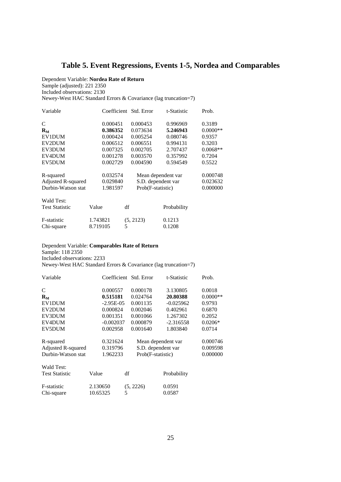## **Table 5. Event Regressions, Events 1-5, Nordea and Comparables**

Dependent Variable: **Nordea Rate of Return** Sample (adjusted): 221 2350 Included observations: 2130 Newey-West HAC Standard Errors & Covariance (lag truncation=7)

| Variable              |          | Coefficient Std. Error | t-Statistic        | Prob.      |
|-----------------------|----------|------------------------|--------------------|------------|
| C                     | 0.000451 | 0.000453               | 0.996969           | 0.3189     |
| $R_{\rm M}$           | 0.386352 | 0.073634               | 5.246943           | $0.0000**$ |
| <b>EV1DUM</b>         | 0.000424 | 0.005254               | 0.080746           | 0.9357     |
| EV2DUM                | 0.006512 | 0.006551               | 0.994131           | 0.3203     |
| EV3DUM                | 0.007325 | 0.002705               | 2.707437           | $0.0068**$ |
| EV4DUM                | 0.001278 | 0.003570               | 0.357992           | 0.7204     |
| EV5DUM                | 0.002729 | 0.004590               | 0.594549           | 0.5522     |
| R-squared             | 0.032574 |                        | Mean dependent var | 0.000748   |
| Adjusted R-squared    | 0.029840 | S.D. dependent var     |                    | 0.023632   |
| Durbin-Watson stat    | 1.981597 | Prob(F-statistic)      |                    | 0.000000   |
| <b>Wald Test:</b>     |          |                        |                    |            |
| <b>Test Statistic</b> | Value    | df                     | Probability        |            |
| F-statistic           | 1.743821 | (5, 2123)              | 0.1213             |            |
| Chi-square            | 8.719105 | 5                      | 0.1208             |            |

#### Dependent Variable: **Comparables Rate of Return** Sample: 118 2350 Included observations: 2233

Newey-West HAC Standard Errors & Covariance (lag truncation=7)

| Variable              |              | Coefficient Std. Error | t-Statistic        | Prob.      |
|-----------------------|--------------|------------------------|--------------------|------------|
| C                     | 0.000557     | 0.000178               | 3.130805           | 0.0018     |
| $R_M$                 | 0.515181     | 0.024764               | 20.80388           | $0.0000**$ |
| EV1DUM                | $-2.95E-0.5$ | 0.001135               | $-0.025962$        | 0.9793     |
| EV2DUM                | 0.000824     | 0.002046               | 0.402961           | 0.6870     |
| EV3DUM                | 0.001351     | 0.001066               | 1.267302           | 0.2052     |
| EV4DUM                | $-0.002037$  | 0.000879               | $-2.316558$        | $0.0206*$  |
| EV5DUM                | 0.002958     | 0.001640               | 1.803840           | 0.0714     |
| R-squared             | 0.321624     |                        | Mean dependent var | 0.000746   |
| Adjusted R-squared    | 0.319796     |                        | S.D. dependent var | 0.009598   |
| Durbin-Watson stat    | 1.962233     | Prob(F-statistic)      |                    | 0.000000   |
| Wald Test:            |              |                        |                    |            |
| <b>Test Statistic</b> | Value        | df                     | Probability        |            |

| Test Statistic | <b>v</b> alue | αr        | Probabil |
|----------------|---------------|-----------|----------|
| F-statistic    | 2.130650      | (5, 2226) | 0.0591   |
| Chi-square     | 10.65325      |           | 0.0587   |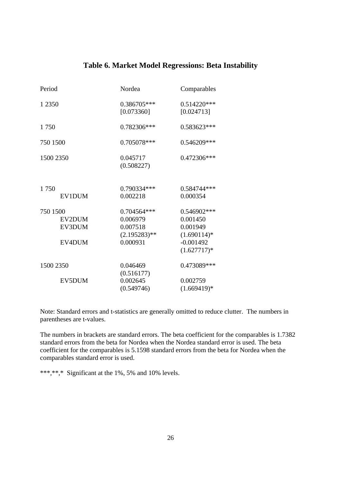## **Table 6. Market Model Regressions: Beta Instability**

| Period                       | Nordea                                                | Comparables                                          |
|------------------------------|-------------------------------------------------------|------------------------------------------------------|
| 1 2 3 5 0                    | 0.386705***<br>[0.073360]                             | $0.514220***$<br>[0.024713]                          |
| 1750                         | 0.782306***                                           | 0.583623***                                          |
| 750 1500                     | 0.705078 ***                                          | 0.546209***                                          |
| 1500 2350                    | 0.045717<br>(0.508227)                                | 0.472306***                                          |
| 1750<br><b>EV1DUM</b>        | 0.790334***<br>0.002218                               | 0.584744***<br>0.000354                              |
| 750 1500<br>EV2DUM<br>EV3DUM | 0.704564***<br>0.006979<br>0.007518<br>$(2.195283)**$ | 0.546902***<br>0.001450<br>0.001949<br>$(1.690114)*$ |
| EV4DUM                       | 0.000931                                              | $-0.001492$<br>$(1.627717)*$                         |
| 1500 2350                    | 0.046469<br>(0.516177)                                | 0.473089***                                          |
| EV5DUM                       | 0.002645<br>(0.549746)                                | 0.002759<br>$(1.669419)*$                            |

Note: Standard errors and t-statistics are generally omitted to reduce clutter. The numbers in parentheses are t-values.

The numbers in brackets are standard errors. The beta coefficient for the comparables is 1.7382 standard errors from the beta for Nordea when the Nordea standard error is used. The beta coefficient for the comparables is 5.1598 standard errors from the beta for Nordea when the comparables standard error is used.

\*\*\*,\*\*,\* Significant at the 1%, 5% and 10% levels.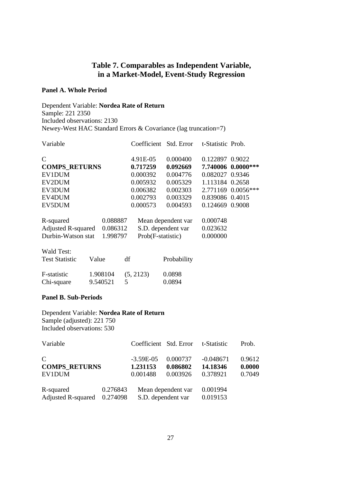## **Table 7. Comparables as Independent Variable, in a Market-Model, Event-Study Regression**

### **Panel A. Whole Period**

Dependent Variable: **Nordea Rate of Return** Sample: 221 2350 Included observations: 2130 Newey-West HAC Standard Errors & Covariance (lag truncation=7)

| Variable                       |          | Coefficient Std. Error |                    | t-Statistic Prob. |                    |
|--------------------------------|----------|------------------------|--------------------|-------------------|--------------------|
| $\mathcal{C}$                  |          | 4.91E-05               | 0.000400           | 0.122897 0.9022   |                    |
| <b>COMPS RETURNS</b>           |          | 0.717259               | 0.092669           |                   | 7.740006 0.0000*** |
| EV1DUM                         |          | 0.000392               | 0.004776           | 0.082027 0.9346   |                    |
| EV2DUM                         |          | 0.005932               | 0.005329           | 1.113184 0.2658   |                    |
| EV3DUM                         |          | 0.006382               | 0.002303           |                   | 2.771169 0.0056*** |
| EV4DUM                         |          | 0.002793               | 0.003329           | 0.839086 0.4015   |                    |
| EV5DUM                         |          | 0.000573               | 0.004593           | 0.124669 0.9008   |                    |
| R-squared                      | 0.088887 |                        | Mean dependent var | 0.000748          |                    |
| <b>Adjusted R-squared</b>      | 0.086312 | S.D. dependent var     |                    | 0.023632          |                    |
| Durbin-Watson stat             | 1.998797 | Prob(F-statistic)      |                    | 0.000000          |                    |
| <b>Wald Test:</b>              |          |                        |                    |                   |                    |
| Value<br><b>Test Statistic</b> | df       |                        | Probability        |                   |                    |

| F-statistic | 1.908104 | (5, 2123) | 0.0898 |
|-------------|----------|-----------|--------|
| Chi-square  | 9.540521 |           | 0.0894 |

### **Panel B. Sub-Periods**

## Dependent Variable: **Nordea Rate of Return** Sample (adjusted): 221 750

Included observations: 530

| Variable             |          | Coefficient Std. Error |          | t-Statistic | Prob.  |
|----------------------|----------|------------------------|----------|-------------|--------|
| $\mathbf C$          |          | $-3.59E-0.5$           | 0.000737 | $-0.048671$ | 0.9612 |
| <b>COMPS RETURNS</b> |          | 1.231153               | 0.086802 | 14.18346    | 0.0000 |
| EV1DUM               |          | 0.001488               | 0.003926 | 0.378921    | 0.7049 |
| R-squared            | 0.276843 | Mean dependent var     |          | 0.001994    |        |
| Adjusted R-squared   | 0.274098 | S.D. dependent var     |          | 0.019153    |        |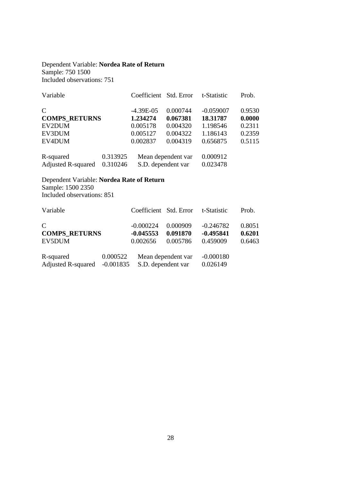### Dependent Variable: **Nordea Rate of Return** Sample: 750 1500 Included observations: 751

| Variable                  |          | Coefficient Std. Error |          | t-Statistic | Prob.  |
|---------------------------|----------|------------------------|----------|-------------|--------|
| $\mathcal{C}$             |          | $-4.39E-05$            | 0.000744 | $-0.059007$ | 0.9530 |
| <b>COMPS_RETURNS</b>      |          | 1.234274               | 0.067381 | 18.31787    | 0.0000 |
| EV2DUM                    |          | 0.005178               | 0.004320 | 1.198546    | 0.2311 |
| EV3DUM                    |          | 0.005127               | 0.004322 | 1.186143    | 0.2359 |
| EV4DUM                    |          | 0.002837               | 0.004319 | 0.656875    | 0.5115 |
| R-squared                 | 0.313925 | Mean dependent var     |          | 0.000912    |        |
| <b>Adjusted R-squared</b> | 0.310246 | S.D. dependent var     |          | 0.023478    |        |

### Dependent Variable: **Nordea Rate of Return** Sample: 1500 2350 Included observations: 851

| Variable                                        |                         | Coefficient Std. Error                 |                                  | t-Statistic                            | Prob.                      |
|-------------------------------------------------|-------------------------|----------------------------------------|----------------------------------|----------------------------------------|----------------------------|
| $\mathcal{C}$<br><b>COMPS RETURNS</b><br>EV5DUM |                         | $-0.000224$<br>$-0.045553$<br>0.002656 | 0.000909<br>0.091870<br>0.005786 | $-0.246782$<br>$-0.495841$<br>0.459009 | 0.8051<br>0.6201<br>0.6463 |
| R-squared<br><b>Adjusted R-squared</b>          | 0.000522<br>$-0.001835$ | S.D. dependent var                     | Mean dependent var               | $-0.000180$<br>0.026149                |                            |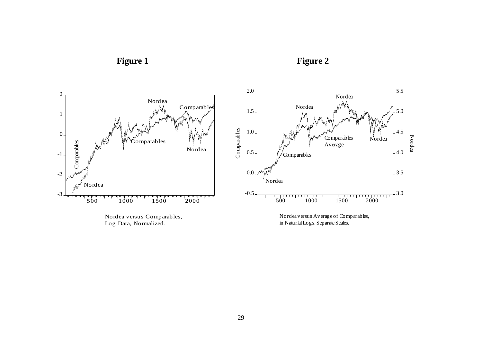

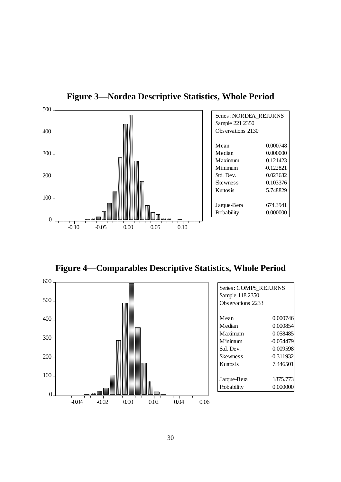

**Figure 3—Nordea Descriptive Statistics, Whole Period** 

**Figure 4—Comparables Descriptive Statistics, Whole Period** 



| Series: COMPS RETURNS |             |  |  |  |
|-----------------------|-------------|--|--|--|
| Sample 118 2350       |             |  |  |  |
| Observations 2233     |             |  |  |  |
|                       |             |  |  |  |
| Mean                  | 0.000746    |  |  |  |
| Median                | 0.000854    |  |  |  |
| Maximum               | 0.058485    |  |  |  |
| Minimum               | $-0.054479$ |  |  |  |
| Std. Dev.             | 0.009598    |  |  |  |
| Skewnes s             | -0.311932   |  |  |  |
| Kurtosis              | 7.446501    |  |  |  |
|                       |             |  |  |  |
| Jarque-Bera           | 1875.773    |  |  |  |
| Probability           | 0.000000    |  |  |  |
|                       |             |  |  |  |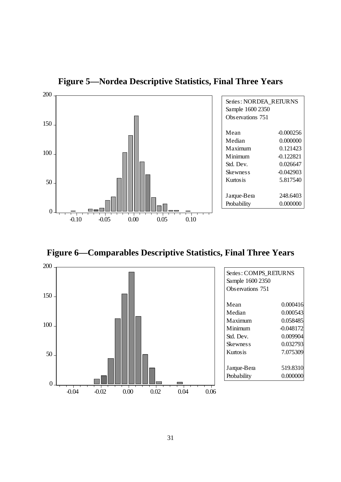

**Figure 5—Nordea Descriptive Statistics, Final Three Years** 

**Figure 6—Comparables Descriptive Statistics, Final Three Years** 



| Series: COMPS REIURNS<br>Sample 1600 2350<br>Observations 751 |             |  |
|---------------------------------------------------------------|-------------|--|
| Mean                                                          | 0.000416    |  |
| Median                                                        | 0.000543    |  |
| Maximum                                                       | 0.058485    |  |
| Minimum                                                       | $-0.048172$ |  |
| Std. Dev.                                                     | 0.009904    |  |
| Skewnes s                                                     | 0.032793    |  |
| Kurtosis                                                      | 7.075309    |  |
| Jarque-Bera                                                   | 519.8310    |  |
| Probability                                                   | 0.000000    |  |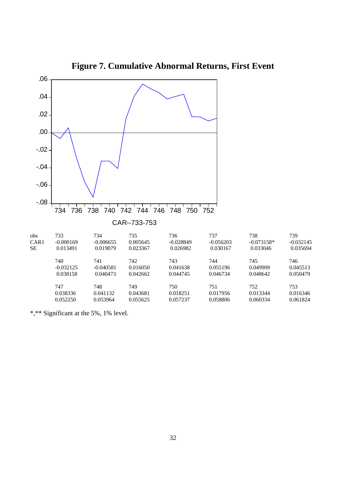

**Figure 7. Cumulative Abnormal Returns, First Event** 

\*,\*\* Significant at the 5%, 1% level.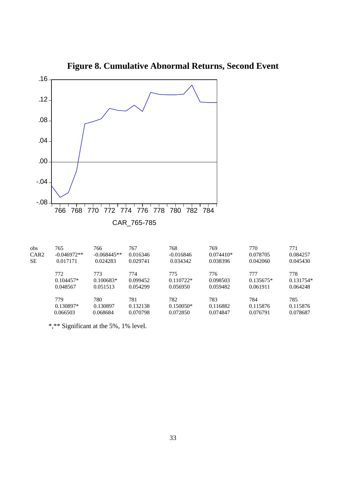

**Figure 8. Cumulative Abnormal Returns, Second Event**

| 765           | 766           | 767      | 768         | 769         | 770         | 771         |
|---------------|---------------|----------|-------------|-------------|-------------|-------------|
| $-0.046972**$ | $-0.068445**$ | 0.016346 | $-0.016846$ | $0.074410*$ | 0.078705    | 0.084257    |
| 0.017171      | 0.024283      | 0.029741 | 0.034342    | 0.038396    | 0.042060    | 0.045430    |
| 772           | 773           | 774      | 775         | 776         | 777         | 778         |
| $0.104457*$   | $0.100683*$   | 0.099452 | $0.110722*$ | 0.098503    | $0.135675*$ | $0.131754*$ |
| 0.048567      | 0.051513      | 0.054299 | 0.056950    | 0.059482    | 0.061911    | 0.064248    |
| 779           | 780           | 781      | 782         | 783         | 784         | 785         |
| $0.130897*$   | 0.130897      | 0.132138 | $0.150050*$ | 0.116882    | 0.115876    | 0.115876    |
| 0.066503      | 0.068684      | 0.070798 | 0.072850    | 0.074847    | 0.076791    | 0.078687    |
|               |               |          |             |             |             |             |

\*,\*\* Significant at the 5%, 1% level.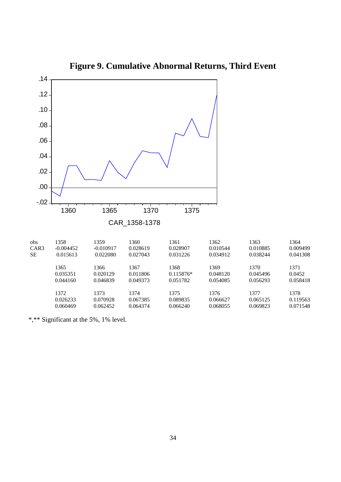

**Figure 9. Cumulative Abnormal Returns, Third Event**

\*,\*\* Significant at the 5%, 1% level.

0.060469 0.062452 0.064374 0.066240 0.068055 0.069823 0.071548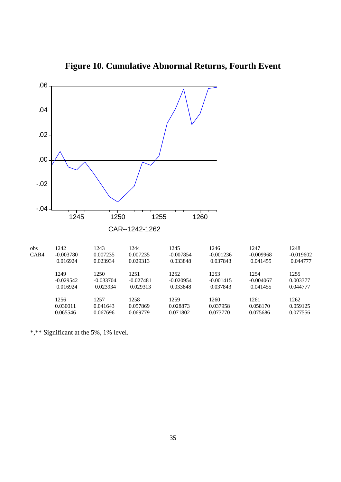

#### **Figure 10. Cumulative Abnormal Returns, Fourth Event**

\*,\*\* Significant at the 5%, 1% level.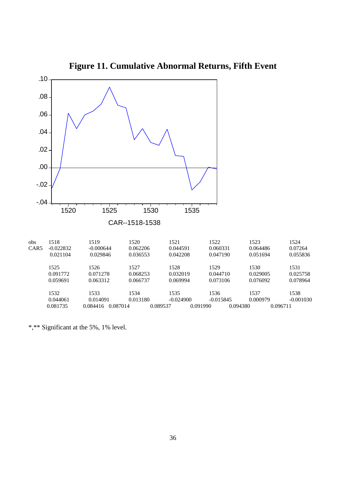

**Figure 11. Cumulative Abnormal Returns, Fifth Event**

\*,\*\* Significant at the 5%, 1% level.

0.081735 0.084416 0.087014 0.089537 0.091990 0.094380 0.096711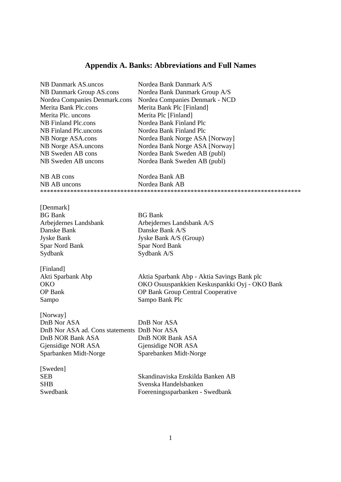#### **Appendix A. Banks: Abbreviations and Full Names**

| <b>NB Danmark AS.uncos</b>                  | Nordea Bank Danmark A/S                       |
|---------------------------------------------|-----------------------------------------------|
| NB Danmark Group AS.cons                    | Nordea Bank Danmark Group A/S                 |
| Nordea Companies Denmark.cons               | Nordea Companies Denmark - NCD                |
| Merita Bank Plc.cons                        | Merita Bank Plc [Finland]                     |
| Merita Plc. uncons                          | Merita Plc [Finland]                          |
| <b>NB</b> Finland Plc.cons                  | Nordea Bank Finland Plc                       |
| NB Finland Plc.uncons                       | Nordea Bank Finland Plc                       |
| NB Norge ASA.cons                           | Nordea Bank Norge ASA [Norway]                |
| NB Norge ASA.uncons                         | Nordea Bank Norge ASA [Norway]                |
| NB Sweden AB cons                           | Nordea Bank Sweden AB (publ)                  |
| NB Sweden AB uncons                         | Nordea Bank Sweden AB (publ)                  |
|                                             |                                               |
| NB AB cons                                  | Nordea Bank AB                                |
| NB AB uncons                                | Nordea Bank AB                                |
|                                             |                                               |
|                                             |                                               |
| [Denmark]                                   |                                               |
| <b>BG</b> Bank                              | <b>BG</b> Bank                                |
| Arbejdernes Landsbank                       | Arbejdernes Landsbank A/S                     |
| Danske Bank                                 | Danske Bank A/S                               |
| <b>Jyske Bank</b>                           | Jyske Bank A/S (Group)                        |
| Spar Nord Bank                              | Spar Nord Bank                                |
| Sydbank                                     | Sydbank A/S                                   |
|                                             |                                               |
| [Finland]                                   |                                               |
| Akti Sparbank Abp                           | Aktia Sparbank Abp - Aktia Savings Bank plc   |
| <b>OKO</b>                                  | OKO Osuuspankkien Keskuspankki Oyj - OKO Bank |
| <b>OP</b> Bank                              | <b>OP Bank Group Central Cooperative</b>      |
| Sampo                                       | Sampo Bank Plc                                |
|                                             |                                               |
| [Norway]                                    |                                               |
| DnB Nor ASA                                 | DnB Nor ASA                                   |
| DnB Nor ASA ad. Cons statements DnB Nor ASA |                                               |
| DnB NOR Bank ASA                            | DnB NOR Bank ASA                              |
| Gjensidige NOR ASA                          | Gjensidige NOR ASA                            |
| Sparbanken Midt-Norge                       | Sparebanken Midt-Norge                        |
|                                             |                                               |
| [Sweden]<br><b>SEB</b>                      | Skandinaviska Enskilda Banken AB              |
| <b>SHB</b>                                  | Svenska Handelsbanken                         |
| Swedbank                                    | Foereningssparbanken - Swedbank               |
|                                             |                                               |

Foereningssparbanken - Swedbank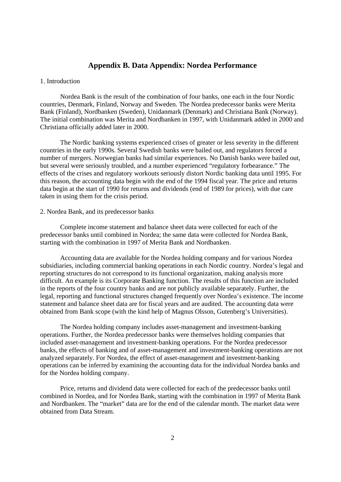#### **Appendix B. Data Appendix: Nordea Performance**

#### 1. Introduction

 Nordea Bank is the result of the combination of four banks, one each in the four Nordic countries, Denmark, Finland, Norway and Sweden. The Nordea predecessor banks were Merita Bank (Finland), Nordbanken (Sweden), Unidanmark (Denmark) and Christiana Bank (Norway). The initial combination was Merita and Nordbanken in 1997, with Unidanmark added in 2000 and Christiana officially added later in 2000.

 The Nordic banking systems experienced crises of greater or less severity in the different countries in the early 1990s. Several Swedish banks were bailed out, and regulators forced a number of mergers. Norwegian banks had similar experiences. No Danish banks were bailed out, but several were seriously troubled, and a number experienced "regulatory forbearance." The effects of the crises and regulatory workouts seriously distort Nordic banking data until 1995. For this reason, the accounting data begin with the end of the 1994 fiscal year. The price and returns data begin at the start of 1990 for returns and dividends (end of 1989 for prices), with due care taken in using them for the crisis period.

#### 2. Nordea Bank, and its predecessor banks

 Complete income statement and balance sheet data were collected for each of the predecessor banks until combined in Nordea; the same data were collected for Nordea Bank, starting with the combination in 1997 of Merita Bank and Nordbanken.

 Accounting data are available for the Nordea holding company and for various Nordea subsidiaries, including commercial banking operations in each Nordic country. Nordea's legal and reporting structures do not correspond to its functional organization, making analysis more difficult. An example is its Corporate Banking function. The results of this function are included in the reports of the four country banks and are not publicly available separately. Further, the legal, reporting and functional structures changed frequently over Nordea's existence. The income statement and balance sheet data are for fiscal years and are audited. The accounting data were obtained from Bank scope (with the kind help of Magnus Olsson, Gutenberg's Universities).

The Nordea holding company includes asset-management and investment-banking operations. Further, the Nordea predecessor banks were themselves holding companies that included asset-management and investment-banking operations. For the Nordea predecessor banks, the effects of banking and of asset-management and investment-banking operations are not analyzed separately. For Nordea, the effect of asset-management and investment-banking operations can be inferred by examining the accounting data for the individual Nordea banks and for the Nordea holding company.

 Price, returns and dividend data were collected for each of the predecessor banks until combined in Nordea, and for Nordea Bank, starting with the combination in 1997 of Merita Bank and Nordbanken. The "market" data are for the end of the calendar month. The market data were obtained from Data Stream.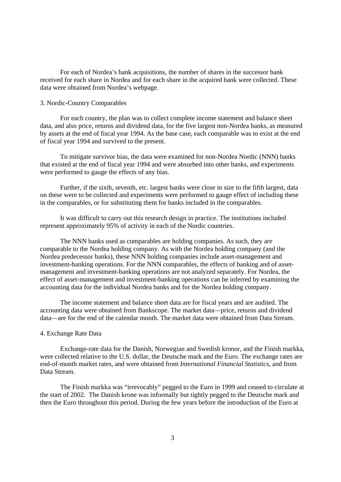For each of Nordea's bank acquisitions, the number of shares in the successor bank received for each share in Nordea and for each share in the acquired bank were collected. These data were obtained from Nordea's webpage.

#### 3. Nordic-Country Comparables

 For each country, the plan was to collect complete income statement and balance sheet data, and also price, returns and dividend data, for the five largest non-Nordea banks, as measured by assets at the end of fiscal year 1994. As the base case, each comparable was to exist at the end of fiscal year 1994 and survived to the present.

To mitigate survivor bias, the data were examined for non-Nordea Nordic (NNN) banks that existed at the end of fiscal year 1994 and were absorbed into other banks, and experiments were performed to gauge the effects of any bias.

Further, if the sixth, seventh, etc. largest banks were close in size to the fifth largest, data on these were to be collected and experiments were performed to gauge effect of including these in the comparables, or for substituting them for banks included in the comparables.

 It was difficult to carry out this research design in practice. The institutions included represent approximately 95% of activity in each of the Nordic countries.

 The NNN banks used as comparables are holding companies. As such, they are comparable to the Nordea holding company. As with the Nordea holding company (and the Nordea predecessor banks), these NNN holding companies include asset-management and investment-banking operations. For the NNN comparables, the effects of banking and of assetmanagement and investment-banking operations are not analyzed separately. For Nordea, the effect of asset-management and investment-banking operations can be inferred by examining the accounting data for the individual Nordea banks and for the Nordea holding company.

 The income statement and balance sheet data are for fiscal years and are audited. The accounting data were obtained from Bankscope. The market data—price, returns and dividend data—are for the end of the calendar month. The market data were obtained from Data Stream.

#### 4. Exchange Rate Data

 Exchange-rate data for the Danish, Norwegian and Swedish kronor, and the Finish markka, were collected relative to the U.S. dollar, the Deutsche mark and the Euro. The exchange rates are end-of-month market rates, and were obtained from *International Financial Statistics*, and from Data Stream.

The Finish markka was "irrevocably" pegged to the Euro in 1999 and ceased to circulate at the start of 2002. The Danish krone was informally but tightly pegged to the Deutsche mark and then the Euro throughout this period. During the few years before the introduction of the Euro at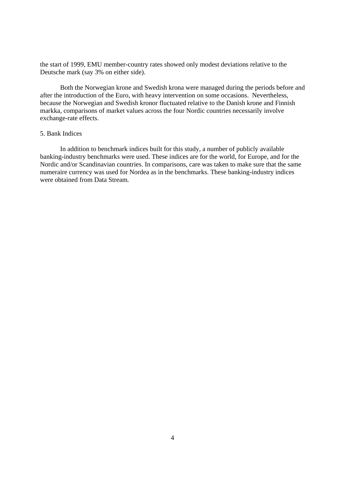the start of 1999, EMU member-country rates showed only modest deviations relative to the Deutsche mark (say 3% on either side).

Both the Norwegian krone and Swedish krona were managed during the periods before and after the introduction of the Euro, with heavy intervention on some occasions. Nevertheless, because the Norwegian and Swedish kronor fluctuated relative to the Danish krone and Finnish markka, comparisons of market values across the four Nordic countries necessarily involve exchange-rate effects.

#### 5. Bank Indices

 In addition to benchmark indices built for this study, a number of publicly available banking-industry benchmarks were used. These indices are for the world, for Europe, and for the Nordic and/or Scandinavian countries. In comparisons, care was taken to make sure that the same numeraire currency was used for Nordea as in the benchmarks. These banking-industry indices were obtained from Data Stream.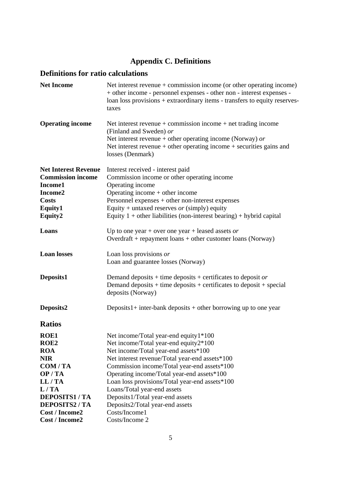## **Appendix C. Definitions**

#### **Definitions for ratio calculations**

| <b>Net Income</b>                                                                                                   | Net interest revenue $+$ commission income (or other operating income)<br>+ other income - personnel expenses - other non - interest expenses -<br>loan loss provisions + extraordinary items - transfers to equity reserves-<br>taxes                                                                                  |
|---------------------------------------------------------------------------------------------------------------------|-------------------------------------------------------------------------------------------------------------------------------------------------------------------------------------------------------------------------------------------------------------------------------------------------------------------------|
| <b>Operating income</b>                                                                                             | Net interest revenue + commission income + net trading income<br>(Finland and Sweden) or<br>Net interest revenue + other operating income (Norway) or<br>Net interest revenue + other operating income + securities gains and<br>losses (Denmark)                                                                       |
| <b>Net Interest Revenue</b><br><b>Commission income</b><br>Income1<br>Income2<br><b>Costs</b><br>Equity1<br>Equity2 | Interest received - interest paid<br>Commission income or other operating income<br>Operating income<br>Operating income + other income<br>Personnel expenses $+$ other non-interest expenses<br>Equity + untaxed reserves or (simply) equity<br>Equity $1 +$ other liabilities (non-interest bearing) + hybrid capital |
| Loans                                                                                                               | Up to one year + over one year + leased assets or<br>Overdraft + repayment $\text{loans}$ + other customer $\text{loans}$ (Norway)                                                                                                                                                                                      |
| <b>Loan losses</b>                                                                                                  | Loan loss provisions or<br>Loan and guarantee losses (Norway)                                                                                                                                                                                                                                                           |
| Deposits1                                                                                                           | Demand deposits + time deposits + certificates to deposit or<br>Demand deposits $+$ time deposits $+$ certificates to deposit $+$ special<br>deposits (Norway)                                                                                                                                                          |
| Deposits2                                                                                                           | Deposits $1+$ inter-bank deposits $+$ other borrowing up to one year                                                                                                                                                                                                                                                    |
| <b>Ratios</b>                                                                                                       |                                                                                                                                                                                                                                                                                                                         |
| <b>ROE1</b><br>ROE <sub>2</sub><br><b>ROA</b>                                                                       | Net income/Total year-end equity1*100<br>Net income/Total year-end equity2*100<br>Net income/Total year-end assets*100                                                                                                                                                                                                  |
| <b>NIR</b>                                                                                                          | Net interest revenue/Total year-end assets*100                                                                                                                                                                                                                                                                          |
| COM/TA                                                                                                              | Commission income/Total year-end assets*100                                                                                                                                                                                                                                                                             |
| OP/TA                                                                                                               | Operating income/Total year-end assets*100                                                                                                                                                                                                                                                                              |
| LL/TA                                                                                                               | Loan loss provisions/Total year-end assets*100                                                                                                                                                                                                                                                                          |
| L/TA                                                                                                                | Loans/Total year-end assets                                                                                                                                                                                                                                                                                             |
| <b>DEPOSITS1/TA</b>                                                                                                 | Deposits1/Total year-end assets                                                                                                                                                                                                                                                                                         |
| <b>DEPOSITS2 / TA</b>                                                                                               | Deposits2/Total year-end assets                                                                                                                                                                                                                                                                                         |
| <b>Cost / Income2</b>                                                                                               | Costs/Income1                                                                                                                                                                                                                                                                                                           |
| <b>Cost / Income2</b>                                                                                               | Costs/Income 2                                                                                                                                                                                                                                                                                                          |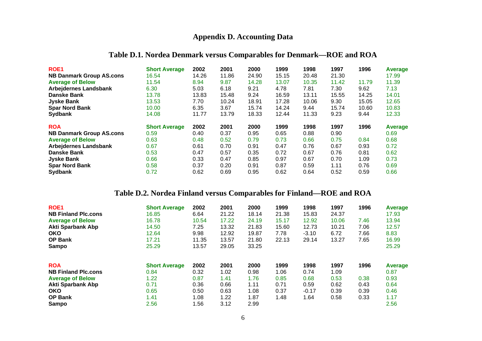#### **Appendix D. Accounting Data**

#### **Table D.1. Nordea Denmark versus Comparables for Denmark—ROE and ROA**

| <b>ROE1</b><br><b>NB Danmark Group AS.cons</b> | <b>Short Average</b><br>16.54 | 2002<br>14.26 | 2001<br>11.86 | 2000<br>24.90 | 1999<br>15.15 | 1998<br>20.48 | 1997<br>21.30 | 1996  | Average<br>17.99 |
|------------------------------------------------|-------------------------------|---------------|---------------|---------------|---------------|---------------|---------------|-------|------------------|
| <b>Average of Below</b>                        | 11.54                         | 8.94          | 9.87          | 14.28         | 13.07         | 10.35         | 11.42         | 11.79 | 11.39            |
| <b>Arbejdernes Landsbank</b>                   | 6.30                          | 5.03          | 6.18          | 9.21          | 4.78          | 7.81          | 7.30          | 9.62  | 7.13             |
| <b>Danske Bank</b>                             | 13.78                         | 13.83         | 15.48         | 9.24          | 16.59         | 13.11         | 15.55         | 14.25 | 14.01            |
| <b>Jyske Bank</b>                              | 13.53                         | 7.70          | 10.24         | 18.91         | 17.28         | 10.06         | 9.30          | 15.05 | 12.65            |
| <b>Spar Nord Bank</b>                          | 10.00                         | 6.35          | 3.67          | 15.74         | 14.24         | 9.44          | 15.74         | 10.60 | 10.83            |
| <b>Sydbank</b>                                 | 14.08                         | 11.77         | 13.79         | 18.33         | 12.44         | 11.33         | 9.23          | 9.44  | 12.33            |
| <b>ROA</b>                                     | <b>Short Average</b>          | 2002          | 2001          | 2000          | 1999          | 1998          | 1997          | 1996  | Average          |
| <b>NB Danmark Group AS.cons</b>                | 0.59                          | 0.40          | 0.37          | 0.95          | 0.65          | 0.88          | 0.90          |       | 0.69             |
| <b>Average of Below</b>                        | 0.63                          | 0.48          | 0.52          | 0.79          | 0.73          | 0.66          | 0.75          | 0.84  | 0.68             |
| <b>Arbejdernes Landsbank</b>                   | 0.67                          | 0.61          | 0.70          | 0.91          | 0.47          | 0.76          | 0.67          | 0.93  | 0.72             |
| <b>Danske Bank</b>                             | 0.53                          | 0.47          | 0.57          | 0.35          | 0.72          | 0.67          | 0.76          | 0.81  | 0.62             |
| <b>Jyske Bank</b>                              | 0.66                          | 0.33          | 0.47          | 0.85          | 0.97          | 0.67          | 0.70          | 1.09  | 0.73             |
| <b>Spar Nord Bank</b>                          | 0.58                          | 0.37          | 0.20          | 0.91          | 0.87          | 0.59          | 1.11          | 0.76  | 0.69             |
| <b>Sydbank</b>                                 | 0.72                          | 0.62          | 0.69          | 0.95          | 0.62          | 0.64          | 0.52          | 0.59  | 0.66             |

#### **Table D.2. Nordea Finland versus Comparables for Finland—ROE and ROA**

| <b>ROE1</b>                | <b>Short Average</b> | 2002  | 2001  | 2000  | 1999  | 1998    | 1997  | 1996 | Average |
|----------------------------|----------------------|-------|-------|-------|-------|---------|-------|------|---------|
| <b>NB Finland Plc.cons</b> | 16.85                | 6.64  | 21.22 | 18.14 | 21.38 | 15.83   | 24.37 |      | 17.93   |
| <b>Average of Below</b>    | 16.78                | 10.54 | 17.22 | 24.19 | 15.17 | 12.92   | 10.06 | 7.46 | 13.94   |
| Akti Sparbank Abp          | 14.50                | 7.25  | 13.32 | 21.83 | 15.60 | 12.73   | 10.21 | 7.06 | 12.57   |
| <b>OKO</b>                 | 12.64                | 9.98  | 12.92 | 19.87 | 7.78  | $-3.10$ | 6.72  | 7.66 | 8.83    |
| <b>OP Bank</b>             | 17.21                | 11.35 | 13.57 | 21.80 | 22.13 | 29.14   | 13.27 | 7.65 | 16.99   |
| Sampo                      | 25.29                | 13.57 | 29.05 | 33.25 |       |         |       |      | 25.29   |
| <b>ROA</b>                 | <b>Short Average</b> | 2002  | 2001  | 2000  | 1999  | 1998    | 1997  | 1996 | Average |
| <b>NB Finland Plc.cons</b> | 0.84                 | 0.32  | 1.02  | 0.98  | 1.06  | 0.74    | 1.09  |      | 0.87    |
| <b>Average of Below</b>    | 1.22                 | 0.87  | 1.41  | 1.76  | 0.85  | 0.68    | 0.53  | 0.38 | 0.93    |
| <b>Akti Sparbank Abp</b>   | 0.71                 | 0.36  | 0.66  | 1.11  | 0.71  | 0.59    | 0.62  | 0.43 | 0.64    |
| <b>OKO</b>                 | 0.65                 | 0.50  | 0.63  | 1.08  | 0.37  | $-0.17$ | 0.39  | 0.39 | 0.46    |
| <b>OP Bank</b>             | 1.41                 | 1.08  | 1.22  | 1.87  | 1.48  | 1.64    | 0.58  | 0.33 | 1.17    |
| Sampo                      | 2.56                 | 1.56  | 3.12  | 2.99  |       |         |       |      | 2.56    |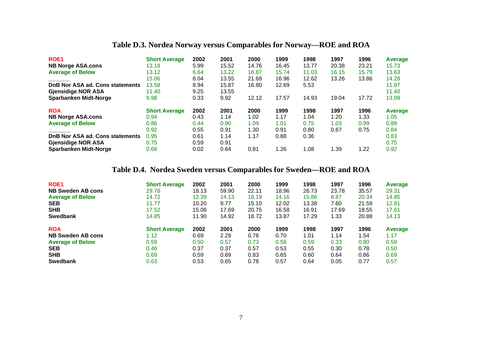#### **Table D.3. Nordea Norway versus Comparables for Norway—ROE and ROA**

| ROE <sub>1</sub>                | <b>Short Average</b> | 2002 | 2001  | 2000  | 1999  | 1998  | 1997  | 1996  | Average |
|---------------------------------|----------------------|------|-------|-------|-------|-------|-------|-------|---------|
| <b>NB Norge ASA.cons</b>        | 13.18                | 5.99 | 15.52 | 14.76 | 16.45 | 13.77 | 20.38 | 23.21 | 15.73   |
| <b>Average of Below</b>         | 13.12                | 6.64 | 13.22 | 16.87 | 15.74 | 11.03 | 16.15 | 15.79 | 13.63   |
|                                 | 15.06                | 8.04 | 13.55 | 21.68 | 16.96 | 12.62 | 13.26 | 13.86 | 14.28   |
| DnB Nor ASA ad. Cons statements | 13.58                | 8.94 | 15.87 | 16.80 | 12.69 | 5.53  |       |       | 11.97   |
| <b>Gjensidige NOR ASA</b>       | 11.40                | 9.25 | 13.55 |       |       |       |       |       | 11.40   |
| <b>Sparbanken Midt-Norge</b>    | 9.98                 | 0.33 | 9.92  | 12.12 | 17.57 | 14.93 | 19.04 | 17.72 | 13.09   |
| <b>ROA</b>                      | <b>Short Average</b> | 2002 | 2001  | 2000  | 1999  | 1998  | 1997  | 1996  | Average |
| <b>NB Norge ASA.cons</b>        | 0.94                 | 0.43 | 1.14  | 1.02  | 1.17  | 1.04  | 1.20  | 1.33  | 1.05    |
| <b>Average of Below</b>         | 0.86                 | 0.44 | 0.90  | 1.09  | 1.01  | 0.75  | 1.03  | 0.99  | 0.89    |
|                                 | 0.92                 | 0.55 | 0.91  | 1.30  | 0.91  | 0.80  | 0.67  | 0.75  | 0.84    |
| DnB Nor ASA ad. Cons statements | 0.95                 | 0.61 | 1.14  | 1.17  | 0.88  | 0.36  |       |       | 0.83    |
| <b>Gjensidige NOR ASA</b>       | 0.75                 | 0.59 | 0.91  |       |       |       |       |       | 0.75    |
| <b>Sparbanken Midt-Norge</b>    | 0.68                 | 0.02 | 0.64  | 0.81  | 1.26  | 1.08  | 1.39  | 1.22  | 0.92    |

#### **Table D.4. Nordea Sweden versus Comparables for Sweden—ROE and ROA**

| ROE <sub>1</sub>         | <b>Short Average</b> | 2002  | 2001  | 2000  | 1999  | 1998  | 1997  | 1996  | Average |
|--------------------------|----------------------|-------|-------|-------|-------|-------|-------|-------|---------|
| <b>NB Sweden AB cons</b> | 29.78                | 18.13 | 59.90 | 22.11 | 18.96 | 26.73 | 23.78 | 35.57 | 29.31   |
| <b>Average of Below</b>  | 14.72                | 12.39 | 14.13 | 18.19 | 14.16 | 15.86 | 8.87  | 20.34 | 14.85   |
| <b>SEB</b>               | 11.77                | 10.20 | 9.77  | 15.10 | 12.02 | 13.38 | 7.60  | 21.59 | 12.81   |
| <b>SHB</b>               | 17.52                | 15.08 | 17.69 | 20.75 | 16.58 | 16.91 | 17.69 | 18.55 | 17.61   |
| <b>Swedbank</b>          | 14.85                | 11.90 | 14.92 | 18.72 | 13.87 | 17.29 | 1.33  | 20.88 | 14.13   |
| <b>ROA</b>               | <b>Short Average</b> | 2002  | 2001  | 2000  | 1999  | 1998  | 1997  | 1996  | Average |
| <b>NB Sweden AB cons</b> | 1.12                 | 0.69  | 2.29  | 0.78  | 0.70  | 1.01  | 1.14  | 1.54  | 1.17    |
| <b>Average of Below</b>  | 0.59                 | 0.50  | 0.57  | 0.73  | 0.58  | 0.59  | 0.33  | 0.80  | 0.59    |
| <b>SEB</b>               | 0.46                 | 0.37  | 0.37  | 0.57  | 0.53  | 0.55  | 0.30  | 0.78  | 0.50    |
| <b>SHB</b>               | 0.69                 | 0.59  | 0.69  | 0.83  | 0.65  | 0.60  | 0.64  | 0.86  | 0.69    |
| <b>Swedbank</b>          | 0.63                 | 0.53  | 0.65  | 0.78  | 0.57  | 0.64  | 0.05  | 0.77  | 0.57    |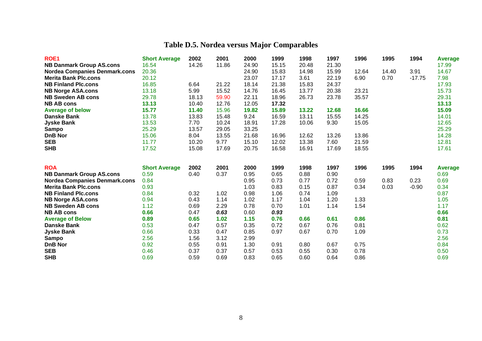| <b>ROE1</b>                          | <b>Short Average</b> | 2002  | 2001  | 2000  | 1999  | 1998  | 1997  | 1996  | 1995  | 1994     | <b>Average</b> |
|--------------------------------------|----------------------|-------|-------|-------|-------|-------|-------|-------|-------|----------|----------------|
| <b>NB Danmark Group AS.cons</b>      | 16.54                | 14.26 | 11.86 | 24.90 | 15.15 | 20.48 | 21.30 |       |       |          | 17.99          |
| <b>Nordea Companies Denmark.cons</b> | 20.36                |       |       | 24.90 | 15.83 | 14.98 | 15.99 | 12.64 | 14.40 | 3.91     | 14.67          |
| <b>Merita Bank Plc.cons</b>          | 20.12                |       |       | 23.07 | 17.17 | 3.61  | 22.19 | 6.90  | 0.70  | $-17.75$ | 7.98           |
| <b>NB Finland Plc.cons</b>           | 16.85                | 6.64  | 21.22 | 18.14 | 21.38 | 15.83 | 24.37 |       |       |          | 17.93          |
| <b>NB Norge ASA.cons</b>             | 13.18                | 5.99  | 15.52 | 14.76 | 16.45 | 13.77 | 20.38 | 23.21 |       |          | 15.73          |
| <b>NB Sweden AB cons</b>             | 29.78                | 18.13 | 59.90 | 22.11 | 18.96 | 26.73 | 23.78 | 35.57 |       |          | 29.31          |
| <b>NB AB cons</b>                    | 13.13                | 10.40 | 12.76 | 12.05 | 17.32 |       |       |       |       |          | 13.13          |
| <b>Average of below</b>              | 15.77                | 11.40 | 15.96 | 19.82 | 15.89 | 13.22 | 12.68 | 16.66 |       |          | 15.09          |
| <b>Danske Bank</b>                   | 13.78                | 13.83 | 15.48 | 9.24  | 16.59 | 13.11 | 15.55 | 14.25 |       |          | 14.01          |
| <b>Jyske Bank</b>                    | 13.53                | 7.70  | 10.24 | 18.91 | 17.28 | 10.06 | 9.30  | 15.05 |       |          | 12.65          |
| Sampo                                | 25.29                | 13.57 | 29.05 | 33.25 |       |       |       |       |       |          | 25.29          |
| <b>DnB Nor</b>                       | 15.06                | 8.04  | 13.55 | 21.68 | 16.96 | 12.62 | 13.26 | 13.86 |       |          | 14.28          |
| <b>SEB</b>                           | 11.77                | 10.20 | 9.77  | 15.10 | 12.02 | 13.38 | 7.60  | 21.59 |       |          | 12.81          |
| <b>SHB</b>                           | 17.52                | 15.08 | 17.69 | 20.75 | 16.58 | 16.91 | 17.69 | 18.55 |       |          | 17.61          |
|                                      |                      |       |       |       |       |       |       |       |       |          |                |
| <b>ROA</b>                           | <b>Short Average</b> | 2002  | 2001  | 2000  | 1999  | 1998  | 1997  | 1996  | 1995  | 1994     | Average        |
| <b>NB Danmark Group AS.cons</b>      | 0.59                 | 0.40  | 0.37  | 0.95  | 0.65  | 0.88  | 0.90  |       |       |          | 0.69           |
| <b>Nordea Companies Denmark.cons</b> | 0.84                 |       |       | 0.95  | 0.73  | 0.77  | 0.72  | 0.59  | 0.83  | 0.23     | 0.69           |
| <b>Merita Bank Plc.cons</b>          | 0.93                 |       |       | 1.03  | 0.83  | 0.15  | 0.87  | 0.34  | 0.03  | $-0.90$  | 0.34           |
| <b>NB Finland Plc.cons</b>           | 0.84                 | 0.32  | 1.02  | 0.98  | 1.06  | 0.74  | 1.09  |       |       |          | 0.87           |
| <b>NB Norge ASA.cons</b>             | 0.94                 | 0.43  | 1.14  | 1.02  | 1.17  | 1.04  | 1.20  | 1.33  |       |          | 1.05           |
| <b>NB Sweden AB cons</b>             | 1.12                 | 0.69  | 2.29  | 0.78  | 0.70  | 1.01  | 1.14  | 1.54  |       |          | 1.17           |
| <b>NB AB cons</b>                    |                      |       |       |       |       |       |       |       |       |          |                |
|                                      | 0.66                 | 0.47  | 0.63  | 0.60  | 0.93  |       |       |       |       |          |                |
| <b>Average of Below</b>              | 0.89                 | 0.65  | 1.02  | 1.15  | 0.76  | 0.66  | 0.61  | 0.86  |       |          | 0.66<br>0.81   |
| <b>Danske Bank</b>                   | 0.53                 | 0.47  | 0.57  | 0.35  | 0.72  | 0.67  | 0.76  | 0.81  |       |          | 0.62           |
| <b>Jyske Bank</b>                    | 0.66                 | 0.33  | 0.47  | 0.85  | 0.97  | 0.67  | 0.70  | 1.09  |       |          | 0.73           |
| <b>Sampo</b>                         | 2.56                 | 1.56  | 3.12  | 2.99  |       |       |       |       |       |          | 2.56           |
| <b>DnB Nor</b>                       | 0.92                 | 0.55  | 0.91  | 1.30  | 0.91  | 0.80  | 0.67  | 0.75  |       |          | 0.84           |
| <b>SEB</b>                           | 0.46                 | 0.37  | 0.37  | 0.57  | 0.53  | 0.55  | 0.30  | 0.78  |       |          | 0.50           |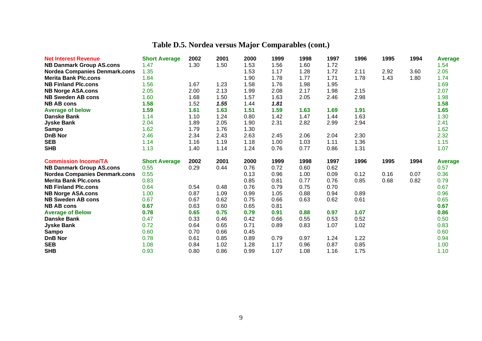| <b>Net Interest Revenue</b>          | <b>Short Average</b> | 2002 | 2001 | 2000 | 1999         | 1998 | 1997 | 1996         | 1995 | 1994 | <b>Average</b>         |
|--------------------------------------|----------------------|------|------|------|--------------|------|------|--------------|------|------|------------------------|
| <b>NB Danmark Group AS.cons</b>      | 1.47                 | 1.30 | 1.50 | 1.53 | 1.56         | 1.60 | 1.72 |              |      |      | 1.54                   |
| <b>Nordea Companies Denmark.cons</b> | 1.35                 |      |      | 1.53 | 1.17         | 1.28 | 1.72 | 2.11         | 2.92 | 3.60 | 2.05                   |
| <b>Merita Bank Plc.cons</b>          | 1.84                 |      |      | 1.90 | 1.78         | 1.77 | 1.71 | 1.78         | 1.43 | 1.80 | 1.74                   |
| <b>NB Finland Plc.cons</b>           | 1.56                 | 1.67 | 1.23 | 1.58 | 1.76         | 1.98 | 1.95 |              |      |      | 1.69                   |
| <b>NB Norge ASA.cons</b>             | 2.05                 | 2.00 | 2.13 | 1.99 | 2.08         | 2.17 | 1.98 | 2.15         |      |      | 2.07                   |
| <b>NB Sweden AB cons</b>             | 1.60                 | 1.68 | 1.50 | 1.57 | 1.63         | 2.05 | 2.46 | 2.98         |      |      | 1.98                   |
| <b>NB AB cons</b>                    | 1.58                 | 1.52 | 1.55 | 1.44 | 1.81         |      |      |              |      |      | 1.58                   |
| <b>Average of below</b>              | 1.59                 | 1.61 | 1.63 | 1.51 | 1.59         | 1.63 | 1.69 | 1.91         |      |      | 1.65                   |
| <b>Danske Bank</b>                   | 1.14                 | 1.10 | 1.24 | 0.80 | 1.42         | 1.47 | 1.44 | 1.63         |      |      | 1.30                   |
| <b>Jyske Bank</b>                    | 2.04                 | 1.89 | 2.05 | 1.90 | 2.31         | 2.82 | 2.99 | 2.94         |      |      | 2.41                   |
| <b>Sampo</b>                         | 1.62                 | 1.79 | 1.76 | 1.30 |              |      |      |              |      |      | 1.62                   |
| <b>DnB Nor</b>                       | 2.46                 | 2.34 | 2.43 | 2.63 | 2.45         | 2.06 | 2.04 | 2.30         |      |      | 2.32                   |
| <b>SEB</b>                           | 1.14                 | 1.16 | 1.19 | 1.18 | 1.00         | 1.03 | 1.11 | 1.36         |      |      | 1.15                   |
| <b>SHB</b>                           | 1.13                 | 1.40 | 1.14 | 1.24 | 0.76         | 0.77 | 0.86 | 1.31         |      |      | 1.07                   |
|                                      |                      |      |      |      |              |      |      |              |      |      |                        |
| <b>Commission Income/TA</b>          | <b>Short Average</b> | 2002 | 2001 | 2000 | 1999         | 1998 | 1997 | 1996         | 1995 | 1994 |                        |
| <b>NB Danmark Group AS.cons</b>      | 0.55                 | 0.29 | 0.44 | 0.76 | 0.72         | 0.60 | 0.62 |              |      |      | <b>Average</b><br>0.57 |
| <b>Nordea Companies Denmark.cons</b> | 0.55                 |      |      | 0.13 | 0.96         | 1.00 | 0.09 | 0.12         | 0.16 | 0.07 | 0.36                   |
| <b>Merita Bank Plc.cons</b>          | 0.83                 |      |      | 0.85 | 0.81         | 0.77 | 0.76 | 0.85         | 0.68 | 0.82 | 0.79                   |
| <b>NB Finland Plc.cons</b>           | 0.64                 | 0.54 | 0.48 | 0.76 | 0.79         | 0.75 | 0.70 |              |      |      | 0.67                   |
| <b>NB Norge ASA.cons</b>             | 1.00                 | 0.87 | 1.09 | 0.99 | 1.05         | 0.88 | 0.94 | 0.89         |      |      | 0.96                   |
| <b>NB Sweden AB cons</b>             | 0.67                 | 0.67 | 0.62 | 0.75 | 0.66         | 0.63 | 0.62 | 0.61         |      |      | 0.65                   |
| <b>NB AB cons</b>                    | 0.67                 | 0.63 | 0.60 | 0.65 | 0.81         |      |      |              |      |      | 0.67                   |
| <b>Average of Below</b>              | 0.78                 | 0.65 | 0.75 | 0.79 | 0.91         | 0.88 | 0.97 | 1.07         |      |      | 0.86                   |
| <b>Danske Bank</b>                   | 0.47                 | 0.33 | 0.46 | 0.42 | 0.66         | 0.55 | 0.53 | 0.52         |      |      | 0.50                   |
| <b>Jyske Bank</b>                    | 0.72                 | 0.64 | 0.65 | 0.71 | 0.89         | 0.83 | 1.07 | 1.02         |      |      | 0.83                   |
| Sampo                                | 0.60                 | 0.70 | 0.66 | 0.45 |              |      |      |              |      |      | 0.60                   |
| <b>DnB Nor</b>                       | 0.78                 | 0.61 | 0.85 | 0.89 | 0.79         | 0.97 | 1.24 | 1.22         |      |      | 0.94                   |
| <b>SEB</b><br><b>SHB</b>             | 1.08<br>0.93         | 0.84 | 1.02 | 1.28 | 1.17<br>1.07 | 0.96 | 0.87 | 0.85<br>1.75 |      |      | 1.00<br>1.10           |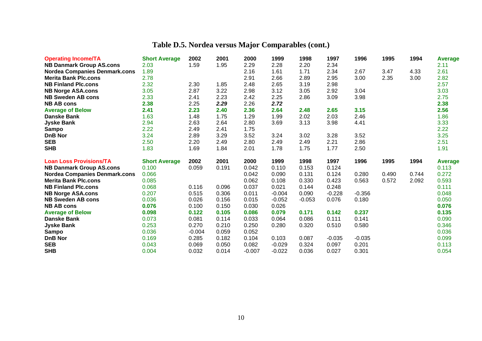| <b>Operating Income/TA</b>           | <b>Short Average</b> | 2002           | 2001           | 2000              | 1999                 | 1998           | 1997           | 1996           | 1995  | 1994  | <b>Average</b>          |
|--------------------------------------|----------------------|----------------|----------------|-------------------|----------------------|----------------|----------------|----------------|-------|-------|-------------------------|
| <b>NB Danmark Group AS.cons</b>      | 2.03                 | 1.59           | 1.95           | 2.29              | 2.28                 | 2.20           | 2.34           |                |       |       | 2.11                    |
| <b>Nordea Companies Denmark.cons</b> | 1.89                 |                |                | 2.16              | 1.61                 | 1.71           | 2.34           | 2.67           | 3.47  | 4.33  | 2.61                    |
| <b>Merita Bank Plc.cons</b>          | 2.78                 |                |                | 2.91              | 2.66                 | 2.89           | 2.95           | 3.00           | 2.35  | 3.00  | 2.82                    |
| <b>NB Finland Plc.cons</b>           | 2.32                 | 2.30           | 1.85           | 2.48              | 2.65                 | 3.19           | 2.98           |                |       |       | 2.57                    |
| <b>NB Norge ASA.cons</b>             | 3.05                 | 2.87           | 3.22           | 2.98              | 3.12                 | 3.05           | 2.92           | 3.04           |       |       | 3.03                    |
| <b>NB Sweden AB cons</b>             | 2.33                 | 2.41           | 2.23           | 2.42              | 2.25                 | 2.86           | 3.09           | 3.98           |       |       | 2.75                    |
| <b>NB AB cons</b>                    | 2.38                 | 2.25           | 2.29           | 2.26              | 2.72                 |                |                |                |       |       | 2.38                    |
| <b>Average of Below</b>              | 2.41                 | 2.23           | 2.40           | 2.36              | 2.64                 | 2.48           | 2.65           | 3.15           |       |       | 2.56                    |
| <b>Danske Bank</b>                   | 1.63                 | 1.48           | 1.75           | 1.29              | 1.99                 | 2.02           | 2.03           | 2.46           |       |       | 1.86                    |
| <b>Jyske Bank</b>                    | 2.94                 | 2.63           | 2.64           | 2.80              | 3.69                 | 3.13           | 3.98           | 4.41           |       |       | 3.33                    |
| Sampo                                | 2.22                 | 2.49           | 2.41           | 1.75              |                      |                |                |                |       |       | 2.22                    |
| <b>DnB Nor</b>                       | 3.24                 | 2.89           | 3.29           | 3.52              | 3.24                 | 3.02           | 3.28           | 3.52           |       |       | 3.25                    |
| <b>SEB</b>                           | 2.50                 | 2.20           | 2.49           | 2.80              | 2.49                 | 2.49           | 2.21           | 2.86           |       |       | 2.51                    |
| <b>SHB</b>                           | 1.83                 | 1.69           | 1.84           | 2.01              | 1.78                 | 1.75           | 1.77           | 2.50           |       |       | 1.91                    |
|                                      |                      |                |                |                   |                      |                |                |                |       |       |                         |
| <b>Loan Loss Provisions/TA</b>       | <b>Short Average</b> | 2002           | 2001           | 2000              | 1999                 | 1998           | 1997           | 1996           | 1995  | 1994  |                         |
| <b>NB Danmark Group AS.cons</b>      | 0.100                | 0.059          | 0.191          | 0.042             | 0.110                | 0.153          | 0.124          |                |       |       | <b>Average</b><br>0.113 |
| <b>Nordea Companies Denmark.cons</b> | 0.066                |                |                | 0.042             | 0.090                | 0.131          | 0.124          | 0.280          | 0.490 | 0.744 | 0.272                   |
| <b>Merita Bank Plc.cons</b>          | 0.085                |                |                | 0.062             | 0.108                | 0.330          | 0.423          | 0.563          | 0.572 | 2.092 | 0.593                   |
| <b>NB Finland Plc.cons</b>           | 0.068                | 0.116          | 0.096          | 0.037             | 0.021                | 0.144          | 0.248          |                |       |       | 0.111                   |
| <b>NB Norge ASA.cons</b>             | 0.207                | 0.515          | 0.306          | 0.011             | $-0.004$             | 0.090          | $-0.228$       | $-0.356$       |       |       | 0.048                   |
| <b>NB Sweden AB cons</b>             | 0.036                | 0.026          | 0.156          | 0.015             | $-0.052$             | $-0.053$       | 0.076          | 0.180          |       |       | 0.050                   |
| <b>NB AB cons</b>                    | 0.076                | 0.100          | 0.150          | 0.030             | 0.026                |                |                |                |       |       | 0.076                   |
| <b>Average of Below</b>              | 0.098                | 0.122          | 0.105          | 0.086             | 0.079                | 0.171          | 0.142          | 0.237          |       |       | 0.135                   |
| <b>Danske Bank</b>                   | 0.073                | 0.081          | 0.114          | 0.033             | 0.064                | 0.086          | 0.111          | 0.141          |       |       | 0.090                   |
| <b>Jyske Bank</b>                    | 0.253                | 0.270          | 0.210          | 0.250             | 0.280                | 0.320          | 0.510          | 0.580          |       |       | 0.346                   |
| <b>Sampo</b>                         | 0.036                | $-0.004$       | 0.059          | 0.052             |                      |                |                |                |       |       | 0.036                   |
| <b>DnB Nor</b>                       | 0.169                | 0.285          | 0.182          | 0.104             | 0.103                | 0.087          | $-0.035$       | $-0.035$       |       |       | 0.099                   |
| <b>SEB</b><br><b>SHB</b>             | 0.043<br>0.004       | 0.069<br>0.032 | 0.050<br>0.014 | 0.082<br>$-0.007$ | $-0.029$<br>$-0.022$ | 0.324<br>0.036 | 0.097<br>0.027 | 0.201<br>0.301 |       |       | 0.113<br>0.054          |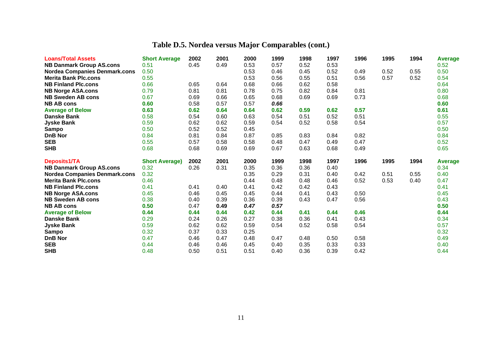| <b>Loans/Total Assets</b>                     | <b>Short Average</b>          | 2002         | 2001         | 2000         | 1999 | 1998         | 1997         | 1996         | 1995 | 1994 | Average        |
|-----------------------------------------------|-------------------------------|--------------|--------------|--------------|------|--------------|--------------|--------------|------|------|----------------|
| <b>NB Danmark Group AS.cons</b>               | 0.51                          | 0.45         | 0.49         | 0.53         | 0.57 | 0.52         | 0.53         |              |      |      | 0.52           |
| <b>Nordea Companies Denmark.cons</b>          | 0.50                          |              |              | 0.53         | 0.46 | 0.45         | 0.52         | 0.49         | 0.52 | 0.55 | 0.50           |
| <b>Merita Bank Plc.cons</b>                   | 0.55                          |              |              | 0.53         | 0.56 | 0.55         | 0.51         | 0.56         | 0.57 | 0.52 | 0.54           |
| <b>NB Finland Plc.cons</b>                    | 0.66                          | 0.65         | 0.64         | 0.68         | 0.66 | 0.62         | 0.58         |              |      |      | 0.64           |
| <b>NB Norge ASA.cons</b>                      | 0.79                          | 0.81         | 0.81         | 0.78         | 0.75 | 0.82         | 0.84         | 0.81         |      |      | 0.80           |
| <b>NB Sweden AB cons</b>                      | 0.67                          | 0.69         | 0.66         | 0.65         | 0.68 | 0.69         | 0.69         | 0.73         |      |      | 0.68           |
| <b>NB AB cons</b>                             | 0.60                          | 0.58         | 0.57         | 0.57         | 0.66 |              |              |              |      |      | 0.60           |
| <b>Average of Below</b>                       | 0.63                          | 0.62         | 0.64         | 0.64         | 0.62 | 0.59         | 0.62         | 0.57         |      |      | 0.61           |
| <b>Danske Bank</b>                            | 0.58                          | 0.54         | 0.60         | 0.63         | 0.54 | 0.51         | 0.52         | 0.51         |      |      | 0.55           |
| <b>Jyske Bank</b>                             | 0.59                          | 0.62         | 0.62         | 0.59         | 0.54 | 0.52         | 0.58         | 0.54         |      |      | 0.57           |
| <b>Sampo</b>                                  | 0.50                          | 0.52         | 0.52         | 0.45         |      |              |              |              |      |      | 0.50           |
| <b>DnB Nor</b>                                | 0.84                          | 0.81         | 0.84         | 0.87         | 0.85 | 0.83         | 0.84         | 0.82         |      |      | 0.84           |
| <b>SEB</b>                                    | 0.55                          | 0.57         | 0.58         | 0.58         | 0.48 | 0.47         | 0.49         | 0.47         |      |      | 0.52           |
| <b>SHB</b>                                    | 0.68                          | 0.68         | 0.69         | 0.69         | 0.67 | 0.63         | 0.68         | 0.49         |      |      | 0.65           |
|                                               |                               |              |              |              |      |              |              |              |      |      |                |
| Deposits1/TA                                  |                               | 2002         | 2001         | 2000         | 1999 | 1998         | 1997         | 1996         | 1995 | 1994 | <b>Average</b> |
| <b>NB Danmark Group AS.cons</b>               | <b>Short Average)</b><br>0.32 | 0.26         | 0.31         | 0.35         | 0.36 | 0.36         | 0.40         |              |      |      | 0.34           |
| <b>Nordea Companies Denmark.cons</b>          | 0.32                          |              |              | 0.35         | 0.29 | 0.31         | 0.40         | 0.42         | 0.51 | 0.55 | 0.40           |
| <b>Merita Bank Plc.cons</b>                   | 0.46                          |              |              | 0.44         | 0.48 | 0.48         | 0.46         | 0.52         | 0.53 | 0.40 | 0.47           |
| <b>NB Finland Plc.cons</b>                    | 0.41                          | 0.41         | 0.40         | 0.41         | 0.42 | 0.42         | 0.43         |              |      |      | 0.41           |
| <b>NB Norge ASA.cons</b>                      | 0.45                          | 0.46         | 0.45         | 0.45         | 0.44 | 0.41         | 0.43         | 0.50         |      |      | 0.45           |
| <b>NB Sweden AB cons</b>                      | 0.38                          | 0.40         | 0.39         | 0.36         | 0.39 | 0.43         | 0.47         | 0.56         |      |      | 0.43           |
| <b>NB AB cons</b>                             | 0.50                          | 0.47         | 0.49         | 0.47         | 0.57 |              |              |              |      |      | 0.50           |
|                                               | 0.44                          | 0.44         | 0.44         | 0.42         | 0.44 | 0.41         | 0.44         | 0.46         |      |      | 0.44           |
| <b>Average of Below</b><br><b>Danske Bank</b> | 0.29                          | 0.24         | 0.26         | 0.27         | 0.38 | 0.36         | 0.41         | 0.43         |      |      | 0.34           |
| <b>Jyske Bank</b>                             | 0.59                          | 0.62         | 0.62         | 0.59         | 0.54 | 0.52         | 0.58         | 0.54         |      |      | 0.57           |
| Sampo                                         | 0.32                          | 0.37         | 0.33         | 0.25         |      |              |              |              |      |      | 0.32           |
| <b>DnB Nor</b>                                | 0.47                          | 0.46         | 0.47         | 0.48         | 0.47 | 0.48         | 0.50         | 0.58         |      |      | 0.49           |
| <b>SEB</b><br><b>SHB</b>                      | 0.44                          | 0.46<br>0.50 | 0.46<br>0.51 | 0.45<br>0.51 | 0.40 | 0.35<br>0.36 | 0.33<br>0.39 | 0.33<br>0.42 |      |      | 0.40<br>0.44   |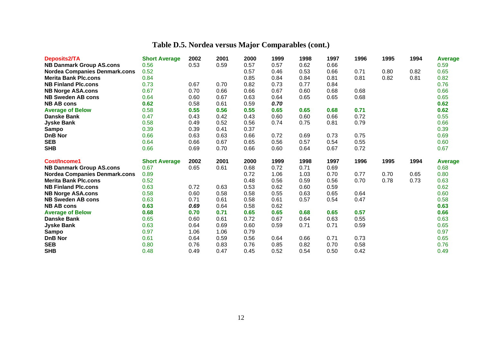| Deposits2/TA                                                            | <b>Short Average</b> | 2002 | 2001 | 2000 | 1999         | 1998 | 1997 | 1996 | 1995 | 1994 | <b>Average</b>         |
|-------------------------------------------------------------------------|----------------------|------|------|------|--------------|------|------|------|------|------|------------------------|
| <b>NB Danmark Group AS.cons</b>                                         | 0.56                 | 0.53 | 0.59 | 0.57 | 0.57         | 0.62 | 0.66 |      |      |      | 0.59                   |
| <b>Nordea Companies Denmark.cons</b>                                    | 0.52                 |      |      | 0.57 | 0.46         | 0.53 | 0.66 | 0.71 | 0.80 | 0.82 | 0.65                   |
| <b>Merita Bank Plc.cons</b>                                             | 0.84                 |      |      | 0.85 | 0.84         | 0.84 | 0.81 | 0.81 | 0.82 | 0.81 | 0.82                   |
| <b>NB Finland Plc.cons</b>                                              | 0.73                 | 0.67 | 0.70 | 0.82 | 0.73         | 0.77 | 0.84 |      |      |      | 0.76                   |
| <b>NB Norge ASA.cons</b>                                                | 0.67                 | 0.70 | 0.66 | 0.66 | 0.67         | 0.60 | 0.68 | 0.68 |      |      | 0.66                   |
| <b>NB Sweden AB cons</b>                                                | 0.64                 | 0.60 | 0.67 | 0.63 | 0.64         | 0.65 | 0.65 | 0.68 |      |      | 0.65                   |
| <b>NB AB cons</b>                                                       | 0.62                 | 0.58 | 0.61 | 0.59 | 0.70         |      |      |      |      |      | 0.62                   |
| <b>Average of Below</b>                                                 | 0.58                 | 0.55 | 0.56 | 0.55 | 0.65         | 0.65 | 0.68 | 0.71 |      |      | 0.62                   |
| <b>Danske Bank</b>                                                      | 0.47                 | 0.43 | 0.42 | 0.43 | 0.60         | 0.60 | 0.66 | 0.72 |      |      | 0.55                   |
| <b>Jyske Bank</b>                                                       | 0.58                 | 0.49 | 0.52 | 0.56 | 0.74         | 0.75 | 0.81 | 0.79 |      |      | 0.66                   |
| Sampo                                                                   | 0.39                 | 0.39 | 0.41 | 0.37 |              |      |      |      |      |      | 0.39                   |
| <b>DnB Nor</b>                                                          | 0.66                 | 0.63 | 0.63 | 0.66 | 0.72         | 0.69 | 0.73 | 0.75 |      |      | 0.69                   |
| <b>SEB</b>                                                              | 0.64                 | 0.66 | 0.67 | 0.65 | 0.56         | 0.57 | 0.54 | 0.55 |      |      | 0.60                   |
| <b>SHB</b>                                                              | 0.66                 | 0.69 | 0.70 | 0.66 | 0.60         | 0.64 | 0.67 | 0.72 |      |      | 0.67                   |
|                                                                         |                      |      |      |      |              |      |      |      |      |      |                        |
| Cost/Income1                                                            | <b>Short Average</b> | 2002 | 2001 | 2000 | 1999         | 1998 | 1997 | 1996 | 1995 | 1994 |                        |
|                                                                         | 0.67                 | 0.65 | 0.61 | 0.68 | 0.72         | 0.71 | 0.69 |      |      |      | <b>Average</b><br>0.68 |
| <b>NB Danmark Group AS.cons</b><br><b>Nordea Companies Denmark.cons</b> | 0.89                 |      |      | 0.72 | 1.06         | 1.03 | 0.70 | 0.77 | 0.70 | 0.65 | 0.80                   |
| <b>Merita Bank Plc.cons</b>                                             | 0.52                 |      |      | 0.48 | 0.56         | 0.59 | 0.56 | 0.70 | 0.78 | 0.73 | 0.63                   |
| <b>NB Finland Plc.cons</b>                                              | 0.63                 | 0.72 | 0.63 | 0.53 | 0.62         | 0.60 | 0.59 |      |      |      | 0.62                   |
| <b>NB Norge ASA.cons</b>                                                | 0.58                 | 0.60 | 0.58 | 0.58 | 0.55         | 0.63 | 0.65 | 0.64 |      |      | 0.60                   |
| <b>NB Sweden AB cons</b>                                                | 0.63                 | 0.71 | 0.61 | 0.58 | 0.61         | 0.57 | 0.54 | 0.47 |      |      | 0.58                   |
| <b>NB AB cons</b>                                                       | 0.63                 | 0.69 | 0.64 | 0.58 | 0.62         |      |      |      |      |      | 0.63                   |
| <b>Average of Below</b>                                                 | 0.68                 | 0.70 | 0.71 | 0.65 | 0.65         | 0.68 | 0.65 | 0.57 |      |      | 0.66                   |
| <b>Danske Bank</b>                                                      | 0.65                 | 0.60 | 0.61 | 0.72 | 0.67         | 0.64 | 0.63 | 0.55 |      |      | 0.63                   |
| <b>Jyske Bank</b>                                                       | 0.63                 | 0.64 | 0.69 | 0.60 | 0.59         | 0.71 | 0.71 | 0.59 |      |      | 0.65                   |
| Sampo                                                                   | 0.97                 | 1.06 | 1.06 | 0.79 |              |      |      |      |      |      | 0.97                   |
| <b>DnB Nor</b>                                                          | 0.61                 | 0.64 | 0.59 | 0.56 | 0.64         | 0.66 | 0.71 | 0.73 |      |      | 0.65                   |
| <b>SEB</b><br><b>SHB</b>                                                | 0.80                 | 0.76 | 0.83 | 0.76 | 0.85<br>0.52 | 0.82 | 0.70 | 0.58 |      |      | 0.76<br>0.49           |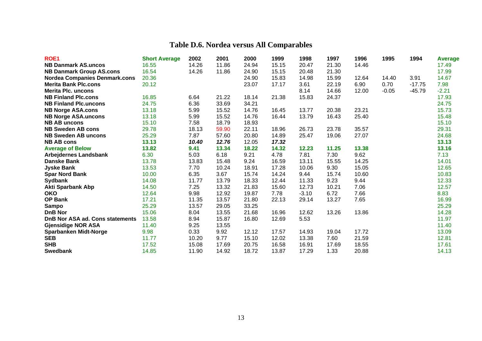| ROE <sub>1</sub>                       | <b>Short Average</b> | 2002  | 2001  | 2000  | 1999  | 1998    | 1997  | 1996  | 1995    | 1994     | <b>Average</b> |
|----------------------------------------|----------------------|-------|-------|-------|-------|---------|-------|-------|---------|----------|----------------|
| <b>NB Danmark AS.uncos</b>             | 16.55                | 14.26 | 11.86 | 24.94 | 15.15 | 20.47   | 21.30 | 14.46 |         |          | 17.49          |
| <b>NB Danmark Group AS.cons</b>        | 16.54                | 14.26 | 11.86 | 24.90 | 15.15 | 20.48   | 21.30 |       |         |          | 17.99          |
| <b>Nordea Companies Denmark.cons</b>   | 20.36                |       |       | 24.90 | 15.83 | 14.98   | 15.99 | 12.64 | 14.40   | 3.91     | 14.67          |
| <b>Merita Bank Plc.cons</b>            | 20.12                |       |       | 23.07 | 17.17 | 3.61    | 22.19 | 6.90  | 0.70    | $-17.75$ | 7.98           |
| <b>Merita Plc. uncons</b>              |                      |       |       |       |       | 8.14    | 14.66 | 12.00 | $-0.05$ | $-45.79$ | $-2.21$        |
| <b>NB Finland Plc.cons</b>             | 16.85                | 6.64  | 21.22 | 18.14 | 21.38 | 15.83   | 24.37 |       |         |          | 17.93          |
| <b>NB Finland Plc.uncons</b>           | 24.75                | 6.36  | 33.69 | 34.21 |       |         |       |       |         |          | 24.75          |
| <b>NB Norge ASA.cons</b>               | 13.18                | 5.99  | 15.52 | 14.76 | 16.45 | 13.77   | 20.38 | 23.21 |         |          | 15.73          |
| <b>NB Norge ASA.uncons</b>             | 13.18                | 5.99  | 15.52 | 14.76 | 16.44 | 13.79   | 16.43 | 25.40 |         |          | 15.48          |
| <b>NB AB uncons</b>                    | 15.10                | 7.58  | 18.79 | 18.93 |       |         |       |       |         |          | 15.10          |
| <b>NB Sweden AB cons</b>               | 29.78                | 18.13 | 59.90 | 22.11 | 18.96 | 26.73   | 23.78 | 35.57 |         |          | 29.31          |
| <b>NB Sweden AB uncons</b>             | 25.29                | 7.87  | 57.60 | 20.80 | 14.89 | 25.47   | 19.06 | 27.07 |         |          | 24.68          |
| <b>NB AB cons</b>                      | 13.13                | 10.40 | 12.76 | 12.05 | 17.32 |         |       |       |         |          | 13.13          |
| <b>Average of Below</b>                | 13.82                | 9.41  | 13.34 | 18.22 | 14.32 | 12.23   | 11.25 | 13.38 |         |          | 13.16          |
| <b>Arbejdernes Landsbank</b>           | 6.30                 | 5.03  | 6.18  | 9.21  | 4.78  | 7.81    | 7.30  | 9.62  |         |          | 7.13           |
| <b>Danske Bank</b>                     | 13.78                | 13.83 | 15.48 | 9.24  | 16.59 | 13.11   | 15.55 | 14.25 |         |          | 14.01          |
| <b>Jyske Bank</b>                      | 13.53                | 7.70  | 10.24 | 18.91 | 17.28 | 10.06   | 9.30  | 15.05 |         |          | 12.65          |
| <b>Spar Nord Bank</b>                  | 10.00                | 6.35  | 3.67  | 15.74 | 14.24 | 9.44    | 15.74 | 10.60 |         |          | 10.83          |
| <b>Sydbank</b>                         | 14.08                | 11.77 | 13.79 | 18.33 | 12.44 | 11.33   | 9.23  | 9.44  |         |          | 12.33          |
| <b>Akti Sparbank Abp</b>               | 14.50                | 7.25  | 13.32 | 21.83 | 15.60 | 12.73   | 10.21 | 7.06  |         |          | 12.57          |
| <b>OKO</b>                             | 12.64                | 9.98  | 12.92 | 19.87 | 7.78  | $-3.10$ | 6.72  | 7.66  |         |          | 8.83           |
| <b>OP Bank</b>                         | 17.21                | 11.35 | 13.57 | 21.80 | 22.13 | 29.14   | 13.27 | 7.65  |         |          | 16.99          |
| <b>Sampo</b>                           | 25.29                | 13.57 | 29.05 | 33.25 |       |         |       |       |         |          | 25.29          |
| <b>DnB Nor</b>                         | 15.06                | 8.04  | 13.55 | 21.68 | 16.96 | 12.62   | 13.26 | 13.86 |         |          | 14.28          |
| <b>DnB Nor ASA ad. Cons statements</b> | 13.58                | 8.94  | 15.87 | 16.80 | 12.69 | 5.53    |       |       |         |          | 11.97          |
| <b>Gjensidige NOR ASA</b>              | 11.40                | 9.25  | 13.55 |       |       |         |       |       |         |          | 11.40          |
| <b>Sparbanken Midt-Norge</b>           | 9.98                 | 0.33  | 9.92  | 12.12 | 17.57 | 14.93   | 19.04 | 17.72 |         |          | 13.09          |
| <b>SEB</b>                             | 11.77                | 10.20 | 9.77  | 15.10 | 12.02 | 13.38   | 7.60  | 21.59 |         |          | 12.81          |
| <b>SHB</b>                             | 17.52                | 15.08 | 17.69 | 20.75 | 16.58 | 16.91   | 17.69 | 18.55 |         |          | 17.61          |
| <b>Swedbank</b>                        | 14.85                | 11.90 | 14.92 | 18.72 | 13.87 | 17.29   | 1.33  | 20.88 |         |          | 14.13          |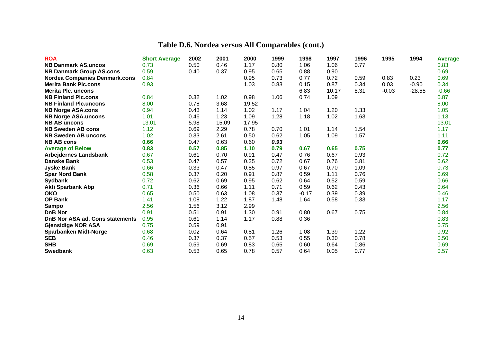| <b>ROA</b>                           | <b>Short Average</b> | 2002 | 2001  | 2000  | 1999 | 1998    | 1997  | 1996 | 1995    | 1994     | <b>Average</b> |
|--------------------------------------|----------------------|------|-------|-------|------|---------|-------|------|---------|----------|----------------|
| <b>NB Danmark AS.uncos</b>           | 0.73                 | 0.50 | 0.46  | 1.17  | 0.80 | 1.06    | 1.06  | 0.77 |         |          | 0.83           |
| <b>NB Danmark Group AS.cons</b>      | 0.59                 | 0.40 | 0.37  | 0.95  | 0.65 | 0.88    | 0.90  |      |         |          | 0.69           |
| <b>Nordea Companies Denmark.cons</b> | 0.84                 |      |       | 0.95  | 0.73 | 0.77    | 0.72  | 0.59 | 0.83    | 0.23     | 0.69           |
| <b>Merita Bank Plc.cons</b>          | 0.93                 |      |       | 1.03  | 0.83 | 0.15    | 0.87  | 0.34 | 0.03    | $-0.90$  | 0.34           |
| <b>Merita Plc. uncons</b>            |                      |      |       |       |      | 6.83    | 10.17 | 8.31 | $-0.03$ | $-28.55$ | $-0.66$        |
| <b>NB Finland Plc.cons</b>           | 0.84                 | 0.32 | 1.02  | 0.98  | 1.06 | 0.74    | 1.09  |      |         |          | 0.87           |
| <b>NB Finland Plc.uncons</b>         | 8.00                 | 0.78 | 3.68  | 19.52 |      |         |       |      |         |          | 8.00           |
| <b>NB Norge ASA.cons</b>             | 0.94                 | 0.43 | 1.14  | 1.02  | 1.17 | 1.04    | 1.20  | 1.33 |         |          | 1.05           |
| <b>NB Norge ASA.uncons</b>           | 1.01                 | 0.46 | 1.23  | 1.09  | 1.28 | 1.18    | 1.02  | 1.63 |         |          | 1.13           |
| <b>NB AB uncons</b>                  | 13.01                | 5.98 | 15.09 | 17.95 |      |         |       |      |         |          | 13.01          |
| <b>NB Sweden AB cons</b>             | 1.12                 | 0.69 | 2.29  | 0.78  | 0.70 | 1.01    | 1.14  | 1.54 |         |          | 1.17           |
| <b>NB Sweden AB uncons</b>           | 1.02                 | 0.33 | 2.61  | 0.50  | 0.62 | 1.05    | 1.09  | 1.57 |         |          | 1.11           |
| <b>NB AB cons</b>                    | 0.66                 | 0.47 | 0.63  | 0.60  | 0.93 |         |       |      |         |          | 0.66           |
| <b>Average of Below</b>              | 0.83                 | 0.57 | 0.85  | 1.10  | 0.79 | 0.67    | 0.65  | 0.75 |         |          | 0.77           |
| <b>Arbejdernes Landsbank</b>         | 0.67                 | 0.61 | 0.70  | 0.91  | 0.47 | 0.76    | 0.67  | 0.93 |         |          | 0.72           |
| <b>Danske Bank</b>                   | 0.53                 | 0.47 | 0.57  | 0.35  | 0.72 | 0.67    | 0.76  | 0.81 |         |          | 0.62           |
| <b>Jyske Bank</b>                    | 0.66                 | 0.33 | 0.47  | 0.85  | 0.97 | 0.67    | 0.70  | 1.09 |         |          | 0.73           |
| <b>Spar Nord Bank</b>                | 0.58                 | 0.37 | 0.20  | 0.91  | 0.87 | 0.59    | 1.11  | 0.76 |         |          | 0.69           |
| <b>Sydbank</b>                       | 0.72                 | 0.62 | 0.69  | 0.95  | 0.62 | 0.64    | 0.52  | 0.59 |         |          | 0.66           |
| <b>Akti Sparbank Abp</b>             | 0.71                 | 0.36 | 0.66  | 1.11  | 0.71 | 0.59    | 0.62  | 0.43 |         |          | 0.64           |
| <b>OKO</b>                           | 0.65                 | 0.50 | 0.63  | 1.08  | 0.37 | $-0.17$ | 0.39  | 0.39 |         |          | 0.46           |
| <b>OP Bank</b>                       | 1.41                 | 1.08 | 1.22  | 1.87  | 1.48 | 1.64    | 0.58  | 0.33 |         |          | 1.17           |
| <b>Sampo</b>                         | 2.56                 | 1.56 | 3.12  | 2.99  |      |         |       |      |         |          | 2.56           |
| <b>DnB Nor</b>                       | 0.91                 | 0.51 | 0.91  | 1.30  | 0.91 | 0.80    | 0.67  | 0.75 |         |          | 0.84           |
| DnB Nor ASA ad. Cons statements      | 0.95                 | 0.61 | 1.14  | 1.17  | 0.88 | 0.36    |       |      |         |          | 0.83           |
| <b>Gjensidige NOR ASA</b>            | 0.75                 | 0.59 | 0.91  |       |      |         |       |      |         |          | 0.75           |
| <b>Sparbanken Midt-Norge</b>         | 0.68                 | 0.02 | 0.64  | 0.81  | 1.26 | 1.08    | 1.39  | 1.22 |         |          | 0.92           |
| <b>SEB</b>                           | 0.46                 | 0.37 | 0.37  | 0.57  | 0.53 | 0.55    | 0.30  | 0.78 |         |          | 0.50           |
| <b>SHB</b>                           | 0.69                 | 0.59 | 0.69  | 0.83  | 0.65 | 0.60    | 0.64  | 0.86 |         |          | 0.69           |
| <b>Swedbank</b>                      | 0.63                 | 0.53 | 0.65  | 0.78  | 0.57 | 0.64    | 0.05  | 0.77 |         |          | 0.57           |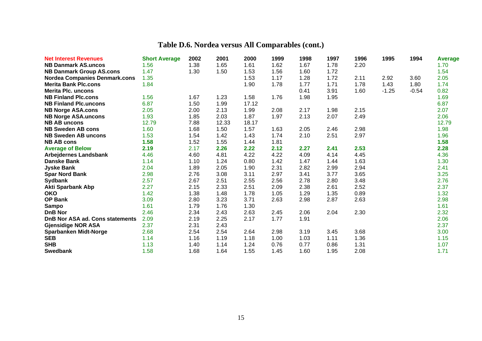| <b>Net Interest Revenues</b>         | <b>Short Average</b> | 2002 | 2001  | 2000  | 1999 | 1998 | 1997 | 1996 | 1995    | 1994    | <b>Average</b> |
|--------------------------------------|----------------------|------|-------|-------|------|------|------|------|---------|---------|----------------|
| <b>NB Danmark AS.uncos</b>           | 1.56                 | 1.38 | 1.65  | 1.61  | 1.62 | 1.67 | 1.78 | 2.20 |         |         | 1.70           |
| <b>NB Danmark Group AS.cons</b>      | 1.47                 | 1.30 | 1.50  | 1.53  | 1.56 | 1.60 | 1.72 |      |         |         | 1.54           |
| <b>Nordea Companies Denmark.cons</b> | 1.35                 |      |       | 1.53  | 1.17 | 1.28 | 1.72 | 2.11 | 2.92    | 3.60    | 2.05           |
| <b>Merita Bank Plc.cons</b>          | 1.84                 |      |       | 1.90  | 1.78 | 1.77 | 1.71 | 1.78 | 1.43    | 1.80    | 1.74           |
| <b>Merita Plc. uncons</b>            |                      |      |       |       |      | 0.41 | 3.91 | 1.60 | $-1.25$ | $-0.54$ | 0.82           |
| <b>NB Finland Plc.cons</b>           | 1.56                 | 1.67 | 1.23  | 1.58  | 1.76 | 1.98 | 1.95 |      |         |         | 1.69           |
| <b>NB Finland Plc.uncons</b>         | 6.87                 | 1.50 | 1.99  | 17.12 |      |      |      |      |         |         | 6.87           |
| <b>NB Norge ASA.cons</b>             | 2.05                 | 2.00 | 2.13  | 1.99  | 2.08 | 2.17 | 1.98 | 2.15 |         |         | 2.07           |
| <b>NB Norge ASA.uncons</b>           | 1.93                 | 1.85 | 2.03  | 1.87  | 1.97 | 2.13 | 2.07 | 2.49 |         |         | 2.06           |
| <b>NB AB uncons</b>                  | 12.79                | 7.88 | 12.33 | 18.17 |      |      |      |      |         |         | 12.79          |
| <b>NB Sweden AB cons</b>             | 1.60                 | 1.68 | 1.50  | 1.57  | 1.63 | 2.05 | 2.46 | 2.98 |         |         | 1.98           |
| <b>NB Sweden AB uncons</b>           | 1.53                 | 1.54 | 1.42  | 1.43  | 1.74 | 2.10 | 2.51 | 2.97 |         |         | 1.96           |
| <b>NB AB cons</b>                    | 1.58                 | 1.52 | 1.55  | 1.44  | 1.81 |      |      |      |         |         | 1.58           |
| <b>Average of Below</b>              | 2.19                 | 2.17 | 2.26  | 2.22  | 2.12 | 2.27 | 2.41 | 2.53 |         |         | 2.28           |
| <b>Arbejdernes Landsbank</b>         | 4.46                 | 4.60 | 4.81  | 4.22  | 4.22 | 4.09 | 4.14 | 4.45 |         |         | 4.36           |
| <b>Danske Bank</b>                   | 1.14                 | 1.10 | 1.24  | 0.80  | 1.42 | 1.47 | 1.44 | 1.63 |         |         | 1.30           |
| <b>Jyske Bank</b>                    | 2.04                 | 1.89 | 2.05  | 1.90  | 2.31 | 2.82 | 2.99 | 2.94 |         |         | 2.41           |
| <b>Spar Nord Bank</b>                | 2.98                 | 2.76 | 3.08  | 3.11  | 2.97 | 3.41 | 3.77 | 3.65 |         |         | 3.25           |
| <b>Sydbank</b>                       | 2.57                 | 2.67 | 2.51  | 2.55  | 2.56 | 2.78 | 2.80 | 3.48 |         |         | 2.76           |
| <b>Akti Sparbank Abp</b>             | 2.27                 | 2.15 | 2.33  | 2.51  | 2.09 | 2.38 | 2.61 | 2.52 |         |         | 2.37           |
| <b>OKO</b>                           | 1.42                 | 1.38 | 1.48  | 1.78  | 1.05 | 1.29 | 1.35 | 0.89 |         |         | 1.32           |
| OP Bank                              | 3.09                 | 2.80 | 3.23  | 3.71  | 2.63 | 2.98 | 2.87 | 2.63 |         |         | 2.98           |
| <b>Sampo</b>                         | 1.61                 | 1.79 | 1.76  | 1.30  |      |      |      |      |         |         | 1.61           |
| <b>DnB Nor</b>                       | 2.46                 | 2.34 | 2.43  | 2.63  | 2.45 | 2.06 | 2.04 | 2.30 |         |         | 2.32           |
| DnB Nor ASA ad. Cons statements      | 2.09                 | 2.19 | 2.25  | 2.17  | 1.77 | 1.91 |      |      |         |         | 2.06           |
| <b>Gjensidige NOR ASA</b>            | 2.37                 | 2.31 | 2.43  |       |      |      |      |      |         |         | 2.37           |
| <b>Sparbanken Midt-Norge</b>         | 2.68                 | 2.54 | 2.54  | 2.64  | 2.98 | 3.19 | 3.45 | 3.68 |         |         | 3.00           |
| <b>SEB</b>                           | 1.14                 | 1.16 | 1.19  | 1.18  | 1.00 | 1.03 | 1.11 | 1.36 |         |         | 1.15           |
| <b>SHB</b>                           | 1.13                 | 1.40 | 1.14  | 1.24  | 0.76 | 0.77 | 0.86 | 1.31 |         |         | 1.07           |
| <b>Swedbank</b>                      | 1.58                 | 1.68 | 1.64  | 1.55  | 1.45 | 1.60 | 1.95 | 2.08 |         |         | 1.71           |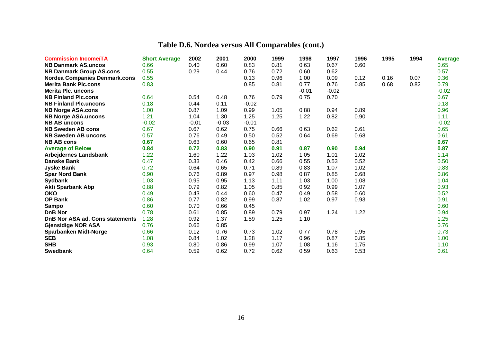| <b>Commission Income/TA</b>          | <b>Short Average</b> | 2002    | 2001    | 2000    | 1999 | 1998    | 1997    | 1996 | 1995 | 1994 | <b>Average</b> |
|--------------------------------------|----------------------|---------|---------|---------|------|---------|---------|------|------|------|----------------|
| <b>NB Danmark AS.uncos</b>           | 0.66                 | 0.40    | 0.60    | 0.83    | 0.81 | 0.63    | 0.67    | 0.60 |      |      | 0.65           |
| <b>NB Danmark Group AS.cons</b>      | 0.55                 | 0.29    | 0.44    | 0.76    | 0.72 | 0.60    | 0.62    |      |      |      | 0.57           |
| <b>Nordea Companies Denmark.cons</b> | 0.55                 |         |         | 0.13    | 0.96 | 1.00    | 0.09    | 0.12 | 0.16 | 0.07 | 0.36           |
| <b>Merita Bank Plc.cons</b>          | 0.83                 |         |         | 0.85    | 0.81 | 0.77    | 0.76    | 0.85 | 0.68 | 0.82 | 0.79           |
| <b>Merita Plc. uncons</b>            |                      |         |         |         |      | $-0.01$ | $-0.02$ |      |      |      | $-0.02$        |
| <b>NB Finland Plc.cons</b>           | 0.64                 | 0.54    | 0.48    | 0.76    | 0.79 | 0.75    | 0.70    |      |      |      | 0.67           |
| <b>NB Finland Plc.uncons</b>         | 0.18                 | 0.44    | 0.11    | $-0.02$ |      |         |         |      |      |      | 0.18           |
| <b>NB Norge ASA.cons</b>             | 1.00                 | 0.87    | 1.09    | 0.99    | 1.05 | 0.88    | 0.94    | 0.89 |      |      | 0.96           |
| <b>NB Norge ASA.uncons</b>           | 1.21                 | 1.04    | 1.30    | 1.25    | 1.25 | 1.22    | 0.82    | 0.90 |      |      | 1.11           |
| <b>NB AB uncons</b>                  | $-0.02$              | $-0.01$ | $-0.03$ | $-0.01$ |      |         |         |      |      |      | $-0.02$        |
| <b>NB Sweden AB cons</b>             | 0.67                 | 0.67    | 0.62    | 0.75    | 0.66 | 0.63    | 0.62    | 0.61 |      |      | 0.65           |
| <b>NB Sweden AB uncons</b>           | 0.57                 | 0.76    | 0.49    | 0.50    | 0.52 | 0.64    | 0.69    | 0.68 |      |      | 0.61           |
| <b>NB AB cons</b>                    | 0.67                 | 0.63    | 0.60    | 0.65    | 0.81 |         |         |      |      |      | 0.67           |
| <b>Average of Below</b>              | 0.84                 | 0.72    | 0.83    | 0.90    | 0.91 | 0.87    | 0.90    | 0.94 |      |      | 0.87           |
| <b>Arbejdernes Landsbank</b>         | 1.22                 | 1.60    | 1.22    | 1.03    | 1.02 | 1.05    | 1.01    | 1.02 |      |      | 1.14           |
| <b>Danske Bank</b>                   | 0.47                 | 0.33    | 0.46    | 0.42    | 0.66 | 0.55    | 0.53    | 0.52 |      |      | 0.50           |
| <b>Jyske Bank</b>                    | 0.72                 | 0.64    | 0.65    | 0.71    | 0.89 | 0.83    | 1.07    | 1.02 |      |      | 0.83           |
| <b>Spar Nord Bank</b>                | 0.90                 | 0.76    | 0.89    | 0.97    | 0.98 | 0.87    | 0.85    | 0.68 |      |      | 0.86           |
| <b>Sydbank</b>                       | 1.03                 | 0.95    | 0.95    | 1.13    | 1.11 | 1.03    | 1.00    | 1.08 |      |      | 1.04           |
| <b>Akti Sparbank Abp</b>             | 0.88                 | 0.79    | 0.82    | 1.05    | 0.85 | 0.92    | 0.99    | 1.07 |      |      | 0.93           |
| <b>OKO</b>                           | 0.49                 | 0.43    | 0.44    | 0.60    | 0.47 | 0.49    | 0.58    | 0.60 |      |      | 0.52           |
| OP Bank                              | 0.86                 | 0.77    | 0.82    | 0.99    | 0.87 | 1.02    | 0.97    | 0.93 |      |      | 0.91           |
| <b>Sampo</b>                         | 0.60                 | 0.70    | 0.66    | 0.45    |      |         |         |      |      |      | 0.60           |
| <b>DnB Nor</b>                       | 0.78                 | 0.61    | 0.85    | 0.89    | 0.79 | 0.97    | 1.24    | 1.22 |      |      | 0.94           |
| DnB Nor ASA ad. Cons statements      | 1.28                 | 0.92    | 1.37    | 1.59    | 1.25 | 1.10    |         |      |      |      | 1.25           |
| <b>Gjensidige NOR ASA</b>            | 0.76                 | 0.66    | 0.85    |         |      |         |         |      |      |      | 0.76           |
| <b>Sparbanken Midt-Norge</b>         | 0.66                 | 0.12    | 0.76    | 0.73    | 1.02 | 0.77    | 0.78    | 0.95 |      |      | 0.73           |
| <b>SEB</b>                           | 1.08                 | 0.84    | 1.02    | 1.28    | 1.17 | 0.96    | 0.87    | 0.85 |      |      | 1.00           |
| <b>SHB</b>                           | 0.93                 | 0.80    | 0.86    | 0.99    | 1.07 | 1.08    | 1.16    | 1.75 |      |      | 1.10           |
| <b>Swedbank</b>                      | 0.64                 | 0.59    | 0.62    | 0.72    | 0.62 | 0.59    | 0.63    | 0.53 |      |      | 0.61           |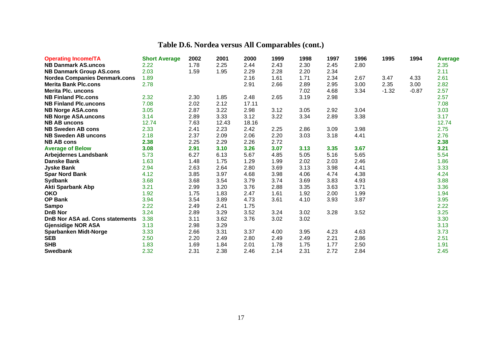| <b>Operating Income/TA</b>           | <b>Short Average</b> | 2002 | 2001  | 2000  | 1999 | 1998 | 1997 | 1996 | 1995    | 1994    | <b>Average</b> |
|--------------------------------------|----------------------|------|-------|-------|------|------|------|------|---------|---------|----------------|
| <b>NB Danmark AS.uncos</b>           | 2.22                 | 1.78 | 2.25  | 2.44  | 2.43 | 2.30 | 2.45 | 2.80 |         |         | 2.35           |
| <b>NB Danmark Group AS.cons</b>      | 2.03                 | 1.59 | 1.95  | 2.29  | 2.28 | 2.20 | 2.34 |      |         |         | 2.11           |
| <b>Nordea Companies Denmark.cons</b> | 1.89                 |      |       | 2.16  | 1.61 | 1.71 | 2.34 | 2.67 | 3.47    | 4.33    | 2.61           |
| <b>Merita Bank Plc.cons</b>          | 2.78                 |      |       | 2.91  | 2.66 | 2.89 | 2.95 | 3.00 | 2.35    | 3.00    | 2.82           |
| <b>Merita Plc. uncons</b>            |                      |      |       |       |      | 7.02 | 4.68 | 3.34 | $-1.32$ | $-0.87$ | 2.57           |
| <b>NB Finland Plc.cons</b>           | 2.32                 | 2.30 | 1.85  | 2.48  | 2.65 | 3.19 | 2.98 |      |         |         | 2.57           |
| <b>NB Finland Plc.uncons</b>         | 7.08                 | 2.02 | 2.12  | 17.11 |      |      |      |      |         |         | 7.08           |
| <b>NB Norge ASA.cons</b>             | 3.05                 | 2.87 | 3.22  | 2.98  | 3.12 | 3.05 | 2.92 | 3.04 |         |         | 3.03           |
| <b>NB Norge ASA.uncons</b>           | 3.14                 | 2.89 | 3.33  | 3.12  | 3.22 | 3.34 | 2.89 | 3.38 |         |         | 3.17           |
| <b>NB AB uncons</b>                  | 12.74                | 7.63 | 12.43 | 18.16 |      |      |      |      |         |         | 12.74          |
| <b>NB Sweden AB cons</b>             | 2.33                 | 2.41 | 2.23  | 2.42  | 2.25 | 2.86 | 3.09 | 3.98 |         |         | 2.75           |
| <b>NB Sweden AB uncons</b>           | 2.18                 | 2.37 | 2.09  | 2.06  | 2.20 | 3.03 | 3.18 | 4.41 |         |         | 2.76           |
| <b>NB AB cons</b>                    | 2.38                 | 2.25 | 2.29  | 2.26  | 2.72 |      |      |      |         |         | 2.38           |
| <b>Average of Below</b>              | 3.08                 | 2.91 | 3.10  | 3.26  | 3.07 | 3.13 | 3.35 | 3.67 |         |         | 3.21           |
| <b>Arbejdernes Landsbank</b>         | 5.73                 | 6.27 | 6.13  | 5.67  | 4.85 | 5.05 | 5.16 | 5.65 |         |         | 5.54           |
| <b>Danske Bank</b>                   | 1.63                 | 1.48 | 1.75  | 1.29  | 1.99 | 2.02 | 2.03 | 2.46 |         |         | 1.86           |
| <b>Jyske Bank</b>                    | 2.94                 | 2.63 | 2.64  | 2.80  | 3.69 | 3.13 | 3.98 | 4.41 |         |         | 3.33           |
| <b>Spar Nord Bank</b>                | 4.12                 | 3.85 | 3.97  | 4.68  | 3.98 | 4.06 | 4.74 | 4.38 |         |         | 4.24           |
| <b>Sydbank</b>                       | 3.68                 | 3.68 | 3.54  | 3.79  | 3.74 | 3.69 | 3.83 | 4.93 |         |         | 3.88           |
| <b>Akti Sparbank Abp</b>             | 3.21                 | 2.99 | 3.20  | 3.76  | 2.88 | 3.35 | 3.63 | 3.71 |         |         | 3.36           |
| <b>OKO</b>                           | 1.92                 | 1.75 | 1.83  | 2.47  | 1.61 | 1.92 | 2.00 | 1.99 |         |         | 1.94           |
| <b>OP Bank</b>                       | 3.94                 | 3.54 | 3.89  | 4.73  | 3.61 | 4.10 | 3.93 | 3.87 |         |         | 3.95           |
| <b>Sampo</b>                         | 2.22                 | 2.49 | 2.41  | 1.75  |      |      |      |      |         |         | 2.22           |
| <b>DnB Nor</b>                       | 3.24                 | 2.89 | 3.29  | 3.52  | 3.24 | 3.02 | 3.28 | 3.52 |         |         | 3.25           |
| DnB Nor ASA ad. Cons statements      | 3.38                 | 3.11 | 3.62  | 3.76  | 3.02 | 3.02 |      |      |         |         | 3.30           |
| <b>Gjensidige NOR ASA</b>            | 3.13                 | 2.98 | 3.29  |       |      |      |      |      |         |         | 3.13           |
| <b>Sparbanken Midt-Norge</b>         | 3.33                 | 2.66 | 3.31  | 3.37  | 4.00 | 3.95 | 4.23 | 4.63 |         |         | 3.73           |
| <b>SEB</b>                           | 2.50                 | 2.20 | 2.49  | 2.80  | 2.49 | 2.49 | 2.21 | 2.86 |         |         | 2.51           |
| <b>SHB</b>                           | 1.83                 | 1.69 | 1.84  | 2.01  | 1.78 | 1.75 | 1.77 | 2.50 |         |         | 1.91           |
| <b>Swedbank</b>                      | 2.32                 | 2.31 | 2.38  | 2.46  | 2.14 | 2.31 | 2.72 | 2.84 |         |         | 2.45           |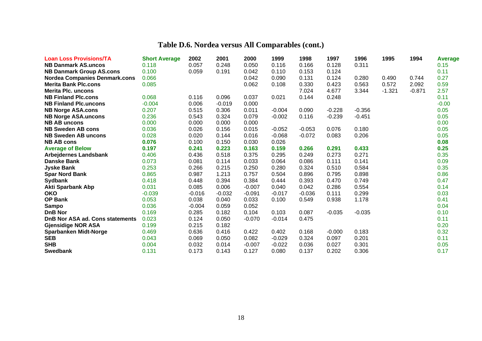| <b>Loan Loss Provisions/TA</b>       | <b>Short Average</b> | 2002     | 2001     | 2000     | 1999     | 1998     | 1997     | 1996     | 1995     | 1994     | <b>Average</b> |
|--------------------------------------|----------------------|----------|----------|----------|----------|----------|----------|----------|----------|----------|----------------|
| <b>NB Danmark AS.uncos</b>           | 0.118                | 0.057    | 0.248    | 0.050    | 0.116    | 0.166    | 0.128    | 0.311    |          |          | 0.15           |
| <b>NB Danmark Group AS.cons</b>      | 0.100                | 0.059    | 0.191    | 0.042    | 0.110    | 0.153    | 0.124    |          |          |          | 0.11           |
| <b>Nordea Companies Denmark.cons</b> | 0.066                |          |          | 0.042    | 0.090    | 0.131    | 0.124    | 0.280    | 0.490    | 0.744    | 0.27           |
| <b>Merita Bank Plc.cons</b>          | 0.085                |          |          | 0.062    | 0.108    | 0.330    | 0.423    | 0.563    | 0.572    | 2.092    | 0.59           |
| <b>Merita Plc. uncons</b>            |                      |          |          |          |          | 7.024    | 4.677    | 3.344    | $-1.321$ | $-0.871$ | 2.57           |
| <b>NB Finland Plc.cons</b>           | 0.068                | 0.116    | 0.096    | 0.037    | 0.021    | 0.144    | 0.248    |          |          |          | 0.11           |
| <b>NB Finland Plc.uncons</b>         | $-0.004$             | 0.006    | $-0.019$ | 0.000    |          |          |          |          |          |          | $-0.00$        |
| <b>NB Norge ASA.cons</b>             | 0.207                | 0.515    | 0.306    | 0.011    | $-0.004$ | 0.090    | $-0.228$ | $-0.356$ |          |          | 0.05           |
| <b>NB Norge ASA.uncons</b>           | 0.236                | 0.543    | 0.324    | 0.079    | $-0.002$ | 0.116    | $-0.239$ | $-0.451$ |          |          | 0.05           |
| <b>NB AB uncons</b>                  | 0.000                | 0.000    | 0.000    | 0.000    |          |          |          |          |          |          | 0.00           |
| <b>NB Sweden AB cons</b>             | 0.036                | 0.026    | 0.156    | 0.015    | $-0.052$ | $-0.053$ | 0.076    | 0.180    |          |          | 0.05           |
| <b>NB Sweden AB uncons</b>           | 0.028                | 0.020    | 0.144    | 0.016    | $-0.068$ | $-0.072$ | 0.083    | 0.206    |          |          | 0.05           |
| <b>NB AB cons</b>                    | 0.076                | 0.100    | 0.150    | 0.030    | 0.026    |          |          |          |          |          | 0.08           |
| <b>Average of Below</b>              | 0.197                | 0.241    | 0.223    | 0.163    | 0.159    | 0.266    | 0.291    | 0.433    |          |          | 0.25           |
| <b>Arbejdernes Landsbank</b>         | 0.406                | 0.436    | 0.518    | 0.375    | 0.295    | 0.249    | 0.273    | 0.271    |          |          | 0.35           |
| <b>Danske Bank</b>                   | 0.073                | 0.081    | 0.114    | 0.033    | 0.064    | 0.086    | 0.111    | 0.141    |          |          | 0.09           |
| <b>Jyske Bank</b>                    | 0.253                | 0.266    | 0.215    | 0.250    | 0.280    | 0.324    | 0.510    | 0.584    |          |          | 0.35           |
| <b>Spar Nord Bank</b>                | 0.865                | 0.987    | 1.213    | 0.757    | 0.504    | 0.896    | 0.795    | 0.898    |          |          | 0.86           |
| <b>Sydbank</b>                       | 0.418                | 0.448    | 0.394    | 0.384    | 0.444    | 0.393    | 0.470    | 0.749    |          |          | 0.47           |
| <b>Akti Sparbank Abp</b>             | 0.031                | 0.085    | 0.006    | $-0.007$ | 0.040    | 0.042    | 0.286    | 0.554    |          |          | 0.14           |
| <b>OKO</b>                           | $-0.039$             | $-0.016$ | $-0.032$ | $-0.091$ | $-0.017$ | $-0.036$ | 0.111    | 0.299    |          |          | 0.03           |
| <b>OP Bank</b>                       | 0.053                | 0.038    | 0.040    | 0.033    | 0.100    | 0.549    | 0.938    | 1.178    |          |          | 0.41           |
| <b>Sampo</b>                         | 0.036                | $-0.004$ | 0.059    | 0.052    |          |          |          |          |          |          | 0.04           |
| <b>DnB Nor</b>                       | 0.169                | 0.285    | 0.182    | 0.104    | 0.103    | 0.087    | $-0.035$ | $-0.035$ |          |          | 0.10           |
| DnB Nor ASA ad. Cons statements      | 0.023                | 0.124    | 0.050    | $-0.070$ | $-0.014$ | 0.475    |          |          |          |          | 0.11           |
| <b>Gjensidige NOR ASA</b>            | 0.199                | 0.215    | 0.182    |          |          |          |          |          |          |          | 0.20           |
| <b>Sparbanken Midt-Norge</b>         | 0.469                | 0.636    | 0.416    | 0.422    | 0.402    | 0.168    | $-0.000$ | 0.183    |          |          | 0.32           |
| <b>SEB</b>                           | 0.043                | 0.069    | 0.050    | 0.082    | $-0.029$ | 0.324    | 0.097    | 0.201    |          |          | 0.11           |
| <b>SHB</b>                           | 0.004                | 0.032    | 0.014    | $-0.007$ | $-0.022$ | 0.036    | 0.027    | 0.301    |          |          | 0.05           |
| <b>Swedbank</b>                      | 0.131                | 0.173    | 0.143    | 0.127    | 0.080    | 0.137    | 0.202    | 0.306    |          |          | 0.17           |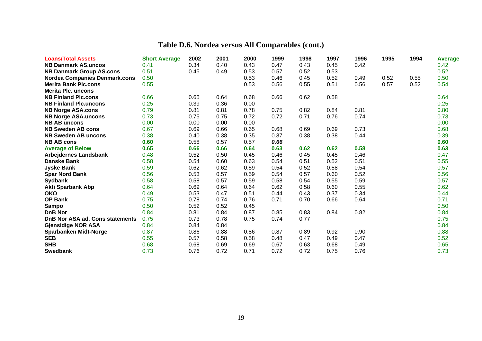| <b>Loans/Total Assets</b>            | <b>Short Average</b> | 2002 | 2001 | 2000 | 1999 | 1998 | 1997 | 1996 | 1995 | 1994 | Average |
|--------------------------------------|----------------------|------|------|------|------|------|------|------|------|------|---------|
| <b>NB Danmark AS.uncos</b>           | 0.41                 | 0.34 | 0.40 | 0.43 | 0.47 | 0.43 | 0.45 | 0.42 |      |      | 0.42    |
| <b>NB Danmark Group AS.cons</b>      | 0.51                 | 0.45 | 0.49 | 0.53 | 0.57 | 0.52 | 0.53 |      |      |      | 0.52    |
| <b>Nordea Companies Denmark.cons</b> | 0.50                 |      |      | 0.53 | 0.46 | 0.45 | 0.52 | 0.49 | 0.52 | 0.55 | 0.50    |
| <b>Merita Bank Plc.cons</b>          | 0.55                 |      |      | 0.53 | 0.56 | 0.55 | 0.51 | 0.56 | 0.57 | 0.52 | 0.54    |
| <b>Merita Plc. uncons</b>            |                      |      |      |      |      |      |      |      |      |      |         |
| <b>NB Finland Plc.cons</b>           | 0.66                 | 0.65 | 0.64 | 0.68 | 0.66 | 0.62 | 0.58 |      |      |      | 0.64    |
| <b>NB Finland Plc.uncons</b>         | 0.25                 | 0.39 | 0.36 | 0.00 |      |      |      |      |      |      | 0.25    |
| <b>NB Norge ASA.cons</b>             | 0.79                 | 0.81 | 0.81 | 0.78 | 0.75 | 0.82 | 0.84 | 0.81 |      |      | 0.80    |
| <b>NB Norge ASA.uncons</b>           | 0.73                 | 0.75 | 0.75 | 0.72 | 0.72 | 0.71 | 0.76 | 0.74 |      |      | 0.73    |
| <b>NB AB uncons</b>                  | 0.00                 | 0.00 | 0.00 | 0.00 |      |      |      |      |      |      | 0.00    |
| <b>NB Sweden AB cons</b>             | 0.67                 | 0.69 | 0.66 | 0.65 | 0.68 | 0.69 | 0.69 | 0.73 |      |      | 0.68    |
| <b>NB Sweden AB uncons</b>           | 0.38                 | 0.40 | 0.38 | 0.35 | 0.37 | 0.38 | 0.38 | 0.44 |      |      | 0.39    |
| <b>NB AB cons</b>                    | 0.60                 | 0.58 | 0.57 | 0.57 | 0.66 |      |      |      |      |      | 0.60    |
| <b>Average of Below</b>              | 0.65                 | 0.66 | 0.66 | 0.64 | 0.63 | 0.62 | 0.62 | 0.58 |      |      | 0.63    |
| <b>Arbejdernes Landsbank</b>         | 0.48                 | 0.52 | 0.50 | 0.45 | 0.46 | 0.45 | 0.45 | 0.46 |      |      | 0.47    |
| <b>Danske Bank</b>                   | 0.58                 | 0.54 | 0.60 | 0.63 | 0.54 | 0.51 | 0.52 | 0.51 |      |      | 0.55    |
| <b>Jyske Bank</b>                    | 0.59                 | 0.62 | 0.62 | 0.59 | 0.54 | 0.52 | 0.58 | 0.54 |      |      | 0.57    |
| <b>Spar Nord Bank</b>                | 0.56                 | 0.53 | 0.57 | 0.59 | 0.54 | 0.57 | 0.60 | 0.52 |      |      | 0.56    |
| <b>Sydbank</b>                       | 0.58                 | 0.58 | 0.57 | 0.59 | 0.58 | 0.54 | 0.55 | 0.59 |      |      | 0.57    |
| <b>Akti Sparbank Abp</b>             | 0.64                 | 0.69 | 0.64 | 0.64 | 0.62 | 0.58 | 0.60 | 0.55 |      |      | 0.62    |
| <b>OKO</b>                           | 0.49                 | 0.53 | 0.47 | 0.51 | 0.44 | 0.43 | 0.37 | 0.34 |      |      | 0.44    |
| <b>OP Bank</b>                       | 0.75                 | 0.78 | 0.74 | 0.76 | 0.71 | 0.70 | 0.66 | 0.64 |      |      | 0.71    |
| <b>Sampo</b>                         | 0.50                 | 0.52 | 0.52 | 0.45 |      |      |      |      |      |      | 0.50    |
| <b>DnB Nor</b>                       | 0.84                 | 0.81 | 0.84 | 0.87 | 0.85 | 0.83 | 0.84 | 0.82 |      |      | 0.84    |
| DnB Nor ASA ad. Cons statements      | 0.75                 | 0.73 | 0.78 | 0.75 | 0.74 | 0.77 |      |      |      |      | 0.75    |
| <b>Gjensidige NOR ASA</b>            | 0.84                 | 0.84 | 0.84 |      |      |      |      |      |      |      | 0.84    |
| <b>Sparbanken Midt-Norge</b>         | 0.87                 | 0.86 | 0.88 | 0.86 | 0.87 | 0.89 | 0.92 | 0.90 |      |      | 0.88    |
| <b>SEB</b>                           | 0.55                 | 0.57 | 0.58 | 0.58 | 0.48 | 0.47 | 0.49 | 0.47 |      |      | 0.52    |
| <b>SHB</b>                           | 0.68                 | 0.68 | 0.69 | 0.69 | 0.67 | 0.63 | 0.68 | 0.49 |      |      | 0.65    |
| <b>Swedbank</b>                      | 0.73                 | 0.76 | 0.72 | 0.71 | 0.72 | 0.72 | 0.75 | 0.76 |      |      | 0.73    |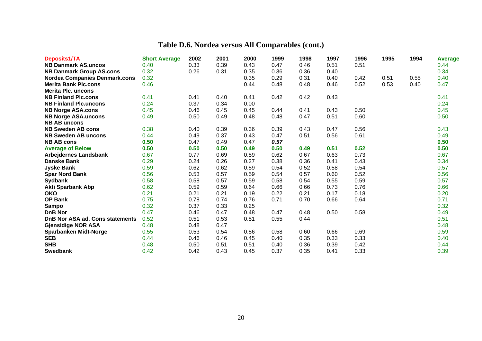| Deposits1/TA                         | <b>Short Average</b> | 2002 | 2001 | 2000 | 1999 | 1998 | 1997 | 1996 | 1995 | 1994 | <b>Average</b> |
|--------------------------------------|----------------------|------|------|------|------|------|------|------|------|------|----------------|
| <b>NB Danmark AS.uncos</b>           | 0.40                 | 0.33 | 0.39 | 0.43 | 0.47 | 0.46 | 0.51 | 0.51 |      |      | 0.44           |
| <b>NB Danmark Group AS.cons</b>      | 0.32                 | 0.26 | 0.31 | 0.35 | 0.36 | 0.36 | 0.40 |      |      |      | 0.34           |
| <b>Nordea Companies Denmark.cons</b> | 0.32                 |      |      | 0.35 | 0.29 | 0.31 | 0.40 | 0.42 | 0.51 | 0.55 | 0.40           |
| <b>Merita Bank Plc.cons</b>          | 0.46                 |      |      | 0.44 | 0.48 | 0.48 | 0.46 | 0.52 | 0.53 | 0.40 | 0.47           |
| <b>Merita Plc. uncons</b>            |                      |      |      |      |      |      |      |      |      |      |                |
| <b>NB Finland Plc.cons</b>           | 0.41                 | 0.41 | 0.40 | 0.41 | 0.42 | 0.42 | 0.43 |      |      |      | 0.41           |
| <b>NB Finland Plc.uncons</b>         | 0.24                 | 0.37 | 0.34 | 0.00 |      |      |      |      |      |      | 0.24           |
| <b>NB Norge ASA.cons</b>             | 0.45                 | 0.46 | 0.45 | 0.45 | 0.44 | 0.41 | 0.43 | 0.50 |      |      | 0.45           |
| <b>NB Norge ASA.uncons</b>           | 0.49                 | 0.50 | 0.49 | 0.48 | 0.48 | 0.47 | 0.51 | 0.60 |      |      | 0.50           |
| <b>NB AB uncons</b>                  |                      |      |      |      |      |      |      |      |      |      |                |
| <b>NB Sweden AB cons</b>             | 0.38                 | 0.40 | 0.39 | 0.36 | 0.39 | 0.43 | 0.47 | 0.56 |      |      | 0.43           |
| <b>NB Sweden AB uncons</b>           | 0.44                 | 0.49 | 0.37 | 0.43 | 0.47 | 0.51 | 0.56 | 0.61 |      |      | 0.49           |
| <b>NB AB cons</b>                    | 0.50                 | 0.47 | 0.49 | 0.47 | 0.57 |      |      |      |      |      | 0.50           |
| <b>Average of Below</b>              | 0.50                 | 0.50 | 0.50 | 0.49 | 0.50 | 0.49 | 0.51 | 0.52 |      |      | 0.50           |
| <b>Arbejdernes Landsbank</b>         | 0.67                 | 0.77 | 0.69 | 0.59 | 0.62 | 0.67 | 0.63 | 0.73 |      |      | 0.67           |
| <b>Danske Bank</b>                   | 0.29                 | 0.24 | 0.26 | 0.27 | 0.38 | 0.36 | 0.41 | 0.43 |      |      | 0.34           |
| <b>Jyske Bank</b>                    | 0.59                 | 0.62 | 0.62 | 0.59 | 0.54 | 0.52 | 0.58 | 0.54 |      |      | 0.57           |
| <b>Spar Nord Bank</b>                | 0.56                 | 0.53 | 0.57 | 0.59 | 0.54 | 0.57 | 0.60 | 0.52 |      |      | 0.56           |
| <b>Sydbank</b>                       | 0.58                 | 0.58 | 0.57 | 0.59 | 0.58 | 0.54 | 0.55 | 0.59 |      |      | 0.57           |
| <b>Akti Sparbank Abp</b>             | 0.62                 | 0.59 | 0.59 | 0.64 | 0.66 | 0.66 | 0.73 | 0.76 |      |      | 0.66           |
| <b>OKO</b>                           | 0.21                 | 0.21 | 0.21 | 0.19 | 0.22 | 0.21 | 0.17 | 0.18 |      |      | 0.20           |
| OP Bank                              | 0.75                 | 0.78 | 0.74 | 0.76 | 0.71 | 0.70 | 0.66 | 0.64 |      |      | 0.71           |
| <b>Sampo</b>                         | 0.32                 | 0.37 | 0.33 | 0.25 |      |      |      |      |      |      | 0.32           |
| <b>DnB Nor</b>                       | 0.47                 | 0.46 | 0.47 | 0.48 | 0.47 | 0.48 | 0.50 | 0.58 |      |      | 0.49           |
| DnB Nor ASA ad. Cons statements      | 0.52                 | 0.51 | 0.53 | 0.51 | 0.55 | 0.44 |      |      |      |      | 0.51           |
| <b>Gjensidige NOR ASA</b>            | 0.48                 | 0.48 | 0.47 |      |      |      |      |      |      |      | 0.48           |
| <b>Sparbanken Midt-Norge</b>         | 0.55                 | 0.53 | 0.54 | 0.56 | 0.58 | 0.60 | 0.66 | 0.69 |      |      | 0.59           |
| <b>SEB</b>                           | 0.44                 | 0.46 | 0.46 | 0.45 | 0.40 | 0.35 | 0.33 | 0.33 |      |      | 0.40           |
| <b>SHB</b>                           | 0.48                 | 0.50 | 0.51 | 0.51 | 0.40 | 0.36 | 0.39 | 0.42 |      |      | 0.44           |
| <b>Swedbank</b>                      | 0.42                 | 0.42 | 0.43 | 0.45 | 0.37 | 0.35 | 0.41 | 0.33 |      |      | 0.39           |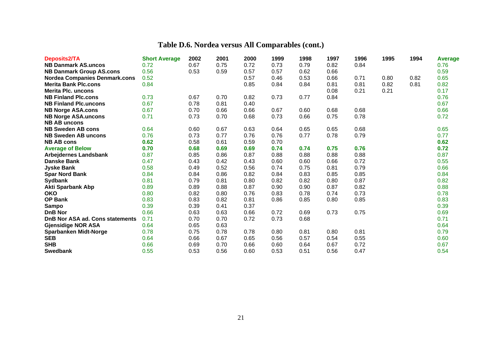| Deposits2/TA                         | <b>Short Average</b> | 2002 | 2001 | 2000 | 1999 | 1998 | 1997 | 1996 | 1995 | 1994 | <b>Average</b> |
|--------------------------------------|----------------------|------|------|------|------|------|------|------|------|------|----------------|
| <b>NB Danmark AS.uncos</b>           | 0.72                 | 0.67 | 0.75 | 0.72 | 0.73 | 0.79 | 0.82 | 0.84 |      |      | 0.76           |
| <b>NB Danmark Group AS.cons</b>      | 0.56                 | 0.53 | 0.59 | 0.57 | 0.57 | 0.62 | 0.66 |      |      |      | 0.59           |
| <b>Nordea Companies Denmark.cons</b> | 0.52                 |      |      | 0.57 | 0.46 | 0.53 | 0.66 | 0.71 | 0.80 | 0.82 | 0.65           |
| <b>Merita Bank Plc.cons</b>          | 0.84                 |      |      | 0.85 | 0.84 | 0.84 | 0.81 | 0.81 | 0.82 | 0.81 | 0.82           |
| <b>Merita Plc. uncons</b>            |                      |      |      |      |      |      | 0.08 | 0.21 | 0.21 |      | 0.17           |
| <b>NB Finland Plc.cons</b>           | 0.73                 | 0.67 | 0.70 | 0.82 | 0.73 | 0.77 | 0.84 |      |      |      | 0.76           |
| <b>NB Finland Plc.uncons</b>         | 0.67                 | 0.78 | 0.81 | 0.40 |      |      |      |      |      |      | 0.67           |
| <b>NB Norge ASA.cons</b>             | 0.67                 | 0.70 | 0.66 | 0.66 | 0.67 | 0.60 | 0.68 | 0.68 |      |      | 0.66           |
| <b>NB Norge ASA.uncons</b>           | 0.71                 | 0.73 | 0.70 | 0.68 | 0.73 | 0.66 | 0.75 | 0.78 |      |      | 0.72           |
| <b>NB AB uncons</b>                  |                      |      |      |      |      |      |      |      |      |      |                |
| <b>NB Sweden AB cons</b>             | 0.64                 | 0.60 | 0.67 | 0.63 | 0.64 | 0.65 | 0.65 | 0.68 |      |      | 0.65           |
| <b>NB Sweden AB uncons</b>           | 0.76                 | 0.73 | 0.77 | 0.76 | 0.76 | 0.77 | 0.78 | 0.79 |      |      | 0.77           |
| <b>NB AB cons</b>                    | 0.62                 | 0.58 | 0.61 | 0.59 | 0.70 |      |      |      |      |      | 0.62           |
| <b>Average of Below</b>              | 0.70                 | 0.68 | 0.69 | 0.69 | 0.74 | 0.74 | 0.75 | 0.76 |      |      | 0.72           |
| <b>Arbejdernes Landsbank</b>         | 0.87                 | 0.85 | 0.86 | 0.87 | 0.88 | 0.88 | 0.88 | 0.88 |      |      | 0.87           |
| <b>Danske Bank</b>                   | 0.47                 | 0.43 | 0.42 | 0.43 | 0.60 | 0.60 | 0.66 | 0.72 |      |      | 0.55           |
| <b>Jyske Bank</b>                    | 0.58                 | 0.49 | 0.52 | 0.56 | 0.74 | 0.75 | 0.81 | 0.79 |      |      | 0.66           |
| <b>Spar Nord Bank</b>                | 0.84                 | 0.84 | 0.86 | 0.82 | 0.84 | 0.83 | 0.85 | 0.85 |      |      | 0.84           |
| Sydbank                              | 0.81                 | 0.79 | 0.81 | 0.80 | 0.82 | 0.82 | 0.80 | 0.87 |      |      | 0.82           |
| <b>Akti Sparbank Abp</b>             | 0.89                 | 0.89 | 0.88 | 0.87 | 0.90 | 0.90 | 0.87 | 0.82 |      |      | 0.88           |
| <b>OKO</b>                           | 0.80                 | 0.82 | 0.80 | 0.76 | 0.83 | 0.78 | 0.74 | 0.73 |      |      | 0.78           |
| OP Bank                              | 0.83                 | 0.83 | 0.82 | 0.81 | 0.86 | 0.85 | 0.80 | 0.85 |      |      | 0.83           |
| <b>Sampo</b>                         | 0.39                 | 0.39 | 0.41 | 0.37 |      |      |      |      |      |      | 0.39           |
| <b>DnB Nor</b>                       | 0.66                 | 0.63 | 0.63 | 0.66 | 0.72 | 0.69 | 0.73 | 0.75 |      |      | 0.69           |
| DnB Nor ASA ad. Cons statements      | 0.71                 | 0.70 | 0.70 | 0.72 | 0.73 | 0.68 |      |      |      |      | 0.71           |
| <b>Gjensidige NOR ASA</b>            | 0.64                 | 0.65 | 0.63 |      |      |      |      |      |      |      | 0.64           |
| <b>Sparbanken Midt-Norge</b>         | 0.78                 | 0.75 | 0.78 | 0.78 | 0.80 | 0.81 | 0.80 | 0.81 |      |      | 0.79           |
| <b>SEB</b>                           | 0.64                 | 0.66 | 0.67 | 0.65 | 0.56 | 0.57 | 0.54 | 0.55 |      |      | 0.60           |
| <b>SHB</b>                           | 0.66                 | 0.69 | 0.70 | 0.66 | 0.60 | 0.64 | 0.67 | 0.72 |      |      | 0.67           |
| <b>Swedbank</b>                      | 0.55                 | 0.53 | 0.56 | 0.60 | 0.53 | 0.51 | 0.56 | 0.47 |      |      | 0.54           |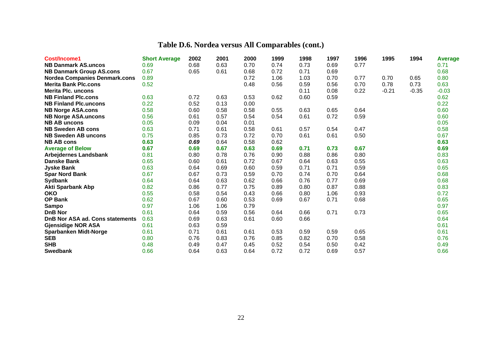| Cost/Income1                         | <b>Short Average</b> | 2002 | 2001 | 2000 | 1999 | 1998 | 1997 | 1996 | 1995    | 1994    | <b>Average</b> |
|--------------------------------------|----------------------|------|------|------|------|------|------|------|---------|---------|----------------|
| <b>NB Danmark AS.uncos</b>           | 0.69                 | 0.68 | 0.63 | 0.70 | 0.74 | 0.73 | 0.69 | 0.77 |         |         | 0.71           |
| <b>NB Danmark Group AS.cons</b>      | 0.67                 | 0.65 | 0.61 | 0.68 | 0.72 | 0.71 | 0.69 |      |         |         | 0.68           |
| <b>Nordea Companies Denmark.cons</b> | 0.89                 |      |      | 0.72 | 1.06 | 1.03 | 0.70 | 0.77 | 0.70    | 0.65    | 0.80           |
| <b>Merita Bank Plc.cons</b>          | 0.52                 |      |      | 0.48 | 0.56 | 0.59 | 0.56 | 0.70 | 0.78    | 0.73    | 0.63           |
| <b>Merita Plc. uncons</b>            |                      |      |      |      |      | 0.11 | 0.08 | 0.22 | $-0.21$ | $-0.35$ | $-0.03$        |
| <b>NB Finland Plc.cons</b>           | 0.63                 | 0.72 | 0.63 | 0.53 | 0.62 | 0.60 | 0.59 |      |         |         | 0.62           |
| <b>NB Finland Plc.uncons</b>         | 0.22                 | 0.52 | 0.13 | 0.00 |      |      |      |      |         |         | 0.22           |
| <b>NB Norge ASA.cons</b>             | 0.58                 | 0.60 | 0.58 | 0.58 | 0.55 | 0.63 | 0.65 | 0.64 |         |         | 0.60           |
| <b>NB Norge ASA.uncons</b>           | 0.56                 | 0.61 | 0.57 | 0.54 | 0.54 | 0.61 | 0.72 | 0.59 |         |         | 0.60           |
| <b>NB AB uncons</b>                  | 0.05                 | 0.09 | 0.04 | 0.01 |      |      |      |      |         |         | 0.05           |
| <b>NB Sweden AB cons</b>             | 0.63                 | 0.71 | 0.61 | 0.58 | 0.61 | 0.57 | 0.54 | 0.47 |         |         | 0.58           |
| <b>NB Sweden AB uncons</b>           | 0.75                 | 0.85 | 0.73 | 0.72 | 0.70 | 0.61 | 0.61 | 0.50 |         |         | 0.67           |
| <b>NB AB cons</b>                    | 0.63                 | 0.69 | 0.64 | 0.58 | 0.62 |      |      |      |         |         | 0.63           |
| <b>Average of Below</b>              | 0.67                 | 0.69 | 0.67 | 0.63 | 0.69 | 0.71 | 0.73 | 0.67 |         |         | 0.69           |
| <b>Arbejdernes Landsbank</b>         | 0.81                 | 0.80 | 0.78 | 0.76 | 0.90 | 0.88 | 0.86 | 0.80 |         |         | 0.83           |
| <b>Danske Bank</b>                   | 0.65                 | 0.60 | 0.61 | 0.72 | 0.67 | 0.64 | 0.63 | 0.55 |         |         | 0.63           |
| <b>Jyske Bank</b>                    | 0.63                 | 0.64 | 0.69 | 0.60 | 0.59 | 0.71 | 0.71 | 0.59 |         |         | 0.65           |
| <b>Spar Nord Bank</b>                | 0.67                 | 0.67 | 0.73 | 0.59 | 0.70 | 0.74 | 0.70 | 0.64 |         |         | 0.68           |
| <b>Sydbank</b>                       | 0.64                 | 0.64 | 0.63 | 0.62 | 0.66 | 0.76 | 0.77 | 0.69 |         |         | 0.68           |
| <b>Akti Sparbank Abp</b>             | 0.82                 | 0.86 | 0.77 | 0.75 | 0.89 | 0.80 | 0.87 | 0.88 |         |         | 0.83           |
| <b>OKO</b>                           | 0.55                 | 0.58 | 0.54 | 0.43 | 0.66 | 0.80 | 1.06 | 0.93 |         |         | 0.72           |
| <b>OP Bank</b>                       | 0.62                 | 0.67 | 0.60 | 0.53 | 0.69 | 0.67 | 0.71 | 0.68 |         |         | 0.65           |
| <b>Sampo</b>                         | 0.97                 | 1.06 | 1.06 | 0.79 |      |      |      |      |         |         | 0.97           |
| <b>DnB Nor</b>                       | 0.61                 | 0.64 | 0.59 | 0.56 | 0.64 | 0.66 | 0.71 | 0.73 |         |         | 0.65           |
| DnB Nor ASA ad. Cons statements      | 0.63                 | 0.69 | 0.63 | 0.61 | 0.60 | 0.66 |      |      |         |         | 0.64           |
| <b>Gjensidige NOR ASA</b>            | 0.61                 | 0.63 | 0.59 |      |      |      |      |      |         |         | 0.61           |
| <b>Sparbanken Midt-Norge</b>         | 0.61                 | 0.71 | 0.61 | 0.61 | 0.53 | 0.59 | 0.59 | 0.65 |         |         | 0.61           |
| <b>SEB</b>                           | 0.80                 | 0.76 | 0.83 | 0.76 | 0.85 | 0.82 | 0.70 | 0.58 |         |         | 0.76           |
| <b>SHB</b>                           | 0.48                 | 0.49 | 0.47 | 0.45 | 0.52 | 0.54 | 0.50 | 0.42 |         |         | 0.49           |
| <b>Swedbank</b>                      | 0.66                 | 0.64 | 0.63 | 0.64 | 0.72 | 0.72 | 0.69 | 0.57 |         |         | 0.66           |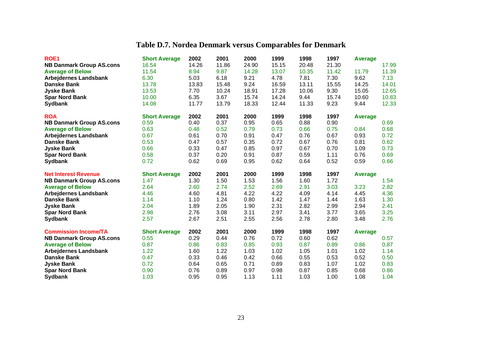# **Table D.7. Nordea Denmark versus Comparables for Denmark**

| ROE <sub>1</sub>                        | <b>Short Average</b> | 2002         | 2001         | 2000         | 1999  | 1998         | 1997         | Average        |       |
|-----------------------------------------|----------------------|--------------|--------------|--------------|-------|--------------|--------------|----------------|-------|
| <b>NB Danmark Group AS.cons</b>         | 16.54                | 14.26        | 11.86        | 24.90        | 15.15 | 20.48        | 21.30        |                | 17.99 |
| <b>Average of Below</b>                 | 11.54                | 8.94         | 9.87         | 14.28        | 13.07 | 10.35        | 11.42        | 11.79          | 11.39 |
| <b>Arbejdernes Landsbank</b>            | 6.30                 | 5.03         | 6.18         | 9.21         | 4.78  | 7.81         | 7.30         | 9.62           | 7.13  |
| <b>Danske Bank</b>                      | 13.78                | 13.83        | 15.48        | 9.24         | 16.59 | 13.11        | 15.55        | 14.25          | 14.01 |
| <b>Jyske Bank</b>                       | 13.53                | 7.70         | 10.24        | 18.91        | 17.28 | 10.06        | 9.30         | 15.05          | 12.65 |
| <b>Spar Nord Bank</b>                   | 10.00                | 6.35         | 3.67         | 15.74        | 14.24 | 9.44         | 15.74        | 10.60          | 10.83 |
| <b>Sydbank</b>                          | 14.08                | 11.77        | 13.79        | 18.33        | 12.44 | 11.33        | 9.23         | 9.44           | 12.33 |
| <b>ROA</b>                              | <b>Short Average</b> | 2002         | 2001         | 2000         | 1999  | 1998         | 1997         | <b>Average</b> |       |
| <b>NB Danmark Group AS.cons</b>         | 0.59                 | 0.40         | 0.37         | 0.95         | 0.65  | 0.88         | 0.90         |                | 0.69  |
| <b>Average of Below</b>                 | 0.63                 | 0.48         | 0.52         | 0.79         | 0.73  | 0.66         | 0.75         | 0.84           | 0.68  |
| <b>Arbejdernes Landsbank</b>            | 0.67                 | 0.61         | 0.70         | 0.91         | 0.47  | 0.76         | 0.67         | 0.93           | 0.72  |
| <b>Danske Bank</b>                      | 0.53                 | 0.47         | 0.57         | 0.35         | 0.72  | 0.67         | 0.76         | 0.81           | 0.62  |
| <b>Jyske Bank</b>                       | 0.66                 | 0.33         | 0.47         | 0.85         | 0.97  | 0.67         | 0.70         | 1.09           | 0.73  |
| <b>Spar Nord Bank</b>                   | 0.58                 | 0.37         | 0.20         | 0.91         | 0.87  | 0.59         | 1.11         | 0.76           | 0.69  |
| <b>Sydbank</b>                          | 0.72                 | 0.62         | 0.69         | 0.95         | 0.62  | 0.64         | 0.52         | 0.59           | 0.66  |
|                                         |                      |              |              |              |       |              |              |                |       |
| <b>Net Interest Revenue</b>             | <b>Short Average</b> | 2002         | 2001         | 2000         | 1999  | 1998         | 1997         | <b>Average</b> |       |
| <b>NB Danmark Group AS.cons</b>         | 1.47                 | 1.30         | 1.50         | 1.53         | 1.56  | 1.60         | 1.72         |                | 1.54  |
| <b>Average of Below</b>                 | 2.64                 | 2.60         | 2.74         | 2.52         | 2.69  | 2.91         | 3.03         | 3.23           | 2.82  |
| <b>Arbejdernes Landsbank</b>            | 4.46                 | 4.60         | 4.81         | 4.22         | 4.22  | 4.09         | 4.14         | 4.45           | 4.36  |
| <b>Danske Bank</b>                      | 1.14                 | 1.10         | 1.24         | 0.80         | 1.42  | 1.47         | 1.44         | 1.63           | 1.30  |
| <b>Jyske Bank</b>                       | 2.04                 | 1.89         | 2.05         | 1.90         | 2.31  | 2.82         | 2.99         | 2.94           | 2.41  |
| <b>Spar Nord Bank</b>                   | 2.98                 | 2.76         | 3.08         | 3.11         | 2.97  | 3.41         | 3.77         | 3.65           | 3.25  |
| <b>Sydbank</b>                          | 2.57                 | 2.67         | 2.51         | 2.55         | 2.56  | 2.78         | 2.80         | 3.48           | 2.76  |
| <b>Commission Income/TA</b>             | <b>Short Average</b> | 2002         | 2001         | 2000         | 1999  | 1998         | 1997         | <b>Average</b> |       |
| <b>NB Danmark Group AS.cons</b>         | 0.55                 | 0.29         | 0.44         | 0.76         | 0.72  | 0.60         | 0.62         |                | 0.57  |
| <b>Average of Below</b>                 | 0.87                 | 0.86         | 0.83         | 0.85         | 0.93  | 0.87         | 0.89         | 0.86           | 0.87  |
| <b>Arbejdernes Landsbank</b>            | 1.22                 | 1.60         | 1.22         | 1.03         | 1.02  | 1.05         | 1.01         | 1.02           | 1.14  |
| Danske Bank                             | 0.47                 | 0.33         | 0.46         | 0.42         | 0.66  | 0.55         | 0.53         | 0.52           | 0.50  |
| <b>Jyske Bank</b>                       | 0.72                 | 0.64         | 0.65         | 0.71         | 0.89  | 0.83         | 1.07         | 1.02           | 0.83  |
| <b>Spar Nord Bank</b><br><b>Sydbank</b> | 0.90                 | 0.76<br>0.95 | 0.89<br>0.95 | 0.97<br>1.13 | 0.98  | 0.87<br>1.03 | 0.85<br>1.00 | 0.68           | 0.86  |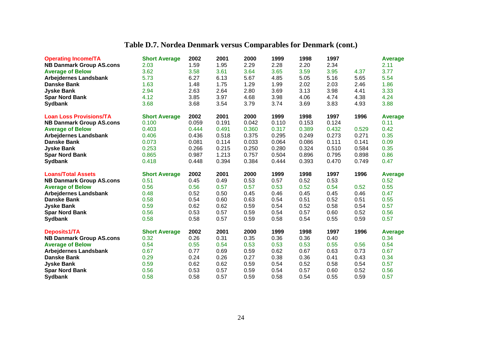# **Table D.7. Nordea Denmark versus Comparables for Denmark (cont.)**

| <b>Operating Income/TA</b>              | <b>Short Average</b> | 2002         | 2001         | 2000         | 1999         | 1998         | 1997         |              | <b>Average</b> |
|-----------------------------------------|----------------------|--------------|--------------|--------------|--------------|--------------|--------------|--------------|----------------|
| <b>NB Danmark Group AS.cons</b>         | 2.03                 | 1.59         | 1.95         | 2.29         | 2.28         | 2.20         | 2.34         |              | 2.11           |
| <b>Average of Below</b>                 | 3.62                 | 3.58         | 3.61         | 3.64         | 3.65         | 3.59         | 3.95         | 4.37         | 3.77           |
| <b>Arbejdernes Landsbank</b>            | 5.73                 | 6.27         | 6.13         | 5.67         | 4.85         | 5.05         | 5.16         | 5.65         | 5.54           |
| <b>Danske Bank</b>                      | 1.63                 | 1.48         | 1.75         | 1.29         | 1.99         | 2.02         | 2.03         | 2.46         | 1.86           |
| <b>Jyske Bank</b>                       | 2.94                 | 2.63         | 2.64         | 2.80         | 3.69         | 3.13         | 3.98         | 4.41         | 3.33           |
| <b>Spar Nord Bank</b>                   | 4.12                 | 3.85         | 3.97         | 4.68         | 3.98         | 4.06         | 4.74         | 4.38         | 4.24           |
| <b>Sydbank</b>                          | 3.68                 | 3.68         | 3.54         | 3.79         | 3.74         | 3.69         | 3.83         | 4.93         | 3.88           |
| <b>Loan Loss Provisions/TA</b>          | <b>Short Average</b> | 2002         | 2001         | 2000         | 1999         | 1998         | 1997         | 1996         | <b>Average</b> |
| <b>NB Danmark Group AS.cons</b>         | 0.100                | 0.059        | 0.191        | 0.042        | 0.110        | 0.153        | 0.124        |              | 0.11           |
| <b>Average of Below</b>                 | 0.403                | 0.444        | 0.491        | 0.360        | 0.317        | 0.389        | 0.432        | 0.529        | 0.42           |
| <b>Arbejdernes Landsbank</b>            | 0.406                | 0.436        | 0.518        | 0.375        | 0.295        | 0.249        | 0.273        | 0.271        | 0.35           |
| <b>Danske Bank</b>                      | 0.073                | 0.081        | 0.114        | 0.033        | 0.064        | 0.086        | 0.111        | 0.141        | 0.09           |
| <b>Jyske Bank</b>                       | 0.253                | 0.266        | 0.215        | 0.250        | 0.280        | 0.324        | 0.510        | 0.584        | 0.35           |
| <b>Spar Nord Bank</b>                   | 0.865                | 0.987        | 1.213        | 0.757        | 0.504        | 0.896        | 0.795        | 0.898        | 0.86           |
| <b>Sydbank</b>                          | 0.418                | 0.448        | 0.394        | 0.384        | 0.444        | 0.393        | 0.470        | 0.749        | 0.47           |
|                                         |                      |              |              |              |              |              |              |              |                |
| <b>Loans/Total Assets</b>               | <b>Short Average</b> | 2002         | 2001         | 2000         | 1999         | 1998         | 1997         | 1996         | <b>Average</b> |
| <b>NB Danmark Group AS.cons</b>         | 0.51                 | 0.45         | 0.49         | 0.53         | 0.57         | 0.52         | 0.53         |              | 0.52           |
| <b>Average of Below</b>                 | 0.56                 | 0.56         | 0.57         | 0.57         | 0.53         | 0.52         | 0.54         | 0.52         | 0.55           |
| <b>Arbejdernes Landsbank</b>            | 0.48                 | 0.52         | 0.50         | 0.45         | 0.46         | 0.45         | 0.45         | 0.46         | 0.47           |
| <b>Danske Bank</b>                      | 0.58                 | 0.54         | 0.60         | 0.63         | 0.54         | 0.51         | 0.52         | 0.51         | 0.55           |
| <b>Jyske Bank</b>                       | 0.59                 | 0.62         | 0.62         | 0.59         | 0.54         | 0.52         | 0.58         | 0.54         | 0.57           |
| <b>Spar Nord Bank</b>                   | 0.56                 | 0.53         | 0.57         | 0.59         | 0.54         | 0.57         | 0.60         | 0.52         | 0.56           |
| <b>Sydbank</b>                          | 0.58                 | 0.58         | 0.57         | 0.59         | 0.58         | 0.54         | 0.55         | 0.59         | 0.57           |
| Deposits1/TA                            | <b>Short Average</b> | 2002         | 2001         | 2000         | 1999         | 1998         | 1997         | 1996         | <b>Average</b> |
| <b>NB Danmark Group AS.cons</b>         | 0.32                 | 0.26         | 0.31         | 0.35         | 0.36         | 0.36         | 0.40         |              | 0.34           |
| <b>Average of Below</b>                 | 0.54                 | 0.55         | 0.54         | 0.53         | 0.53         | 0.53         | 0.55         | 0.56         | 0.54           |
| <b>Arbejdernes Landsbank</b>            | 0.67                 | 0.77         | 0.69         | 0.59         | 0.62         | 0.67         | 0.63         | 0.73         | 0.67           |
| <b>Danske Bank</b>                      | 0.29                 | 0.24         | 0.26         | 0.27         | 0.38         | 0.36         | 0.41         | 0.43         | 0.34           |
| <b>Jyske Bank</b>                       | 0.59                 | 0.62         | 0.62         | 0.59         | 0.54         | 0.52         | 0.58         | 0.54         | 0.57           |
| <b>Spar Nord Bank</b><br><b>Sydbank</b> | 0.56<br>0.58         | 0.53<br>0.58 | 0.57<br>0.57 | 0.59<br>0.59 | 0.54<br>0.58 | 0.57<br>0.54 | 0.60<br>0.55 | 0.52<br>0.59 | 0.56<br>0.57   |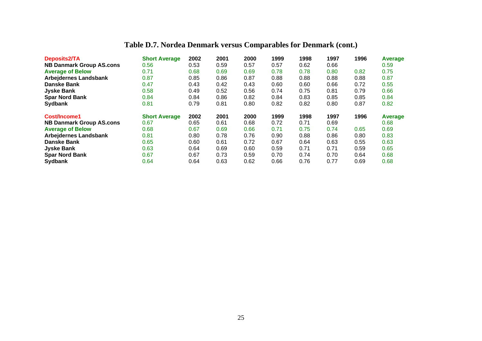## **Table D.7. Nordea Denmark versus Comparables for Denmark (cont.)**

| <b>Deposits2/TA</b>             | <b>Short Average</b> | 2002 | 2001 | 2000 | 1999 | 1998 | 1997 | 1996 | Average |
|---------------------------------|----------------------|------|------|------|------|------|------|------|---------|
| <b>NB Danmark Group AS.cons</b> | 0.56                 | 0.53 | 0.59 | 0.57 | 0.57 | 0.62 | 0.66 |      | 0.59    |
| <b>Average of Below</b>         | 0.71                 | 0.68 | 0.69 | 0.69 | 0.78 | 0.78 | 0.80 | 0.82 | 0.75    |
| <b>Arbejdernes Landsbank</b>    | 0.87                 | 0.85 | 0.86 | 0.87 | 0.88 | 0.88 | 0.88 | 0.88 | 0.87    |
| <b>Danske Bank</b>              | 0.47                 | 0.43 | 0.42 | 0.43 | 0.60 | 0.60 | 0.66 | 0.72 | 0.55    |
| <b>Jyske Bank</b>               | 0.58                 | 0.49 | 0.52 | 0.56 | 0.74 | 0.75 | 0.81 | 0.79 | 0.66    |
| <b>Spar Nord Bank</b>           | 0.84                 | 0.84 | 0.86 | 0.82 | 0.84 | 0.83 | 0.85 | 0.85 | 0.84    |
| Sydbank                         | 0.81                 | 0.79 | 0.81 | 0.80 | 0.82 | 0.82 | 0.80 | 0.87 | 0.82    |
| Cost/Income1                    | <b>Short Average</b> | 2002 | 2001 | 2000 | 1999 | 1998 | 1997 | 1996 | Average |
| <b>NB Danmark Group AS.cons</b> | 0.67                 | 0.65 | 0.61 | 0.68 | 0.72 | 0.71 | 0.69 |      | 0.68    |
| <b>Average of Below</b>         | 0.68                 | 0.67 | 0.69 | 0.66 | 0.71 | 0.75 | 0.74 | 0.65 | 0.69    |
| <b>Arbejdernes Landsbank</b>    | 0.81                 | 0.80 | 0.78 | 0.76 | 0.90 | 0.88 | 0.86 | 0.80 | 0.83    |
| <b>Danske Bank</b>              | 0.65                 | 0.60 | 0.61 | 0.72 | 0.67 | 0.64 | 0.63 | 0.55 | 0.63    |
| <b>Jyske Bank</b>               | 0.63                 | 0.64 | 0.69 | 0.60 | 0.59 | 0.71 | 0.71 | 0.59 | 0.65    |
| <b>Spar Nord Bank</b>           | 0.67                 | 0.67 | 0.73 | 0.59 | 0.70 | 0.74 | 0.70 | 0.64 | 0.68    |
| <b>Sydbank</b>                  | 0.64                 | 0.64 | 0.63 | 0.62 | 0.66 | 0.76 | 0.77 | 0.69 | 0.68    |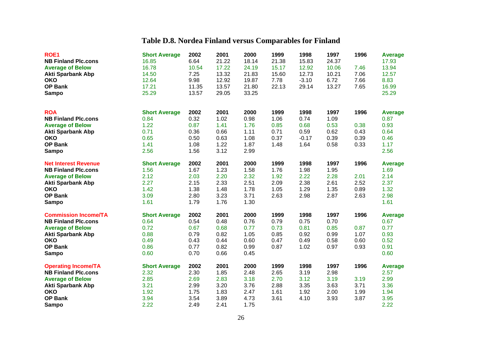## **Table D.8. Nordea Finland versus Comparables for Finland**

| ROE <sub>1</sub>            | <b>Short Average</b> | 2002  | 2001  | 2000  | 1999  | 1998    | 1997  | 1996 | <b>Average</b> |
|-----------------------------|----------------------|-------|-------|-------|-------|---------|-------|------|----------------|
| <b>NB Finland Plc.cons</b>  | 16.85                | 6.64  | 21.22 | 18.14 | 21.38 | 15.83   | 24.37 |      | 17.93          |
| <b>Average of Below</b>     | 16.78                | 10.54 | 17.22 | 24.19 | 15.17 | 12.92   | 10.06 | 7.46 | 13.94          |
| <b>Akti Sparbank Abp</b>    | 14.50                | 7.25  | 13.32 | 21.83 | 15.60 | 12.73   | 10.21 | 7.06 | 12.57          |
| <b>OKO</b>                  | 12.64                | 9.98  | 12.92 | 19.87 | 7.78  | $-3.10$ | 6.72  | 7.66 | 8.83           |
| <b>OP Bank</b>              | 17.21                | 11.35 | 13.57 | 21.80 | 22.13 | 29.14   | 13.27 | 7.65 | 16.99          |
| <b>Sampo</b>                | 25.29                | 13.57 | 29.05 | 33.25 |       |         |       |      | 25.29          |
|                             |                      |       |       |       |       |         |       |      |                |
| <b>ROA</b>                  | <b>Short Average</b> | 2002  | 2001  | 2000  | 1999  | 1998    | 1997  | 1996 | Average        |
| <b>NB Finland Plc.cons</b>  | 0.84                 | 0.32  | 1.02  | 0.98  | 1.06  | 0.74    | 1.09  |      | 0.87           |
| <b>Average of Below</b>     | 1.22                 | 0.87  | 1.41  | 1.76  | 0.85  | 0.68    | 0.53  | 0.38 | 0.93           |
| <b>Akti Sparbank Abp</b>    | 0.71                 | 0.36  | 0.66  | 1.11  | 0.71  | 0.59    | 0.62  | 0.43 | 0.64           |
| <b>OKO</b>                  | 0.65                 | 0.50  | 0.63  | 1.08  | 0.37  | $-0.17$ | 0.39  | 0.39 | 0.46           |
| <b>OP Bank</b>              | 1.41                 | 1.08  | 1.22  | 1.87  | 1.48  | 1.64    | 0.58  | 0.33 | 1.17           |
| <b>Sampo</b>                | 2.56                 | 1.56  | 3.12  | 2.99  |       |         |       |      | 2.56           |
| <b>Net Interest Revenue</b> | <b>Short Average</b> | 2002  | 2001  | 2000  | 1999  | 1998    | 1997  | 1996 | <b>Average</b> |
| <b>NB Finland Plc.cons</b>  | 1.56                 | 1.67  | 1.23  | 1.58  | 1.76  | 1.98    | 1.95  |      | 1.69           |
| <b>Average of Below</b>     | 2.12                 | 2.03  | 2.20  | 2.32  | 1.92  | 2.22    | 2.28  | 2.01 | 2.14           |
| <b>Akti Sparbank Abp</b>    | 2.27                 | 2.15  | 2.33  | 2.51  | 2.09  | 2.38    | 2.61  | 2.52 | 2.37           |
| <b>OKO</b>                  | 1.42                 | 1.38  | 1.48  | 1.78  | 1.05  | 1.29    | 1.35  | 0.89 | 1.32           |
| <b>OP Bank</b>              | 3.09                 | 2.80  | 3.23  | 3.71  | 2.63  | 2.98    | 2.87  | 2.63 | 2.98           |
| <b>Sampo</b>                | 1.61                 | 1.79  | 1.76  | 1.30  |       |         |       |      | 1.61           |
| <b>Commission Income/TA</b> | <b>Short Average</b> | 2002  | 2001  | 2000  | 1999  | 1998    | 1997  | 1996 | <b>Average</b> |
| <b>NB Finland Plc.cons</b>  | 0.64                 | 0.54  | 0.48  | 0.76  | 0.79  | 0.75    | 0.70  |      | 0.67           |
| <b>Average of Below</b>     | 0.72                 | 0.67  | 0.68  | 0.77  | 0.73  | 0.81    | 0.85  | 0.87 | 0.77           |
| <b>Akti Sparbank Abp</b>    | 0.88                 | 0.79  | 0.82  | 1.05  | 0.85  | 0.92    | 0.99  | 1.07 | 0.93           |
| <b>OKO</b>                  | 0.49                 | 0.43  | 0.44  | 0.60  | 0.47  | 0.49    | 0.58  | 0.60 | 0.52           |
| <b>OP Bank</b>              | 0.86                 | 0.77  | 0.82  | 0.99  | 0.87  | 1.02    | 0.97  | 0.93 | 0.91           |
| <b>Sampo</b>                | 0.60                 | 0.70  | 0.66  | 0.45  |       |         |       |      | 0.60           |
| <b>Operating Income/TA</b>  | <b>Short Average</b> | 2002  | 2001  | 2000  | 1999  | 1998    | 1997  | 1996 | <b>Average</b> |
| <b>NB Finland Plc.cons</b>  | 2.32                 | 2.30  | 1.85  | 2.48  | 2.65  | 3.19    | 2.98  |      | 2.57           |
| <b>Average of Below</b>     | 2.85                 | 2.69  | 2.83  | 3.18  | 2.70  | 3.12    | 3.19  | 3.19 | 2.99           |
| <b>Akti Sparbank Abp</b>    | 3.21                 | 2.99  | 3.20  | 3.76  | 2.88  | 3.35    | 3.63  | 3.71 | 3.36           |
| <b>OKO</b>                  | 1.92                 | 1.75  | 1.83  | 2.47  | 1.61  | 1.92    | 2.00  | 1.99 | 1.94           |
| <b>OP Bank</b>              | 3.94                 | 3.54  | 3.89  | 4.73  | 3.61  | 4.10    | 3.93  | 3.87 | 3.95           |
| <b>Sampo</b>                | 2.22                 | 2.49  | 2.41  | 1.75  |       |         |       |      | 2.22           |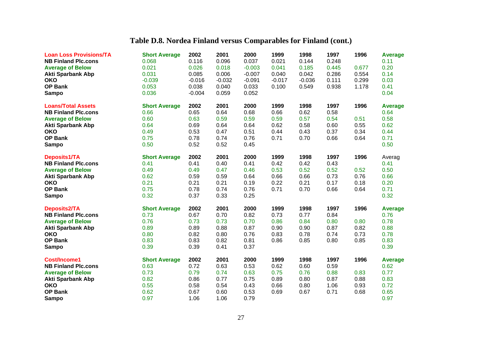## **Table D.8. Nordea Finland versus Comparables for Finland (cont.)**

| <b>Loan Loss Provisions/TA</b><br><b>NB Finland Plc.cons</b><br><b>Average of Below</b><br><b>Akti Sparbank Abp</b> | <b>Short Average</b><br>0.068<br>0.021<br>0.031 | 2002<br>0.116<br>0.026<br>0.085 | 2001<br>0.096<br>0.018<br>0.006 | 2000<br>0.037<br>$-0.003$<br>$-0.007$ | 1999<br>0.021<br>0.041<br>0.040 | 1998<br>0.144<br>0.185<br>0.042 | 1997<br>0.248<br>0.445<br>0.286 | 1996<br>0.677<br>0.554 | <b>Average</b><br>0.11<br>0.20<br>0.14 |
|---------------------------------------------------------------------------------------------------------------------|-------------------------------------------------|---------------------------------|---------------------------------|---------------------------------------|---------------------------------|---------------------------------|---------------------------------|------------------------|----------------------------------------|
| <b>OKO</b>                                                                                                          | $-0.039$                                        | $-0.016$                        | $-0.032$                        | $-0.091$                              | $-0.017$                        | $-0.036$                        | 0.111                           | 0.299                  | 0.03                                   |
| <b>OP Bank</b>                                                                                                      | 0.053                                           | 0.038                           | 0.040                           | 0.033                                 | 0.100                           | 0.549                           | 0.938                           | 1.178                  | 0.41                                   |
| <b>Sampo</b>                                                                                                        | 0.036                                           | $-0.004$                        | 0.059                           | 0.052                                 |                                 |                                 |                                 |                        | 0.04                                   |
|                                                                                                                     |                                                 |                                 |                                 |                                       |                                 |                                 |                                 |                        |                                        |
| <b>Loans/Total Assets</b>                                                                                           | <b>Short Average</b>                            | 2002                            | 2001                            | 2000                                  | 1999                            | 1998                            | 1997                            | 1996                   | <b>Average</b>                         |
| <b>NB Finland Plc.cons</b>                                                                                          | 0.66                                            | 0.65                            | 0.64                            | 0.68                                  | 0.66                            | 0.62                            | 0.58                            |                        | 0.64                                   |
| <b>Average of Below</b>                                                                                             | 0.60                                            | 0.63                            | 0.59                            | 0.59                                  | 0.59                            | 0.57                            | 0.54                            | 0.51                   | 0.58                                   |
| <b>Akti Sparbank Abp</b>                                                                                            | 0.64                                            | 0.69                            | 0.64                            | 0.64                                  | 0.62                            | 0.58                            | 0.60                            | 0.55                   | 0.62                                   |
| <b>OKO</b>                                                                                                          | 0.49                                            | 0.53                            | 0.47                            | 0.51                                  | 0.44                            | 0.43                            | 0.37                            | 0.34                   | 0.44                                   |
| <b>OP Bank</b>                                                                                                      | 0.75                                            | 0.78                            | 0.74                            | 0.76                                  | 0.71                            | 0.70                            | 0.66                            | 0.64                   | 0.71                                   |
| <b>Sampo</b>                                                                                                        | 0.50                                            | 0.52                            | 0.52                            | 0.45                                  |                                 |                                 |                                 |                        | 0.50                                   |
| Deposits1/TA                                                                                                        | <b>Short Average</b>                            | 2002                            | 2001                            | 2000                                  | 1999                            | 1998                            | 1997                            | 1996                   | Averag                                 |
| <b>NB Finland Plc.cons</b>                                                                                          | 0.41                                            | 0.41                            | 0.40                            | 0.41                                  | 0.42                            | 0.42                            | 0.43                            |                        | 0.41                                   |
| <b>Average of Below</b>                                                                                             | 0.49                                            | 0.49                            | 0.47                            | 0.46                                  | 0.53                            | 0.52                            | 0.52                            | 0.52                   | 0.50                                   |
| <b>Akti Sparbank Abp</b>                                                                                            | 0.62                                            | 0.59                            | 0.59                            | 0.64                                  | 0.66                            | 0.66                            | 0.73                            | 0.76                   | 0.66                                   |
| <b>OKO</b>                                                                                                          | 0.21                                            | 0.21                            | 0.21                            | 0.19                                  | 0.22                            | 0.21                            | 0.17                            | 0.18                   | 0.20                                   |
| <b>OP Bank</b>                                                                                                      | 0.75                                            | 0.78                            | 0.74                            | 0.76                                  | 0.71                            | 0.70                            | 0.66                            | 0.64                   | 0.71                                   |
| <b>Sampo</b>                                                                                                        | 0.32                                            | 0.37                            | 0.33                            | 0.25                                  |                                 |                                 |                                 |                        | 0.32                                   |
|                                                                                                                     |                                                 |                                 |                                 |                                       |                                 |                                 |                                 |                        |                                        |
| <b>Deposits2/TA</b>                                                                                                 | <b>Short Average</b>                            | 2002                            | 2001                            | 2000                                  | 1999                            | 1998                            | 1997                            | 1996                   | <b>Average</b>                         |
| <b>NB Finland Plc.cons</b>                                                                                          | 0.73                                            | 0.67                            | 0.70                            | 0.82                                  | 0.73                            | 0.77                            | 0.84                            |                        | 0.76                                   |
| <b>Average of Below</b>                                                                                             | 0.76                                            | 0.73                            | 0.73                            | 0.70                                  | 0.86                            | 0.84                            | 0.80                            | 0.80                   | 0.78                                   |
| <b>Akti Sparbank Abp</b>                                                                                            | 0.89                                            | 0.89                            | 0.88                            | 0.87                                  | 0.90                            | 0.90                            | 0.87                            | 0.82                   | 0.88                                   |
| <b>OKO</b>                                                                                                          | 0.80                                            | 0.82                            | 0.80                            | 0.76                                  | 0.83                            | 0.78                            | 0.74                            | 0.73                   | 0.78                                   |
| <b>OP Bank</b>                                                                                                      | 0.83                                            | 0.83                            | 0.82                            | 0.81                                  | 0.86                            | 0.85                            | 0.80                            | 0.85                   | 0.83                                   |
| <b>Sampo</b>                                                                                                        | 0.39                                            | 0.39                            | 0.41                            | 0.37                                  |                                 |                                 |                                 |                        | 0.39                                   |
| Cost/Income1                                                                                                        | <b>Short Average</b>                            | 2002                            | 2001                            | 2000                                  | 1999                            | 1998                            | 1997                            | 1996                   | <b>Average</b>                         |
| <b>NB Finland Plc.cons</b>                                                                                          | 0.63                                            | 0.72                            | 0.63                            | 0.53                                  | 0.62                            | 0.60                            | 0.59                            |                        | 0.62                                   |
| <b>Average of Below</b>                                                                                             | 0.73                                            | 0.79                            | 0.74                            | 0.63                                  | 0.75                            | 0.76                            | 0.88                            | 0.83                   | 0.77                                   |
| <b>Akti Sparbank Abp</b>                                                                                            | 0.82                                            | 0.86                            | 0.77                            | 0.75                                  | 0.89                            | 0.80                            | 0.87                            | 0.88                   | 0.83                                   |
| <b>OKO</b>                                                                                                          | 0.55                                            | 0.58                            | 0.54                            | 0.43                                  | 0.66                            | 0.80                            | 1.06                            | 0.93                   | 0.72                                   |
| <b>OP Bank</b>                                                                                                      |                                                 |                                 |                                 |                                       |                                 |                                 |                                 |                        |                                        |
|                                                                                                                     | 0.62                                            | 0.67                            | 0.60                            | 0.53                                  | 0.69                            | 0.67                            | 0.71                            | 0.68                   | 0.65                                   |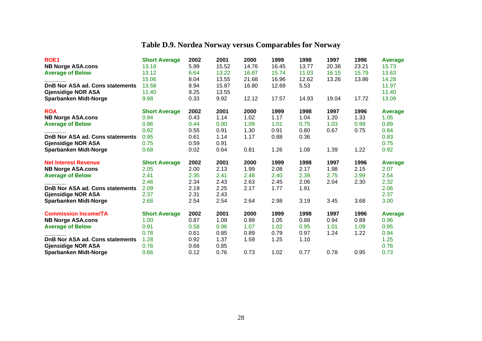## **Table D.9. Nordea Norway versus Comparables for Norway**

| ROE <sub>1</sub>                       | <b>Short Average</b> | 2002 | 2001  | 2000  | 1999  | 1998  | 1997  | 1996  | Average        |
|----------------------------------------|----------------------|------|-------|-------|-------|-------|-------|-------|----------------|
| <b>NB Norge ASA.cons</b>               | 13.18                | 5.99 | 15.52 | 14.76 | 16.45 | 13.77 | 20.38 | 23.21 | 15.73          |
| <b>Average of Below</b>                | 13.12                | 6.64 | 13.22 | 16.87 | 15.74 | 11.03 | 16.15 | 15.79 | 13.63          |
|                                        | 15.06                | 8.04 | 13.55 | 21.68 | 16.96 | 12.62 | 13.26 | 13.86 | 14.28          |
| DnB Nor ASA ad. Cons statements        | 13.58                | 8.94 | 15.87 | 16.80 | 12.69 | 5.53  |       |       | 11.97          |
| <b>Gjensidige NOR ASA</b>              | 11.40                | 9.25 | 13.55 |       |       |       |       |       | 11.40          |
| <b>Sparbanken Midt-Norge</b>           | 9.98                 | 0.33 | 9.92  | 12.12 | 17.57 | 14.93 | 19.04 | 17.72 | 13.09          |
| <b>ROA</b>                             | <b>Short Average</b> | 2002 | 2001  | 2000  | 1999  | 1998  | 1997  | 1996  | Average        |
| <b>NB Norge ASA.cons</b>               | 0.94                 | 0.43 | 1.14  | 1.02  | 1.17  | 1.04  | 1.20  | 1.33  | 1.05           |
| <b>Average of Below</b>                | 0.86                 | 0.44 | 0.90  | 1.09  | 1.01  | 0.75  | 1.03  | 0.99  | 0.89           |
|                                        | 0.92                 | 0.55 | 0.91  | 1.30  | 0.91  | 0.80  | 0.67  | 0.75  | 0.84           |
| <b>DnB Nor ASA ad. Cons statements</b> | 0.95                 | 0.61 | 1.14  | 1.17  | 0.88  | 0.36  |       |       | 0.83           |
| <b>Gjensidige NOR ASA</b>              | 0.75                 | 0.59 | 0.91  |       |       |       |       |       | 0.75           |
| <b>Sparbanken Midt-Norge</b>           | 0.68                 | 0.02 | 0.64  | 0.81  | 1.26  | 1.08  | 1.39  | 1.22  | 0.92           |
| <b>Net Interest Revenue</b>            | <b>Short Average</b> | 2002 | 2001  | 2000  | 1999  | 1998  | 1997  | 1996  | Average        |
| <b>NB Norge ASA.cons</b>               | 2.05                 | 2.00 | 2.13  | 1.99  | 2.08  | 2.17  | 1.98  | 2.15  | 2.07           |
| <b>Average of Below</b>                | 2.41                 | 2.35 | 2.41  | 2.48  | 2.40  | 2.39  | 2.75  | 2.99  | 2.54           |
|                                        | 2.46                 | 2.34 | 2.43  | 2.63  | 2.45  | 2.06  | 2.04  | 2.30  | 2.32           |
| DnB Nor ASA ad. Cons statements        | 2.09                 | 2.19 | 2.25  | 2.17  | 1.77  | 1.91  |       |       | 2.06           |
| <b>Gjensidige NOR ASA</b>              | 2.37                 | 2.31 | 2.43  |       |       |       |       |       | 2.37           |
| <b>Sparbanken Midt-Norge</b>           | 2.68                 | 2.54 | 2.54  | 2.64  | 2.98  | 3.19  | 3.45  | 3.68  | 3.00           |
| <b>Commission Income/TA</b>            | <b>Short Average</b> | 2002 | 2001  | 2000  | 1999  | 1998  | 1997  | 1996  | <b>Average</b> |
| <b>NB Norge ASA.cons</b>               | 1.00                 | 0.87 | 1.09  | 0.99  | 1.05  | 0.88  | 0.94  | 0.89  | 0.96           |
| <b>Average of Below</b>                | 0.91                 | 0.58 | 0.96  | 1.07  | 1.02  | 0.95  | 1.01  | 1.09  | 0.95           |
|                                        | 0.78                 | 0.61 | 0.85  | 0.89  | 0.79  | 0.97  | 1.24  | 1.22  | 0.94           |
| DnB Nor ASA ad. Cons statements        | 1.28                 | 0.92 | 1.37  | 1.59  | 1.25  | 1.10  |       |       | 1.25           |
| <b>Gjensidige NOR ASA</b>              | 0.76                 | 0.66 | 0.85  |       |       |       |       |       | 0.76           |
| <b>Sparbanken Midt-Norge</b>           | 0.66                 | 0.12 | 0.76  | 0.73  | 1.02  | 0.77  | 0.78  | 0.95  | 0.73           |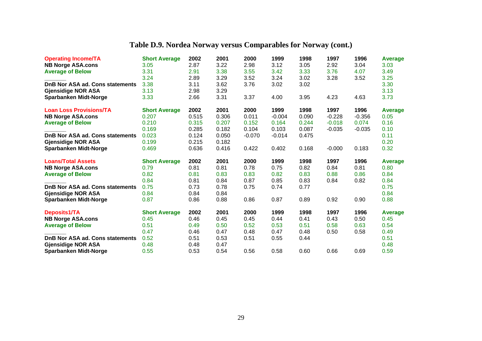## **Table D.9. Nordea Norway versus Comparables for Norway (cont.)**

| <b>Operating Income/TA</b>      | <b>Short Average</b> | 2002  | 2001  | 2000     | 1999     | 1998  | 1997     | 1996     | Average |
|---------------------------------|----------------------|-------|-------|----------|----------|-------|----------|----------|---------|
| <b>NB Norge ASA.cons</b>        | 3.05                 | 2.87  | 3.22  | 2.98     | 3.12     | 3.05  | 2.92     | 3.04     | 3.03    |
| <b>Average of Below</b>         | 3.31                 | 2.91  | 3.38  | 3.55     | 3.42     | 3.33  | 3.76     | 4.07     | 3.49    |
|                                 | 3.24                 | 2.89  | 3.29  | 3.52     | 3.24     | 3.02  | 3.28     | 3.52     | 3.25    |
| DnB Nor ASA ad. Cons statements | 3.38                 | 3.11  | 3.62  | 3.76     | 3.02     | 3.02  |          |          | 3.30    |
| <b>Gjensidige NOR ASA</b>       | 3.13                 | 2.98  | 3.29  |          |          |       |          |          | 3.13    |
| <b>Sparbanken Midt-Norge</b>    | 3.33                 | 2.66  | 3.31  | 3.37     | 4.00     | 3.95  | 4.23     | 4.63     | 3.73    |
| <b>Loan Loss Provisions/TA</b>  | <b>Short Average</b> | 2002  | 2001  | 2000     | 1999     | 1998  | 1997     | 1996     | Average |
| <b>NB Norge ASA.cons</b>        | 0.207                | 0.515 | 0.306 | 0.011    | $-0.004$ | 0.090 | $-0.228$ | $-0.356$ | 0.05    |
| <b>Average of Below</b>         | 0.210                | 0.315 | 0.207 | 0.152    | 0.164    | 0.244 | $-0.018$ | 0.074    | 0.16    |
|                                 | 0.169                | 0.285 | 0.182 | 0.104    | 0.103    | 0.087 | $-0.035$ | $-0.035$ | 0.10    |
| DnB Nor ASA ad. Cons statements | 0.023                | 0.124 | 0.050 | $-0.070$ | $-0.014$ | 0.475 |          |          | 0.11    |
| <b>Gjensidige NOR ASA</b>       | 0.199                | 0.215 | 0.182 |          |          |       |          |          | 0.20    |
| <b>Sparbanken Midt-Norge</b>    | 0.469                | 0.636 | 0.416 | 0.422    | 0.402    | 0.168 | $-0.000$ | 0.183    | 0.32    |
| <b>Loans/Total Assets</b>       | <b>Short Average</b> | 2002  | 2001  | 2000     | 1999     | 1998  | 1997     | 1996     | Average |
| <b>NB Norge ASA.cons</b>        | 0.79                 | 0.81  | 0.81  | 0.78     | 0.75     | 0.82  | 0.84     | 0.81     | 0.80    |
| <b>Average of Below</b>         | 0.82                 | 0.81  | 0.83  | 0.83     | 0.82     | 0.83  | 0.88     | 0.86     | 0.84    |
|                                 | 0.84                 | 0.81  | 0.84  | 0.87     | 0.85     | 0.83  | 0.84     | 0.82     | 0.84    |
| DnB Nor ASA ad. Cons statements | 0.75                 | 0.73  | 0.78  | 0.75     | 0.74     | 0.77  |          |          | 0.75    |
| <b>Gjensidige NOR ASA</b>       | 0.84                 | 0.84  | 0.84  |          |          |       |          |          | 0.84    |
| <b>Sparbanken Midt-Norge</b>    | 0.87                 | 0.86  | 0.88  | 0.86     | 0.87     | 0.89  | 0.92     | 0.90     | 0.88    |
| Deposits1/TA                    | <b>Short Average</b> | 2002  | 2001  | 2000     | 1999     | 1998  | 1997     | 1996     | Average |
| <b>NB Norge ASA.cons</b>        | 0.45                 | 0.46  | 0.45  | 0.45     | 0.44     | 0.41  | 0.43     | 0.50     | 0.45    |
| <b>Average of Below</b>         | 0.51                 | 0.49  | 0.50  | 0.52     | 0.53     | 0.51  | 0.58     | 0.63     | 0.54    |
|                                 | 0.47                 | 0.46  | 0.47  | 0.48     | 0.47     | 0.48  | 0.50     | 0.58     | 0.49    |
| DnB Nor ASA ad. Cons statements | 0.52                 | 0.51  | 0.53  | 0.51     | 0.55     | 0.44  |          |          | 0.51    |
| <b>Gjensidige NOR ASA</b>       | 0.48                 | 0.48  | 0.47  |          |          |       |          |          | 0.48    |
| <b>Sparbanken Midt-Norge</b>    | 0.55                 | 0.53  | 0.54  | 0.56     | 0.58     | 0.60  | 0.66     | 0.69     | 0.59    |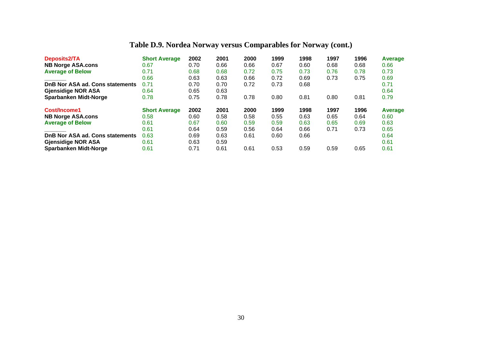## **Table D.9. Nordea Norway versus Comparables for Norway (cont.)**

| <b>Deposits2/TA</b>             | <b>Short Average</b> | 2002 | 2001 | 2000 | 1999 | 1998 | 1997 | 1996 | Average |
|---------------------------------|----------------------|------|------|------|------|------|------|------|---------|
| <b>NB Norge ASA.cons</b>        | 0.67                 | 0.70 | 0.66 | 0.66 | 0.67 | 0.60 | 0.68 | 0.68 | 0.66    |
| <b>Average of Below</b>         | 0.71                 | 0.68 | 0.68 | 0.72 | 0.75 | 0.73 | 0.76 | 0.78 | 0.73    |
|                                 | 0.66                 | 0.63 | 0.63 | 0.66 | 0.72 | 0.69 | 0.73 | 0.75 | 0.69    |
| DnB Nor ASA ad. Cons statements | 0.71                 | 0.70 | 0.70 | 0.72 | 0.73 | 0.68 |      |      | 0.71    |
| <b>Gjensidige NOR ASA</b>       | 0.64                 | 0.65 | 0.63 |      |      |      |      |      | 0.64    |
| <b>Sparbanken Midt-Norge</b>    | 0.78                 | 0.75 | 0.78 | 0.78 | 0.80 | 0.81 | 0.80 | 0.81 | 0.79    |
| Cost/Income1                    | <b>Short Average</b> | 2002 | 2001 | 2000 | 1999 | 1998 | 1997 | 1996 | Average |
| <b>NB Norge ASA.cons</b>        | 0.58                 | 0.60 | 0.58 | 0.58 | 0.55 | 0.63 | 0.65 | 0.64 | 0.60    |
| <b>Average of Below</b>         | 0.61                 | 0.67 | 0.60 | 0.59 | 0.59 | 0.63 | 0.65 | 0.69 | 0.63    |
|                                 | 0.61                 | 0.64 | 0.59 | 0.56 | 0.64 | 0.66 | 0.71 | 0.73 | 0.65    |
| DnB Nor ASA ad. Cons statements | 0.63                 | 0.69 | 0.63 | 0.61 | 0.60 | 0.66 |      |      | 0.64    |
| <b>Gjensidige NOR ASA</b>       | 0.61                 | 0.63 | 0.59 |      |      |      |      |      | 0.61    |
| <b>Sparbanken Midt-Norge</b>    | 0.61                 | 0.71 | 0.61 | 0.61 | 0.53 | 0.59 | 0.59 | 0.65 | 0.61    |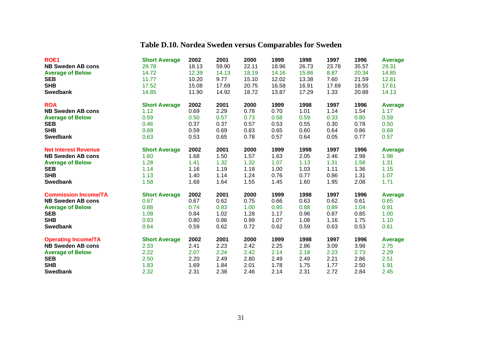## **Table D.10. Nordea Sweden versus Comparables for Sweden**

| ROE <sub>1</sub>            | <b>Short Average</b> | 2002  | 2001  | 2000  | 1999  | 1998  | 1997  | 1996  | <b>Average</b> |
|-----------------------------|----------------------|-------|-------|-------|-------|-------|-------|-------|----------------|
| <b>NB Sweden AB cons</b>    | 29.78                | 18.13 | 59.90 | 22.11 | 18.96 | 26.73 | 23.78 | 35.57 | 29.31          |
| <b>Average of Below</b>     | 14.72                | 12.39 | 14.13 | 18.19 | 14.16 | 15.86 | 8.87  | 20.34 | 14.85          |
| <b>SEB</b>                  | 11.77                | 10.20 | 9.77  | 15.10 | 12.02 | 13.38 | 7.60  | 21.59 | 12.81          |
| <b>SHB</b>                  | 17.52                | 15.08 | 17.69 | 20.75 | 16.58 | 16.91 | 17.69 | 18.55 | 17.61          |
| <b>Swedbank</b>             | 14.85                | 11.90 | 14.92 | 18.72 | 13.87 | 17.29 | 1.33  | 20.88 | 14.13          |
| <b>ROA</b>                  | <b>Short Average</b> | 2002  | 2001  | 2000  | 1999  | 1998  | 1997  | 1996  | <b>Average</b> |
| <b>NB Sweden AB cons</b>    | 1.12                 | 0.69  | 2.29  | 0.78  | 0.70  | 1.01  | 1.14  | 1.54  | 1.17           |
| <b>Average of Below</b>     | 0.59                 | 0.50  | 0.57  | 0.73  | 0.58  | 0.59  | 0.33  | 0.80  | 0.59           |
| <b>SEB</b>                  | 0.46                 | 0.37  | 0.37  | 0.57  | 0.53  | 0.55  | 0.30  | 0.78  | 0.50           |
| <b>SHB</b>                  | 0.69                 | 0.59  | 0.69  | 0.83  | 0.65  | 0.60  | 0.64  | 0.86  | 0.69           |
| <b>Swedbank</b>             | 0.63                 | 0.53  | 0.65  | 0.78  | 0.57  | 0.64  | 0.05  | 0.77  | 0.57           |
| <b>Net Interest Revenue</b> | <b>Short Average</b> | 2002  | 2001  | 2000  | 1999  | 1998  | 1997  | 1996  | Average        |
| <b>NB Sweden AB cons</b>    | 1.60                 | 1.68  | 1.50  | 1.57  | 1.63  | 2.05  | 2.46  | 2.98  | 1.98           |
| <b>Average of Below</b>     | 1.28                 | 1.41  | 1.32  | 1.32  | 1.07  | 1.13  | 1.31  | 1.58  | 1.31           |
| <b>SEB</b>                  | 1.14                 | 1.16  | 1.19  | 1.18  | 1.00  | 1.03  | 1.11  | 1.36  | 1.15           |
| <b>SHB</b>                  | 1.13                 | 1.40  | 1.14  | 1.24  | 0.76  | 0.77  | 0.86  | 1.31  | 1.07           |
| <b>Swedbank</b>             | 1.58                 | 1.68  | 1.64  | 1.55  | 1.45  | 1.60  | 1.95  | 2.08  | 1.71           |
| <b>Commission Income/TA</b> | <b>Short Average</b> | 2002  | 2001  | 2000  | 1999  | 1998  | 1997  | 1996  | <b>Average</b> |
| <b>NB Sweden AB cons</b>    | 0.67                 | 0.67  | 0.62  | 0.75  | 0.66  | 0.63  | 0.62  | 0.61  | 0.65           |
| <b>Average of Below</b>     | 0.88                 | 0.74  | 0.83  | 1.00  | 0.95  | 0.88  | 0.89  | 1.04  | 0.91           |
| <b>SEB</b>                  | 1.08                 | 0.84  | 1.02  | 1.28  | 1.17  | 0.96  | 0.87  | 0.85  | 1.00           |
| <b>SHB</b>                  | 0.93                 | 0.80  | 0.86  | 0.99  | 1.07  | 1.08  | 1.16  | 1.75  | 1.10           |
| <b>Swedbank</b>             | 0.64                 | 0.59  | 0.62  | 0.72  | 0.62  | 0.59  | 0.63  | 0.53  | 0.61           |
| <b>Operating Income/TA</b>  | <b>Short Average</b> | 2002  | 2001  | 2000  | 1999  | 1998  | 1997  | 1996  | <b>Average</b> |
| <b>NB Sweden AB cons</b>    | 2.33                 | 2.41  | 2.23  | 2.42  | 2.25  | 2.86  | 3.09  | 3.98  | 2.75           |
| <b>Average of Below</b>     | 2.22                 | 2.07  | 2.24  | 2.42  | 2.14  | 2.18  | 2.23  | 2.73  | 2.29           |
| <b>SEB</b>                  | 2.50                 | 2.20  | 2.49  | 2.80  | 2.49  | 2.49  | 2.21  | 2.86  | 2.51           |
| <b>SHB</b>                  | 1.83                 | 1.69  | 1.84  | 2.01  | 1.78  | 1.75  | 1.77  | 2.50  | 1.91           |
| <b>Swedbank</b>             | 2.32                 | 2.31  | 2.38  | 2.46  | 2.14  | 2.31  | 2.72  | 2.84  | 2.45           |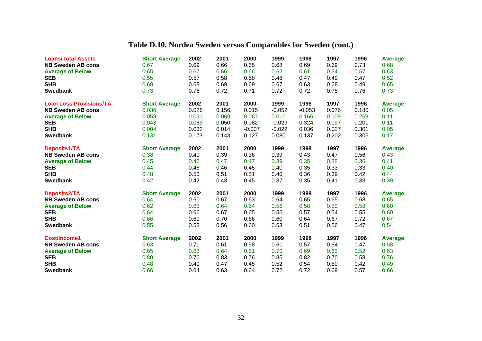## **Table D.10. Nordea Sweden versus Comparables for Sweden (cont.)**

| <b>Loans/Total Assets</b>      | <b>Short Average</b> | 2002  | 2001  | 2000     | 1999     | 1998     | 1997  | 1996  | <b>Average</b> |
|--------------------------------|----------------------|-------|-------|----------|----------|----------|-------|-------|----------------|
| <b>NB Sweden AB cons</b>       | 0.67                 | 0.69  | 0.66  | 0.65     | 0.68     | 0.69     | 0.69  | 0.73  | 0.68           |
| <b>Average of Below</b>        | 0.65                 | 0.67  | 0.66  | 0.66     | 0.62     | 0.61     | 0.64  | 0.57  | 0.63           |
| <b>SEB</b>                     | 0.55                 | 0.57  | 0.58  | 0.58     | 0.48     | 0.47     | 0.49  | 0.47  | 0.52           |
| <b>SHB</b>                     | 0.68                 | 0.68  | 0.69  | 0.69     | 0.67     | 0.63     | 0.68  | 0.49  | 0.65           |
| <b>Swedbank</b>                | 0.73                 | 0.76  | 0.72  | 0.71     | 0.72     | 0.72     | 0.75  | 0.76  | 0.73           |
| <b>Loan Loss Provisions/TA</b> | <b>Short Average</b> | 2002  | 2001  | 2000     | 1999     | 1998     | 1997  | 1996  | <b>Average</b> |
| <b>NB Sweden AB cons</b>       | 0.036                | 0.026 | 0.156 | 0.015    | $-0.052$ | $-0.053$ | 0.076 | 0.180 | 0.05           |
| <b>Average of Below</b>        | 0.059                | 0.091 | 0.069 | 0.067    | 0.010    | 0.166    | 0.109 | 0.269 | 0.11           |
| <b>SEB</b>                     | 0.043                | 0.069 | 0.050 | 0.082    | $-0.029$ | 0.324    | 0.097 | 0.201 | 0.11           |
| <b>SHB</b>                     | 0.004                | 0.032 | 0.014 | $-0.007$ | $-0.022$ | 0.036    | 0.027 | 0.301 | 0.05           |
| <b>Swedbank</b>                | 0.131                | 0.173 | 0.143 | 0.127    | 0.080    | 0.137    | 0.202 | 0.306 | 0.17           |
| Deposits1/TA                   | <b>Short Average</b> | 2002  | 2001  | 2000     | 1999     | 1998     | 1997  | 1996  | Average        |
| <b>NB Sweden AB cons</b>       | 0.38                 | 0.40  | 0.39  | 0.36     | 0.39     | 0.43     | 0.47  | 0.56  | 0.43           |
| <b>Average of Below</b>        | 0.45                 | 0.46  | 0.47  | 0.47     | 0.39     | 0.35     | 0.38  | 0.36  | 0.41           |
| <b>SEB</b>                     | 0.44                 | 0.46  | 0.46  | 0.45     | 0.40     | 0.35     | 0.33  | 0.33  | 0.40           |
| <b>SHB</b>                     | 0.48                 | 0.50  | 0.51  | 0.51     | 0.40     | 0.36     | 0.39  | 0.42  | 0.44           |
| <b>Swedbank</b>                | 0.42                 | 0.42  | 0.43  | 0.45     | 0.37     | 0.35     | 0.41  | 0.33  | 0.39           |
| Deposits2/TA                   | <b>Short Average</b> | 2002  | 2001  | 2000     | 1999     | 1998     | 1997  | 1996  | <b>Average</b> |
| <b>NB Sweden AB cons</b>       | 0.64                 | 0.60  | 0.67  | 0.63     | 0.64     | 0.65     | 0.65  | 0.68  | 0.65           |
| <b>Average of Below</b>        | 0.62                 | 0.63  | 0.64  | 0.64     | 0.56     | 0.58     | 0.59  | 0.58  | 0.60           |
| <b>SEB</b>                     | 0.64                 | 0.66  | 0.67  | 0.65     | 0.56     | 0.57     | 0.54  | 0.55  | 0.60           |
| <b>SHB</b>                     | 0.66                 | 0.69  | 0.70  | 0.66     | 0.60     | 0.64     | 0.67  | 0.72  | 0.67           |
| <b>Swedbank</b>                | 0.55                 | 0.53  | 0.56  | 0.60     | 0.53     | 0.51     | 0.56  | 0.47  | 0.54           |
| <b>Cost/Income1</b>            | <b>Short Average</b> | 2002  | 2001  | 2000     | 1999     | 1998     | 1997  | 1996  | <b>Average</b> |
| <b>NB Sweden AB cons</b>       | 0.63                 | 0.71  | 0.61  | 0.58     | 0.61     | 0.57     | 0.54  | 0.47  | 0.58           |
| <b>Average of Below</b>        | 0.65                 | 0.63  | 0.64  | 0.61     | 0.70     | 0.69     | 0.63  | 0.52  | 0.63           |
| <b>SEB</b>                     | 0.80                 | 0.76  | 0.83  | 0.76     | 0.85     | 0.82     | 0.70  | 0.58  | 0.76           |
| <b>SHB</b>                     | 0.48                 | 0.49  | 0.47  | 0.45     | 0.52     | 0.54     | 0.50  | 0.42  | 0.49           |
| <b>Swedbank</b>                | 0.66                 | 0.64  | 0.63  | 0.64     | 0.72     | 0.72     | 0.69  | 0.57  | 0.66           |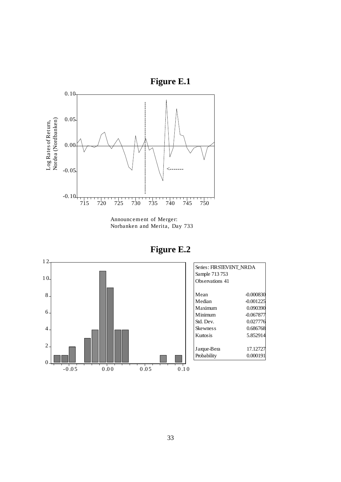

Announcem ent of Merger:

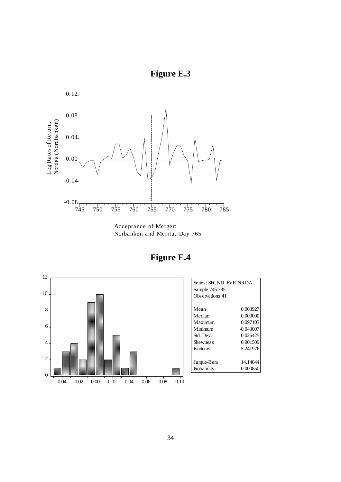



Acceptance of Merger: Norbanken and Merita, Day 765

**Figure E.4**



| Series: SECND EVE NRDA<br>Sample 745 785<br>Observations 41 |             |
|-------------------------------------------------------------|-------------|
| Mean                                                        | 0.003927    |
| Median                                                      | 0.000000    |
| Maximum                                                     | 0.097103    |
| Minimum                                                     | $-0.043007$ |
| Std. Dev.                                                   | 0.026425    |
| Skewnes s                                                   | 0.901509    |
| Kurtos is                                                   | 5.241976    |
|                                                             |             |
| Jarque-Bera                                                 | 14.14044    |
| Probability                                                 | 0.000850    |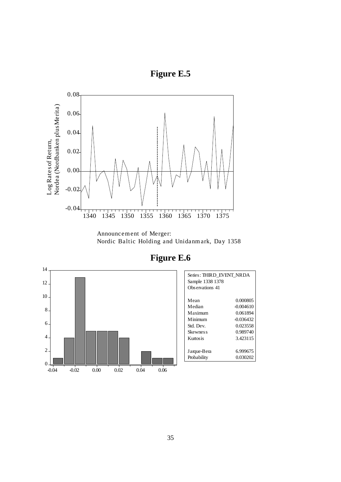



Announcement of Merger: Nordic Baltic Holding and Unidanm ark, Day 1358



**Figure E.6**

| Series: THIRD EVENT NRDA<br>Sample 1338 1378<br>Observations 41 |             |
|-----------------------------------------------------------------|-------------|
| Mean                                                            | 0.000805    |
| Median                                                          | -0.004610   |
| Maximum                                                         | 0.061894    |
| Minimum                                                         | $-0.036432$ |
| Std. Dev.                                                       | 0.023558    |
| <b>Skewness</b>                                                 | 0.989740    |
| Kurtosis                                                        | 3.423115    |
|                                                                 |             |
| Jarque-Bera                                                     | 6.999675    |
| Probability                                                     | 0.030202    |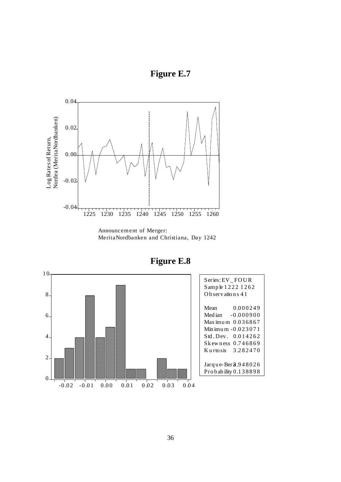



Announcement of Merger: MeritaNordbanken and Christiana, Day 1242



| Series: EV FOUR<br>Sample 1222 1262<br>Observations 41                                                                                                     |  |
|------------------------------------------------------------------------------------------------------------------------------------------------------------|--|
| 0.000249<br>Mean<br>Median $-0.000900$<br>Max imum $0.036867$<br>Min imu m - 0.023071<br>0.014262<br>Std. Dev.<br>Skewness 0.746869<br>Kurtosis $3.282470$ |  |
| Jarque-Ber <sub>3</sub> .948026<br>Probability 0.138898                                                                                                    |  |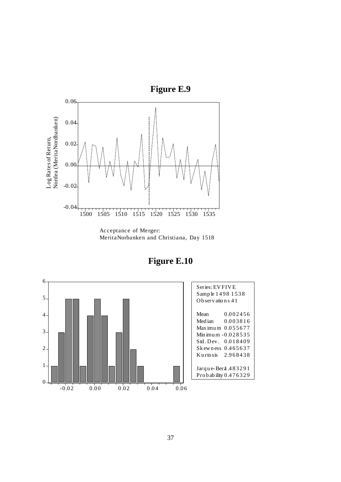

MeritaNorbanken and Christiana, Day 1518

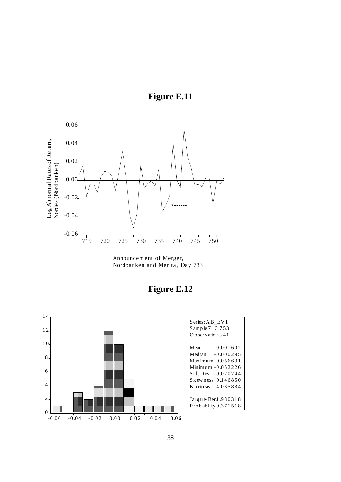



Announcement of Merger, Nordbanken and Merita, Day 733

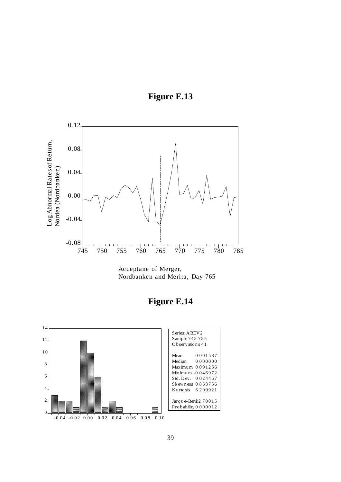



Acceptane of Merger, Nordbanken and Merita, Day 765



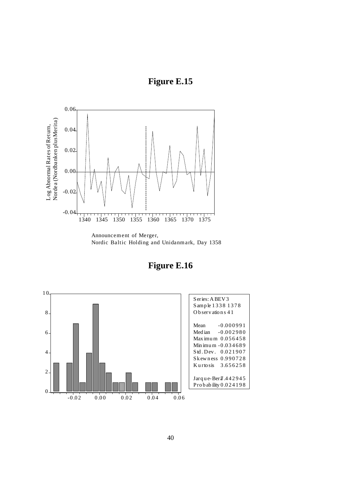



Nordic Baltic Holding and Unidanmark, Day 1358



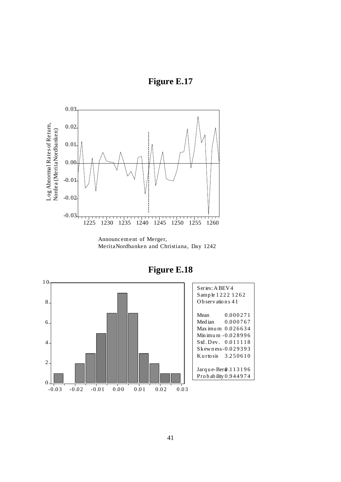



MeritaNordbanken and Christiana, Day 1242